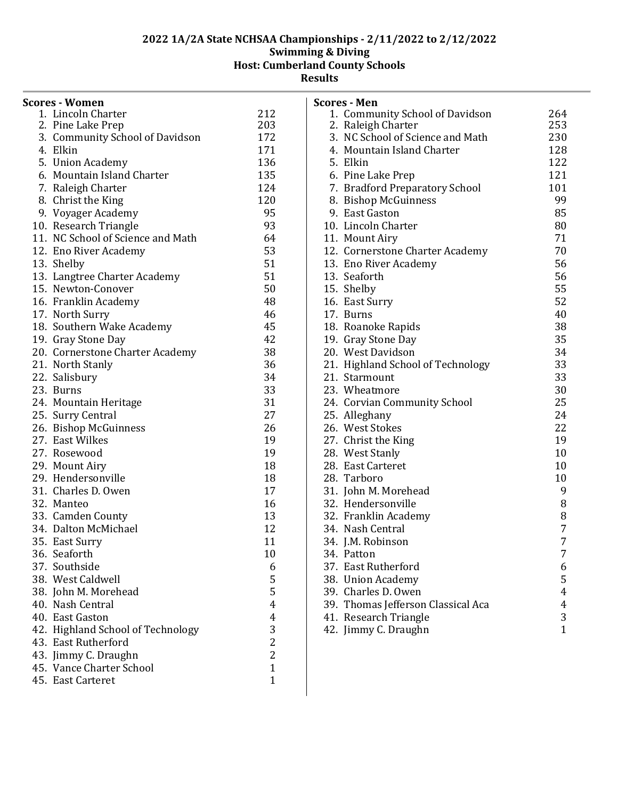**Results**

| <b>Scores - Women</b>             |                         |
|-----------------------------------|-------------------------|
| 1. Lincoln Charter                | 212                     |
| 2. Pine Lake Prep                 | 203                     |
| 3. Community School of Davidson   | 172                     |
| 4. Elkin                          | 171                     |
| 5. Union Academy                  | 136                     |
| 6. Mountain Island Charter        | 135                     |
| 7. Raleigh Charter                | 124                     |
| 8. Christ the King                | 120                     |
| 9. Voyager Academy                | 95                      |
| 10. Research Triangle             | 93                      |
| 11. NC School of Science and Math | 64                      |
| 12. Eno River Academy             | 53                      |
| 13. Shelby                        | 51                      |
| 13. Langtree Charter Academy      | 51                      |
| 15. Newton-Conover                | 50                      |
| 16. Franklin Academy              | 48                      |
| 17. North Surry                   | 46                      |
| 18. Southern Wake Academy         | 45                      |
| 19. Gray Stone Day                | 42                      |
| 20. Cornerstone Charter Academy   | 38                      |
| 21. North Stanly                  | 36                      |
| 22. Salisbury                     | 34                      |
| 23. Burns                         | 33                      |
| 24. Mountain Heritage             | 31                      |
| 25. Surry Central                 | 27                      |
| 26. Bishop McGuinness             | 26                      |
| 27. East Wilkes                   | 19                      |
| 27. Rosewood                      | 19                      |
| 29. Mount Airy                    | 18                      |
| 29. Hendersonville                | 18                      |
| 31. Charles D. Owen               | 17                      |
| 32. Manteo                        | 16                      |
| 33. Camden County                 | 13                      |
| 34. Dalton McMichael              | 12                      |
| 35. East Surry                    | 11                      |
| 36. Seaforth                      | 10                      |
| 37. Southside                     | 6                       |
| 38. West Caldwell                 | 5                       |
| 38. John M. Morehead              | 5                       |
| 40. Nash Central                  | $\overline{\mathbf{4}}$ |
| 40. East Gaston                   | $\overline{\mathbf{4}}$ |
| 42. Highland School of Technology | 3                       |
| 43. East Rutherford               | $\overline{2}$          |
| 43. Jimmy C. Draughn              | $\overline{2}$          |
| 45. Vance Charter School          | $\mathbf{1}$            |
| 45. East Carteret                 | $\mathbf{1}$            |
|                                   |                         |

|     | <b>Scores - Men</b>               |                         |
|-----|-----------------------------------|-------------------------|
|     | 1. Community School of Davidson   | 264                     |
|     | 2. Raleigh Charter                | 253                     |
|     | 3. NC School of Science and Math  | 230                     |
|     | 4. Mountain Island Charter        | 128                     |
|     | 5. Elkin                          | 122                     |
|     | 6. Pine Lake Prep                 | 121                     |
|     | 7. Bradford Preparatory School    | 101                     |
|     | 8. Bishop McGuinness              | 99                      |
|     | 9. East Gaston                    | 85                      |
|     | 10. Lincoln Charter               | 80                      |
|     | 11. Mount Airy                    | 71                      |
|     | 12. Cornerstone Charter Academy   | 70                      |
|     | 13. Eno River Academy             | 56                      |
|     | 13. Seaforth                      | 56                      |
|     | 15. Shelby                        | 55                      |
|     | 16. East Surry                    | 52                      |
|     | 17. Burns                         | 40                      |
|     | 18. Roanoke Rapids                | 38                      |
|     | 19. Gray Stone Day                | 35                      |
|     | 20. West Davidson                 | 34                      |
|     | 21. Highland School of Technology | 33                      |
|     | 21. Starmount                     | 33                      |
|     | 23. Wheatmore                     | 30                      |
|     | 24. Corvian Community School      | 25                      |
|     | 25. Alleghany                     | 24                      |
|     | 26. West Stokes                   | 22                      |
|     | 27. Christ the King               | 19                      |
|     | 28. West Stanly                   | 10                      |
|     | 28. East Carteret                 | 10                      |
|     | 28. Tarboro                       | 10                      |
|     | 31. John M. Morehead              | 9                       |
|     | 32. Hendersonville                | 8                       |
|     | 32. Franklin Academy              | 8                       |
|     | 34. Nash Central                  | 7                       |
|     | 34. J.M. Robinson                 | 7                       |
|     | 34. Patton                        | 7                       |
|     | 37. East Rutherford               | 6                       |
| 38. | <b>Union Academy</b>              | 5                       |
| 39. | Charles D. Owen                   | $\overline{\mathbf{4}}$ |
| 39. | Thomas Jefferson Classical Aca    | $\overline{\mathbf{4}}$ |
|     | 41. Research Triangle             | 3                       |
|     | 42. Jimmy C. Draughn              | $\overline{1}$          |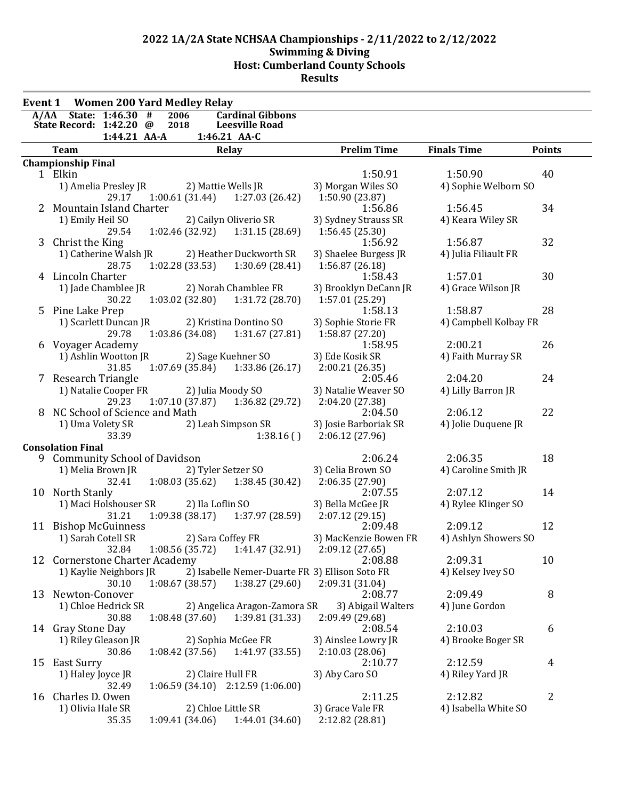| <b>Event 1</b> |                                | <b>Women 200 Yard Medley Relay</b> |      |                   |                                                       |                                                |                       |                |
|----------------|--------------------------------|------------------------------------|------|-------------------|-------------------------------------------------------|------------------------------------------------|-----------------------|----------------|
| A/AA           |                                | State: 1:46.30 #                   | 2006 |                   | <b>Cardinal Gibbons</b>                               |                                                |                       |                |
|                | State Record: 1:42.20 @        | 1:44.21 AA-A                       | 2018 |                   | <b>Leesville Road</b><br>1:46.21 AA-C                 |                                                |                       |                |
|                | <b>Team</b>                    |                                    |      |                   | Relay                                                 | <b>Prelim Time</b>                             | <b>Finals Time</b>    | <b>Points</b>  |
|                | <b>Championship Final</b>      |                                    |      |                   |                                                       |                                                |                       |                |
|                | 1 Elkin                        |                                    |      |                   |                                                       | 1:50.91                                        | 1:50.90               | 40             |
|                | 1) Amelia Presley JR           |                                    |      |                   | 2) Mattie Wells JR                                    | 3) Morgan Wiles SO                             | 4) Sophie Welborn SO  |                |
|                |                                | 29.17                              |      | 1:00.61 (31.44)   | 1:27.03(26.42)                                        | 1:50.90 (23.87)                                |                       |                |
| 2              | Mountain Island Charter        |                                    |      |                   |                                                       | 1:56.86                                        | 1:56.45               | 34             |
|                | 1) Emily Heil SO               |                                    |      |                   | 2) Cailyn Oliverio SR                                 | 3) Sydney Strauss SR                           | 4) Keara Wiley SR     |                |
|                |                                | 29.54                              |      | 1:02.46 (32.92)   | 1:31.15(28.69)                                        | 1:56.45(25.30)                                 |                       |                |
| 3              | Christ the King                |                                    |      |                   |                                                       | 1:56.92                                        | 1:56.87               | 32             |
|                | 1) Catherine Walsh JR          |                                    |      |                   | 2) Heather Duckworth SR                               | 3) Shaelee Burgess JR                          | 4) Julia Filiault FR  |                |
|                |                                | 28.75                              |      | 1:02.28 (33.53)   | 1:30.69(28.41)                                        | 1:56.87(26.18)                                 |                       |                |
|                | 4 Lincoln Charter              |                                    |      |                   |                                                       | 1:58.43                                        | 1:57.01               | 30             |
|                | 1) Jade Chamblee JR            |                                    |      |                   | 2) Norah Chamblee FR                                  | 3) Brooklyn DeCann JR                          | 4) Grace Wilson JR    |                |
|                | 5 Pine Lake Prep               | 30.22                              |      |                   | $1:03.02$ (32.80) $1:31.72$ (28.70)                   | 1:57.01 (25.29)<br>1:58.13                     | 1:58.87               | 28             |
|                | 1) Scarlett Duncan JR          |                                    |      |                   | 2) Kristina Dontino SO                                | 3) Sophie Storie FR                            | 4) Campbell Kolbay FR |                |
|                |                                | 29.78                              |      |                   | $1:03.86(34.08)$ $1:31.67(27.81)$                     | 1:58.87 (27.20)                                |                       |                |
|                | 6 Voyager Academy              |                                    |      |                   |                                                       | 1:58.95                                        | 2:00.21               | 26             |
|                | 1) Ashlin Wootton JR           |                                    |      |                   | 2) Sage Kuehner SO                                    | 3) Ede Kosik SR                                | 4) Faith Murray SR    |                |
|                |                                | 31.85                              |      |                   | 1:07.69 (35.84) 1:33.86 (26.17)                       | 2:00.21(26.35)                                 |                       |                |
|                | 7 Research Triangle            |                                    |      |                   |                                                       | 2:05.46                                        | 2:04.20               | 24             |
|                | 1) Natalie Cooper FR           |                                    |      |                   | 2) Julia Moody SO                                     | 3) Natalie Weaver SO                           | 4) Lilly Barron JR    |                |
|                |                                | 29.23                              |      |                   | $1:07.10(37.87)$ $1:36.82(29.72)$                     | 2:04.20 (27.38)                                |                       |                |
| 8.             | NC School of Science and Math  |                                    |      |                   |                                                       | 2:04.50                                        | 2:06.12               | 22             |
|                | 1) Uma Volety SR               |                                    |      |                   | 2) Leah Simpson SR                                    | 3) Josie Barboriak SR                          | 4) Jolie Duquene JR   |                |
|                |                                | 33.39                              |      |                   | 1:38.16(                                              | 2:06.12 (27.96)                                |                       |                |
|                | <b>Consolation Final</b>       |                                    |      |                   |                                                       |                                                |                       |                |
|                | 9 Community School of Davidson |                                    |      |                   |                                                       | 2:06.24                                        | 2:06.35               | 18             |
|                | 1) Melia Brown JR              |                                    |      |                   | 2) Tyler Setzer SO                                    | 3) Celia Brown SO                              | 4) Caroline Smith JR  |                |
|                | 10 North Stanly                | 32.41                              |      |                   | $1:08.03(35.62)$ $1:38.45(30.42)$                     | 2:06.35(27.90)<br>2:07.55                      | 2:07.12               | 14             |
|                | 1) Maci Holshouser SR          |                                    |      | 2) Ila Loflin SO  |                                                       | 3) Bella McGee JR                              | 4) Rylee Klinger SO   |                |
|                |                                | 31.21                              |      |                   | $1:09.38(38.17)$ $1:37.97(28.59)$                     | 2:07.12(29.15)                                 |                       |                |
|                | 11 Bishop McGuinness           |                                    |      |                   |                                                       | 2:09.48                                        | 2:09.12               | 12             |
|                | 1) Sarah Cotell SR             |                                    |      |                   | 2) Sara Coffey FR                                     | 3) MacKenzie Bowen FR                          | 4) Ashlyn Showers SO  |                |
|                |                                |                                    |      |                   | 32.84 1:08.56 (35.72) 1:41.47 (32.91) 2:09.12 (27.65) |                                                |                       |                |
|                | 12 Cornerstone Charter Academy |                                    |      |                   |                                                       | 2:08.88                                        | 2:09.31               | 10             |
|                | 1) Kaylie Neighbors JR         |                                    |      |                   |                                                       | 2) Isabelle Nemer-Duarte FR 3) Ellison Soto FR | 4) Kelsey Ivey SO     |                |
|                |                                | 30.10                              |      | 1:08.67(38.57)    | 1:38.27(29.60)                                        | 2:09.31 (31.04)                                |                       |                |
| 13             | Newton-Conover                 |                                    |      |                   |                                                       | 2:08.77                                        | 2:09.49               | 8              |
|                | 1) Chloe Hedrick SR            |                                    |      |                   | 2) Angelica Aragon-Zamora SR                          | 3) Abigail Walters                             | 4) June Gordon        |                |
|                |                                | 30.88                              |      | 1:08.48(37.60)    | 1:39.81 (31.33)                                       | 2:09.49 (29.68)                                |                       |                |
|                | 14 Gray Stone Day              |                                    |      |                   |                                                       | 2:08.54                                        | 2:10.03               | 6              |
|                | 1) Riley Gleason JR            |                                    |      |                   | 2) Sophia McGee FR                                    | 3) Ainslee Lowry JR                            | 4) Brooke Boger SR    |                |
|                |                                | 30.86                              |      | 1:08.42(37.56)    | 1:41.97 (33.55)                                       | 2:10.03(28.06)                                 | 2:12.59               | $\overline{4}$ |
|                | 15 East Surry                  |                                    |      | 2) Claire Hull FR |                                                       | 2:10.77<br>3) Aby Caro SO                      | 4) Riley Yard JR      |                |
|                | 1) Haley Joyce JR              | 32.49                              |      |                   | $1:06.59(34.10)$ $2:12.59(1:06.00)$                   |                                                |                       |                |
|                | 16 Charles D. Owen             |                                    |      |                   |                                                       | 2:11.25                                        | 2:12.82               | $\overline{c}$ |
|                | 1) Olivia Hale SR              |                                    |      |                   | 2) Chloe Little SR                                    | 3) Grace Vale FR                               | 4) Isabella White SO  |                |
|                |                                | 35.35                              |      | 1:09.41 (34.06)   | 1:44.01 (34.60)                                       | 2:12.82 (28.81)                                |                       |                |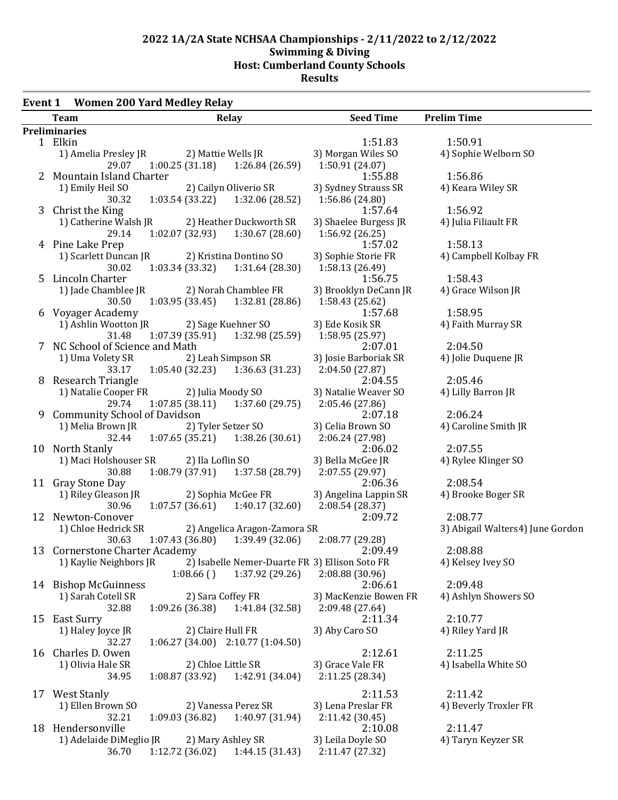#### **Event 1 Women 200 Yard Medley Relay**

| <b>Team</b>                                |                                   | Relay                                     | <b>Seed Time</b>                               | <b>Prelim Time</b>               |
|--------------------------------------------|-----------------------------------|-------------------------------------------|------------------------------------------------|----------------------------------|
| Preliminaries                              |                                   |                                           |                                                |                                  |
| 1 Elkin                                    |                                   |                                           | 1:51.83                                        | 1:50.91                          |
| 1) Amelia Presley JR                       |                                   | 2) Mattie Wells JR                        | 3) Morgan Wiles SO                             | 4) Sophie Welborn SO             |
| 29.07                                      |                                   | $1:00.25(31.18)$ $1:26.84(26.59)$         | 1:50.91 (24.07)                                |                                  |
| 2 Mountain Island Charter                  |                                   |                                           | 1:55.88                                        | 1:56.86                          |
| 1) Emily Heil SO                           |                                   | 2) Cailyn Oliverio SR                     | 3) Sydney Strauss SR                           | 4) Keara Wiley SR                |
| 30.32                                      | $1:03.54(33.22)$ $1:32.06(28.52)$ |                                           | 1:56.86 (24.80)                                |                                  |
| 3 Christ the King<br>1) Catherine Walsh JR |                                   |                                           | 1:57.64<br>3) Shaelee Burgess JR               | 1:56.92<br>4) Julia Filiault FR  |
| 29.14                                      | 1:02.07(32.93)                    | 2) Heather Duckworth SR<br>1:30.67(28.60) | 1:56.92 (26.25)                                |                                  |
| 4 Pine Lake Prep                           |                                   |                                           | 1:57.02                                        | 1:58.13                          |
| 1) Scarlett Duncan JR                      |                                   | 2) Kristina Dontino SO                    | 3) Sophie Storie FR                            | 4) Campbell Kolbay FR            |
| 30.02                                      | 1:03.34 (33.32) 1:31.64 (28.30)   |                                           | 1:58.13 (26.49)                                |                                  |
| 5 Lincoln Charter                          |                                   |                                           | 1:56.75                                        | 1:58.43                          |
| 1) Jade Chamblee JR 2) Norah Chamblee FR   |                                   |                                           | 3) Brooklyn DeCann JR                          | 4) Grace Wilson JR               |
| 30.50                                      | $1:03.95(33.45)$ $1:32.81(28.86)$ |                                           | 1:58.43 (25.62)                                |                                  |
| 6 Voyager Academy                          |                                   |                                           | 1:57.68                                        | 1:58.95                          |
| 1) Ashlin Wootton JR                       |                                   | 2) Sage Kuehner SO                        | 3) Ede Kosik SR                                | 4) Faith Murray SR               |
| 31.48                                      |                                   | $1:07.39(35.91)$ $1:32.98(25.59)$         | 1:58.95 (25.97)                                |                                  |
| 7 NC School of Science and Math            |                                   |                                           | 2:07.01                                        | 2:04.50                          |
| 1) Uma Volety SR                           |                                   | 2) Leah Simpson SR                        | 3) Josie Barboriak SR                          | 4) Jolie Duquene JR              |
| 33.17                                      | $1:05.40(32.23)$ $1:36.63(31.23)$ |                                           | 2:04.50 (27.87)                                |                                  |
| 8 Research Triangle                        |                                   |                                           | 2:04.55                                        | 2:05.46                          |
| 1) Natalie Cooper FR                       | 2) Julia Moody SO                 |                                           | 3) Natalie Weaver SO                           | 4) Lilly Barron JR               |
| 29.74<br>9 Community School of Davidson    | 1:07.85 (38.11)                   | 1:37.60 (29.75)                           | 2:05.46 (27.86)<br>2:07.18                     | 2:06.24                          |
| 1) Melia Brown JR                          |                                   | 2) Tyler Setzer SO                        | 3) Celia Brown SO                              | 4) Caroline Smith JR             |
| 32.44                                      |                                   | $1:07.65(35.21)$ $1:38.26(30.61)$         | 2:06.24 (27.98)                                |                                  |
| 10 North Stanly                            |                                   |                                           | 2:06.02                                        | 2:07.55                          |
| 1) Maci Holshouser SR                      | 2) Ila Loflin SO                  |                                           | 3) Bella McGee JR                              | 4) Rylee Klinger SO              |
| 30.88                                      |                                   | $1:08.79(37.91)$ $1:37.58(28.79)$         | 2:07.55 (29.97)                                |                                  |
| 11 Gray Stone Day                          |                                   |                                           | 2:06.36                                        | 2:08.54                          |
| 1) Riley Gleason JR                        |                                   | 2) Sophia McGee FR                        | 3) Angelina Lappin SR                          | 4) Brooke Boger SR               |
| 30.96                                      |                                   | $1:07.57(36.61)$ $1:40.17(32.60)$         | 2:08.54 (28.37)                                |                                  |
| 12 Newton-Conover                          |                                   |                                           | 2:09.72                                        | 2:08.77                          |
| 1) Chloe Hedrick SR                        |                                   | 2) Angelica Aragon-Zamora SR              |                                                | 3) Abigail Walters4) June Gordon |
| 30.63                                      |                                   | $1:07.43(36.80)$ $1:39.49(32.06)$         | 2:08.77 (29.28)                                |                                  |
| 13 Cornerstone Charter Academy             |                                   |                                           | 2:09.49                                        | 2:08.88                          |
| 1) Kaylie Neighbors JR                     |                                   |                                           | 2) Isabelle Nemer-Duarte FR 3) Ellison Soto FR | 4) Kelsey Ivey SO                |
| 14 Bishop McGuinness                       | 1:08.66()                         | 1:37.92 (29.26)                           | 2:08.88 (30.96)<br>2:06.61                     | 2:09.48                          |
| 1) Sarah Cotell SR                         | 2) Sara Coffey FR                 |                                           | 3) MacKenzie Bowen FR                          | 4) Ashlyn Showers SO             |
| 32.88                                      | 1:09.26(36.38)                    | 1:41.84 (32.58)                           | 2:09.48 (27.64)                                |                                  |
| 15 East Surry                              |                                   |                                           | 2:11.34                                        | 2:10.77                          |
| 1) Haley Joyce JR                          | 2) Claire Hull FR                 |                                           | 3) Aby Caro SO                                 | 4) Riley Yard JR                 |
| 32.27                                      | 1:06.27 (34.00) 2:10.77 (1:04.50) |                                           |                                                |                                  |
| 16 Charles D. Owen                         |                                   |                                           | 2:12.61                                        | 2:11.25                          |
| 1) Olivia Hale SR                          | 2) Chloe Little SR                |                                           | 3) Grace Vale FR                               | 4) Isabella White SO             |
| 34.95                                      | 1:08.87 (33.92)                   | 1:42.91 (34.04)                           | 2:11.25 (28.34)                                |                                  |
| 17 West Stanly                             |                                   |                                           | 2:11.53                                        | 2:11.42                          |
| 1) Ellen Brown SO                          |                                   | 2) Vanessa Perez SR                       | 3) Lena Preslar FR                             | 4) Beverly Troxler FR            |
| 32.21                                      | 1:09.03(36.82)                    | 1:40.97 (31.94)                           | 2:11.42 (30.45)                                |                                  |
| 18 Hendersonville                          |                                   |                                           | 2:10.08                                        | 2:11.47                          |
| 1) Adelaide DiMeglio JR                    |                                   | 2) Mary Ashley SR                         | 3) Leila Doyle SO                              | 4) Taryn Keyzer SR               |
| 36.70                                      | 1:12.72 (36.02)                   | 1:44.15(31.43)                            | 2:11.47 (27.32)                                |                                  |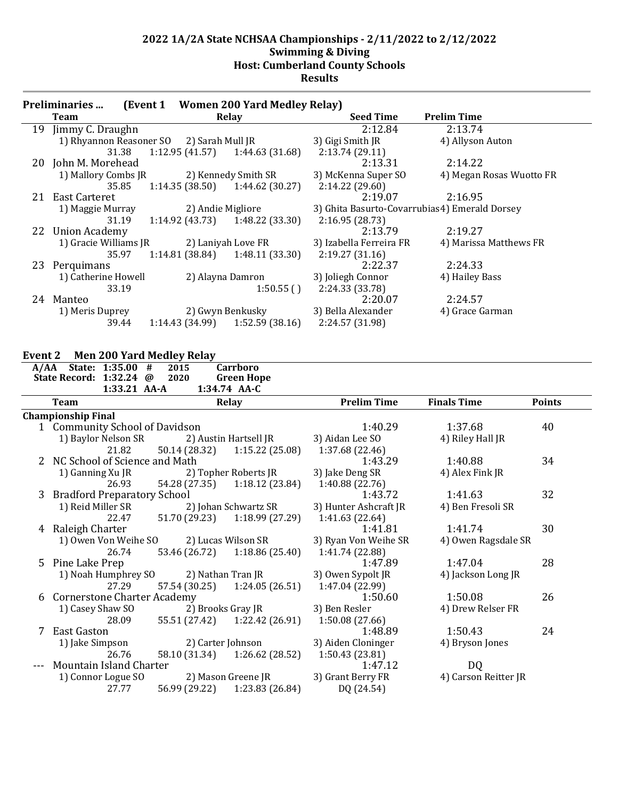|    | <b>Preliminaries</b>                     |                   | (Event 1 Women 200 Yard Medley Relay) |                         |                                                |
|----|------------------------------------------|-------------------|---------------------------------------|-------------------------|------------------------------------------------|
|    | Team                                     |                   | Relay                                 | <b>Seed Time</b>        | <b>Prelim Time</b>                             |
| 19 | Jimmy C. Draughn                         |                   |                                       | 2:12.84                 | 2:13.74                                        |
|    | 1) Rhyannon Reasoner SO 2) Sarah Mull JR |                   |                                       | 3) Gigi Smith JR        | 4) Allyson Auton                               |
|    | 31.38                                    |                   | $1:12.95(41.57)$ $1:44.63(31.68)$     | 2:13.74(29.11)          |                                                |
|    | 20 John M. Morehead                      |                   |                                       | 2:13.31                 | 2:14.22                                        |
|    | 1) Mallory Combs JR                      |                   | 2) Kennedy Smith SR                   | 3) McKenna Super SO     | 4) Megan Rosas Wuotto FR                       |
|    | 35.85                                    | 1:14.35(38.50)    | 1:44.62(30.27)                        | 2:14.22(29.60)          |                                                |
| 21 | East Carteret                            |                   |                                       | 2:19.07                 | 2:16.95                                        |
|    | 1) Maggie Murray                         | 2) Andie Migliore |                                       |                         | 3) Ghita Basurto-Covarrubias 4) Emerald Dorsey |
|    | 31.19                                    |                   | $1:14.92(43.73)$ $1:48.22(33.30)$     | 2:16.95(28.73)          |                                                |
|    | 22 Union Academy                         |                   |                                       | 2:13.79                 | 2:19.27                                        |
|    | 1) Gracie Williams JR                    |                   | 2) Laniyah Love FR                    | 3) Izabella Ferreira FR | 4) Marissa Matthews FR                         |
|    | 35.97                                    | 1:14.81 (38.84)   | 1:48.11(33.30)                        | 2:19.27(31.16)          |                                                |
| 23 | Perquimans                               |                   |                                       | 2:22.37                 | 2:24.33                                        |
|    | 1) Catherine Howell                      |                   | 2) Alayna Damron                      | 3) Joliegh Connor       | 4) Hailey Bass                                 |
|    | 33.19                                    |                   | 1:50.55()                             | 2:24.33 (33.78)         |                                                |
|    | 24 Manteo                                |                   |                                       | 2:20.07                 | 2:24.57                                        |
|    | 1) Meris Duprey                          |                   | 2) Gwyn Benkusky                      | 3) Bella Alexander      | 4) Grace Garman                                |
|    | 39.44                                    |                   | $1:14.43(34.99)$ $1:52.59(38.16)$     | 2:24.57 (31.98)         |                                                |

### **Event 2 Men 200 Yard Medley Relay**

| <b>Team</b> |       |                                                                                                                                              |                                                                                                                      |                                                                                      |                                                                                                                                                        | <b>Prelim Time</b>                                                                                                                                                                                                                                                                                                                                                                                                                                                                    | <b>Finals Time</b>                    | <b>Points</b>            |
|-------------|-------|----------------------------------------------------------------------------------------------------------------------------------------------|----------------------------------------------------------------------------------------------------------------------|--------------------------------------------------------------------------------------|--------------------------------------------------------------------------------------------------------------------------------------------------------|---------------------------------------------------------------------------------------------------------------------------------------------------------------------------------------------------------------------------------------------------------------------------------------------------------------------------------------------------------------------------------------------------------------------------------------------------------------------------------------|---------------------------------------|--------------------------|
|             |       |                                                                                                                                              |                                                                                                                      |                                                                                      |                                                                                                                                                        |                                                                                                                                                                                                                                                                                                                                                                                                                                                                                       |                                       |                          |
|             |       |                                                                                                                                              |                                                                                                                      |                                                                                      |                                                                                                                                                        | 1:40.29                                                                                                                                                                                                                                                                                                                                                                                                                                                                               | 1:37.68                               | 40                       |
|             |       |                                                                                                                                              |                                                                                                                      |                                                                                      |                                                                                                                                                        | 3) Aidan Lee SO                                                                                                                                                                                                                                                                                                                                                                                                                                                                       | 4) Riley Hall JR                      |                          |
|             | 21.82 |                                                                                                                                              |                                                                                                                      |                                                                                      | 1:15.22(25.08)                                                                                                                                         | 1:37.68 (22.46)                                                                                                                                                                                                                                                                                                                                                                                                                                                                       |                                       |                          |
|             |       |                                                                                                                                              |                                                                                                                      |                                                                                      |                                                                                                                                                        | 1:43.29                                                                                                                                                                                                                                                                                                                                                                                                                                                                               |                                       | 34                       |
|             |       |                                                                                                                                              |                                                                                                                      |                                                                                      |                                                                                                                                                        | 3) Jake Deng SR                                                                                                                                                                                                                                                                                                                                                                                                                                                                       | 4) Alex Fink JR                       |                          |
|             | 26.93 |                                                                                                                                              |                                                                                                                      |                                                                                      | 1:18.12(23.84)                                                                                                                                         | 1:40.88 (22.76)                                                                                                                                                                                                                                                                                                                                                                                                                                                                       |                                       |                          |
|             |       |                                                                                                                                              |                                                                                                                      |                                                                                      |                                                                                                                                                        |                                                                                                                                                                                                                                                                                                                                                                                                                                                                                       |                                       | 32                       |
|             |       |                                                                                                                                              |                                                                                                                      |                                                                                      |                                                                                                                                                        | 3) Hunter Ashcraft JR                                                                                                                                                                                                                                                                                                                                                                                                                                                                 | 4) Ben Fresoli SR                     |                          |
|             | 22.47 |                                                                                                                                              |                                                                                                                      |                                                                                      |                                                                                                                                                        | 1:41.63 (22.64)                                                                                                                                                                                                                                                                                                                                                                                                                                                                       |                                       |                          |
|             |       |                                                                                                                                              |                                                                                                                      |                                                                                      |                                                                                                                                                        | 1:41.81                                                                                                                                                                                                                                                                                                                                                                                                                                                                               | 1:41.74                               | 30                       |
|             |       |                                                                                                                                              |                                                                                                                      |                                                                                      |                                                                                                                                                        | 3) Ryan Von Weihe SR                                                                                                                                                                                                                                                                                                                                                                                                                                                                  | 4) Owen Ragsdale SR                   |                          |
|             | 26.74 |                                                                                                                                              |                                                                                                                      |                                                                                      | 1:18.86(25.40)                                                                                                                                         | 1:41.74 (22.88)                                                                                                                                                                                                                                                                                                                                                                                                                                                                       |                                       |                          |
|             |       |                                                                                                                                              |                                                                                                                      |                                                                                      |                                                                                                                                                        | 1:47.89                                                                                                                                                                                                                                                                                                                                                                                                                                                                               | 1:47.04                               | 28                       |
|             |       |                                                                                                                                              |                                                                                                                      |                                                                                      |                                                                                                                                                        | 3) Owen Sypolt JR                                                                                                                                                                                                                                                                                                                                                                                                                                                                     | 4) Jackson Long JR                    |                          |
|             | 27.29 |                                                                                                                                              |                                                                                                                      |                                                                                      |                                                                                                                                                        |                                                                                                                                                                                                                                                                                                                                                                                                                                                                                       |                                       |                          |
|             |       |                                                                                                                                              |                                                                                                                      |                                                                                      |                                                                                                                                                        | 1:50.60                                                                                                                                                                                                                                                                                                                                                                                                                                                                               | 1:50.08                               | 26                       |
|             |       |                                                                                                                                              |                                                                                                                      |                                                                                      |                                                                                                                                                        | 3) Ben Resler                                                                                                                                                                                                                                                                                                                                                                                                                                                                         | 4) Drew Relser FR                     |                          |
|             | 28.09 |                                                                                                                                              |                                                                                                                      |                                                                                      |                                                                                                                                                        | 1:50.08(27.66)                                                                                                                                                                                                                                                                                                                                                                                                                                                                        |                                       |                          |
|             |       |                                                                                                                                              |                                                                                                                      |                                                                                      |                                                                                                                                                        | 1:48.89                                                                                                                                                                                                                                                                                                                                                                                                                                                                               | 1:50.43                               | 24                       |
|             |       |                                                                                                                                              |                                                                                                                      |                                                                                      |                                                                                                                                                        | 3) Aiden Cloninger                                                                                                                                                                                                                                                                                                                                                                                                                                                                    | 4) Bryson Jones                       |                          |
|             | 26.76 |                                                                                                                                              |                                                                                                                      |                                                                                      |                                                                                                                                                        | 1:50.43 (23.81)                                                                                                                                                                                                                                                                                                                                                                                                                                                                       |                                       |                          |
|             |       |                                                                                                                                              |                                                                                                                      |                                                                                      |                                                                                                                                                        |                                                                                                                                                                                                                                                                                                                                                                                                                                                                                       |                                       |                          |
|             |       |                                                                                                                                              |                                                                                                                      |                                                                                      |                                                                                                                                                        | 3) Grant Berry FR                                                                                                                                                                                                                                                                                                                                                                                                                                                                     | 4) Carson Reitter JR                  |                          |
|             | 27.77 |                                                                                                                                              |                                                                                                                      |                                                                                      |                                                                                                                                                        | DQ (24.54)                                                                                                                                                                                                                                                                                                                                                                                                                                                                            |                                       |                          |
|             |       | <b>Championship Final</b><br>1) Ganning Xu JR<br>Raleigh Charter<br>5 Pine Lake Prep<br>1) Casey Shaw SO<br>7 East Gaston<br>1) Jake Simpson | A/AA State: 1:35.00 #<br>State Record: 1:32.24 @<br>1) Baylor Nelson SR<br>1) Noah Humphrey SO<br>1) Connor Logue SO | 1:33.21 AA-A<br>1) Reid Miller SR<br>1) Owen Von Weihe SO<br>Mountain Island Charter | 2015<br>2020<br>1 Community School of Davidson<br>NC School of Science and Math<br>3 Bradford Preparatory School<br><b>Cornerstone Charter Academy</b> | <b>Carrboro</b><br><b>Green Hope</b><br>1:34.74 AA-C<br><b>Relay</b><br>2) Austin Hartsell JR<br>50.14 (28.32)<br>2) Topher Roberts JR<br>54.28 (27.35)<br>2) Johan Schwartz SR<br>51.70 (29.23) 1:18.99 (27.29)<br>2) Lucas Wilson SR<br>53.46 (26.72)<br>2) Nathan Tran JR<br>$57.54(30.25)$ $1:24.05(26.51)$<br>2) Brooks Gray JR<br>55.51 (27.42) 1:22.42 (26.91)<br>2) Carter Johnson<br>58.10 (31.34) 1:26.62 (28.52)<br>2) Mason Greene JR<br>56.99 (29.22)<br>1:23.83 (26.84) | 1:43.72<br>1:47.04 (22.99)<br>1:47.12 | 1:40.88<br>1:41.63<br>DQ |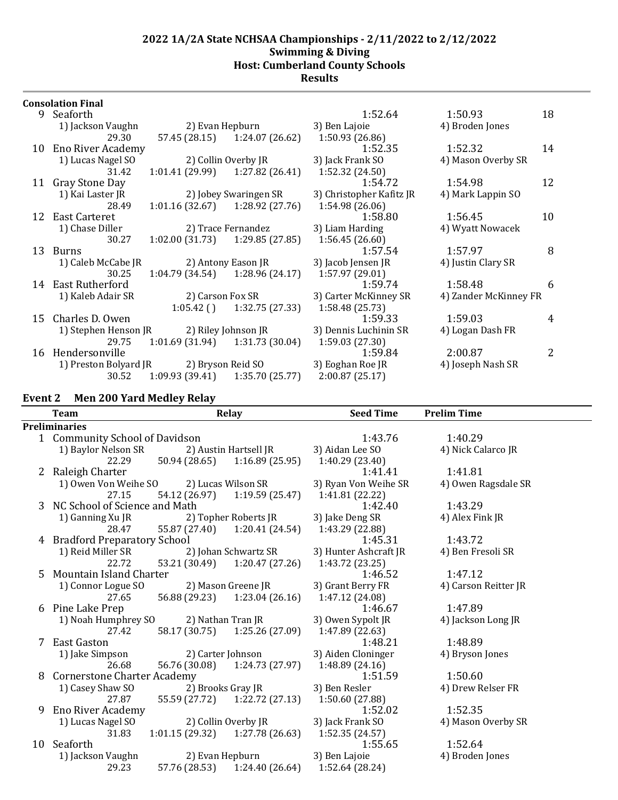## **Results**

| <b>Consolation Final</b> |  |
|--------------------------|--|
|--------------------------|--|

| 9  | Seaforth                                |                     |                                   | 1:52.64                    | 1:50.93               | 18 |
|----|-----------------------------------------|---------------------|-----------------------------------|----------------------------|-----------------------|----|
|    | 1) Jackson Vaughn                       |                     | 2) Evan Hepburn                   | 3) Ben Lajoie              | 4) Broden Jones       |    |
|    | 29.30                                   |                     | 57.45 (28.15) 1:24.07 (26.62)     | 1:50.93(26.86)             |                       |    |
|    | 10 Eno River Academy                    |                     |                                   | 1:52.35                    | 1:52.32               | 14 |
|    | 1) Lucas Nagel SO                       |                     | 2) Collin Overby JR               | 3) Jack Frank SO           | 4) Mason Overby SR    |    |
|    | 31.42                                   |                     | $1:01.41(29.99)$ $1:27.82(26.41)$ | 1:52.32(24.50)             |                       |    |
|    | 11 Gray Stone Day                       |                     |                                   | 1:54.72                    | 1:54.98               | 12 |
|    | 1) Kai Laster JR                        |                     | 2) Jobey Swaringen SR             | 3) Christopher Kafitz JR   | 4) Mark Lappin SO     |    |
|    | 28.49                                   | 1:01.16(32.67)      | 1:28.92(27.76)                    | 1:54.98 (26.06)            |                       |    |
|    | 12 East Carteret                        |                     |                                   | 1:58.80                    | 1:56.45               | 10 |
|    | 1) Chase Diller                         |                     | 2) Trace Fernandez                | 3) Liam Harding            | 4) Wyatt Nowacek      |    |
|    | 30.27                                   |                     | $1:02.00(31.73)$ $1:29.85(27.85)$ | 1:56.45(26.60)             |                       |    |
| 13 | <b>Burns</b>                            |                     |                                   | 1:57.54                    | 1:57.97               | 8  |
|    | 1) Caleb McCabe JR                      | 2) Antony Eason JR  |                                   | 3) Jacob Jensen JR         | 4) Justin Clary SR    |    |
|    | 30.25                                   | 1:04.79 (34.54)     | 1:28.96 (24.17)                   | 1:57.97 (29.01)<br>1:59.74 | 1:58.48               |    |
|    | 14 East Rutherford                      |                     |                                   |                            |                       | 6  |
|    | 1) Kaleb Adair SR                       | 2) Carson Fox SR    |                                   | 3) Carter McKinney SR      | 4) Zander McKinney FR |    |
|    | 15 Charles D. Owen                      | $1:05.42$ ()        | 1:32.75 (27.33)                   | 1:58.48 (25.73)<br>1:59.33 | 1:59.03               | 4  |
|    | 1) Stephen Henson JR                    | 2) Riley Johnson JR |                                   | 3) Dennis Luchinin SR      | 4) Logan Dash FR      |    |
|    | 29.75                                   | 1:01.69 (31.94)     | 1:31.73 (30.04)                   | 1:59.03(27.30)             |                       |    |
| 16 | Hendersonville                          |                     |                                   | 1:59.84                    | 2:00.87               | 2  |
|    | 1) Preston Bolyard JR 2) Bryson Reid SO |                     |                                   | 3) Eoghan Roe JR           | 4) Joseph Nash SR     |    |
|    | 30.52                                   | 1:09.93 (39.41)     | 1:35.70 (25.77)                   | 2:00.87(25.17)             |                       |    |
|    |                                         |                     |                                   |                            |                       |    |

## **Event 2 Men 200 Yard Medley Relay**

|    | <b>Team</b>                        |                   | Relay                             | <b>Seed Time</b>      | <b>Prelim Time</b>   |  |
|----|------------------------------------|-------------------|-----------------------------------|-----------------------|----------------------|--|
|    | <b>Preliminaries</b>               |                   |                                   |                       |                      |  |
|    | 1 Community School of Davidson     |                   |                                   | 1:43.76               | 1:40.29              |  |
|    | 1) Baylor Nelson SR                |                   | 2) Austin Hartsell JR             | 3) Aidan Lee SO       | 4) Nick Calarco JR   |  |
|    | 22.29                              |                   | $50.94(28.65)$ $1:16.89(25.95)$   | 1:40.29 (23.40)       |                      |  |
| 2  | Raleigh Charter                    |                   |                                   | 1:41.41               | 1:41.81              |  |
|    | 1) Owen Von Weihe SO               |                   | 2) Lucas Wilson SR                | 3) Ryan Von Weihe SR  | 4) Owen Ragsdale SR  |  |
|    | 27.15                              |                   | 54.12 (26.97) 1:19.59 (25.47)     | 1:41.81 (22.22)       |                      |  |
|    | 3 NC School of Science and Math    |                   |                                   | 1:42.40               | 1:43.29              |  |
|    | 1) Ganning Xu JR                   |                   | 2) Topher Roberts JR              | 3) Jake Deng SR       | 4) Alex Fink JR      |  |
|    | 28.47                              |                   | 55.87 (27.40) 1:20.41 (24.54)     | 1:43.29 (22.88)       |                      |  |
|    | 4 Bradford Preparatory School      |                   |                                   | 1:45.31               | 1:43.72              |  |
|    | 1) Reid Miller SR                  |                   | 2) Johan Schwartz SR              | 3) Hunter Ashcraft JR | 4) Ben Fresoli SR    |  |
|    | 22.72                              |                   | 53.21 (30.49) 1:20.47 (27.26)     | 1:43.72 (23.25)       |                      |  |
|    | 5 Mountain Island Charter          |                   |                                   | 1:46.52               | 1:47.12              |  |
|    | 1) Connor Logue SO                 |                   | 2) Mason Greene JR                | 3) Grant Berry FR     | 4) Carson Reitter JR |  |
|    | 27.65                              |                   | 56.88 (29.23) 1:23.04 (26.16)     | 1:47.12 (24.08)       |                      |  |
| 6  | Pine Lake Prep                     |                   |                                   | 1:46.67               | 1:47.89              |  |
|    | 1) Noah Humphrey SO                | 2) Nathan Tran JR |                                   | 3) Owen Sypolt JR     | 4) Jackson Long JR   |  |
|    | 27.42                              |                   | 58.17 (30.75) 1:25.26 (27.09)     | 1:47.89 (22.63)       |                      |  |
|    | 7 East Gaston                      |                   |                                   | 1:48.21               | 1:48.89              |  |
|    | 1) Jake Simpson                    |                   | 2) Carter Johnson                 | 3) Aiden Cloninger    | 4) Bryson Jones      |  |
|    | 26.68                              |                   | 56.76 (30.08) 1:24.73 (27.97)     | 1:48.89 (24.16)       |                      |  |
| 8  | <b>Cornerstone Charter Academy</b> |                   |                                   | 1:51.59               | 1:50.60              |  |
|    | 1) Casey Shaw SO                   | 2) Brooks Gray JR |                                   | 3) Ben Resler         | 4) Drew Relser FR    |  |
|    | 27.87                              |                   | 55.59 (27.72) 1:22.72 (27.13)     | 1:50.60 (27.88)       |                      |  |
| 9  | <b>Eno River Academy</b>           |                   |                                   | 1:52.02               | 1:52.35              |  |
|    | 1) Lucas Nagel SO                  |                   | 2) Collin Overby JR               | 3) Jack Frank SO      | 4) Mason Overby SR   |  |
|    | 31.83                              |                   | $1:01.15(29.32)$ $1:27.78(26.63)$ | 1:52.35 (24.57)       |                      |  |
| 10 | Seaforth                           |                   |                                   | 1:55.65               | 1:52.64              |  |
|    | 1) Jackson Vaughn                  | 2) Evan Hepburn   |                                   | 3) Ben Lajoie         | 4) Broden Jones      |  |
|    | 29.23                              |                   | 57.76 (28.53) 1:24.40 (26.64)     | 1:52.64 (28.24)       |                      |  |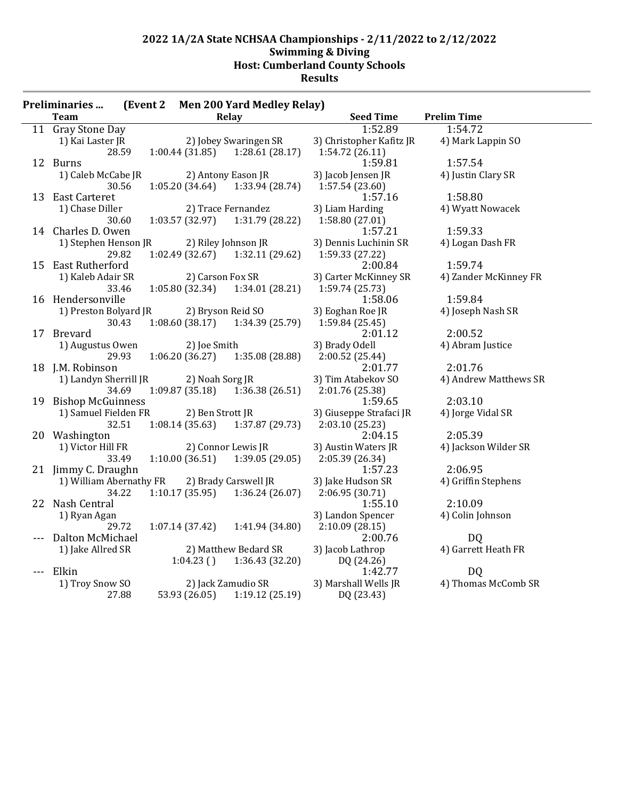| <b>Preliminaries</b>    | (Event 2) |                   | <b>Men 200 Yard Medley Relay)</b> |                          |                       |
|-------------------------|-----------|-------------------|-----------------------------------|--------------------------|-----------------------|
| <b>Team</b>             |           |                   | Relay                             | <b>Seed Time</b>         | <b>Prelim Time</b>    |
| 11 Gray Stone Day       |           |                   |                                   | 1:52.89                  | 1:54.72               |
| 1) Kai Laster JR        |           |                   | 2) Jobey Swaringen SR             | 3) Christopher Kafitz JR | 4) Mark Lappin SO     |
| 28.59                   |           | 1:00.44(31.85)    | 1:28.61(28.17)                    | 1:54.72(26.11)           |                       |
| 12 Burns                |           |                   |                                   | 1:59.81                  | 1:57.54               |
| 1) Caleb McCabe JR      |           |                   | 2) Antony Eason JR                | 3) Jacob Jensen JR       | 4) Justin Clary SR    |
| 30.56                   |           | 1:05.20(34.64)    | 1:33.94 (28.74)                   | 1:57.54(23.60)           |                       |
| 13 East Carteret        |           |                   |                                   | 1:57.16                  | 1:58.80               |
| 1) Chase Diller         |           |                   | 2) Trace Fernandez                | 3) Liam Harding          | 4) Wyatt Nowacek      |
| 30.60                   |           | 1:03.57(32.97)    | 1:31.79 (28.22)                   | 1:58.80 (27.01)          |                       |
| 14 Charles D. Owen      |           |                   |                                   | 1:57.21                  | 1:59.33               |
| 1) Stephen Henson JR    |           |                   | 2) Riley Johnson JR               | 3) Dennis Luchinin SR    | 4) Logan Dash FR      |
| 29.82                   |           | 1:02.49 (32.67)   | 1:32.11 (29.62)                   | 1:59.33 (27.22)          |                       |
| 15 East Rutherford      |           |                   |                                   | 2:00.84                  | 1:59.74               |
| 1) Kaleb Adair SR       |           | 2) Carson Fox SR  |                                   | 3) Carter McKinney SR    | 4) Zander McKinney FR |
| 33.46                   |           | 1:05.80 (32.34)   | 1:34.01 (28.21)                   | 1:59.74 (25.73)          |                       |
| 16 Hendersonville       |           |                   |                                   | 1:58.06                  | 1:59.84               |
| 1) Preston Bolyard JR   |           | 2) Bryson Reid SO |                                   | 3) Eoghan Roe JR         | 4) Joseph Nash SR     |
| 30.43                   |           | 1:08.60(38.17)    | 1:34.39(25.79)                    | 1:59.84 (25.45)          |                       |
| 17 Brevard              |           |                   |                                   | 2:01.12                  | 2:00.52               |
| 1) Augustus Owen        |           | 2) Joe Smith      |                                   | 3) Brady Odell           | 4) Abram Justice      |
| 29.93                   |           |                   | $1:06.20(36.27)$ $1:35.08(28.88)$ | 2:00.52 (25.44)          |                       |
| 18 J.M. Robinson        |           |                   |                                   | 2:01.77                  | 2:01.76               |
| 1) Landyn Sherrill JR   |           | 2) Noah Sorg JR   |                                   | 3) Tim Atabekov SO       | 4) Andrew Matthews SR |
| 34.69                   |           | 1:09.87(35.18)    | 1:36.38(26.51)                    | 2:01.76 (25.38)          |                       |
| 19 Bishop McGuinness    |           |                   |                                   | 1:59.65                  | 2:03.10               |
| 1) Samuel Fielden FR    |           | 2) Ben Strott JR  |                                   | 3) Giuseppe Strafaci JR  | 4) Jorge Vidal SR     |
| 32.51                   |           |                   | $1:08.14(35.63)$ $1:37.87(29.73)$ | 2:03.10(25.23)           |                       |
| 20 Washington           |           |                   |                                   | 2:04.15                  | 2:05.39               |
| 1) Victor Hill FR       |           |                   | 2) Connor Lewis JR                | 3) Austin Waters JR      | 4) Jackson Wilder SR  |
| 33.49                   |           | 1:10.00(36.51)    | 1:39.05 (29.05)                   | 2:05.39 (26.34)          |                       |
| 21 Jimmy C. Draughn     |           |                   |                                   | 1:57.23                  | 2:06.95               |
| 1) William Abernathy FR |           |                   | 2) Brady Carswell JR              | 3) Jake Hudson SR        | 4) Griffin Stephens   |
| 34.22                   |           | 1:10.17(35.95)    | 1:36.24(26.07)                    | 2:06.95 (30.71)          |                       |
| 22 Nash Central         |           |                   |                                   | 1:55.10                  | 2:10.09               |
| 1) Ryan Agan            |           |                   |                                   | 3) Landon Spencer        | 4) Colin Johnson      |
| 29.72                   |           | 1:07.14(37.42)    | 1:41.94 (34.80)                   | 2:10.09(28.15)           |                       |
| --- Dalton McMichael    |           |                   |                                   | 2:00.76                  | DQ                    |
| 1) Jake Allred SR       |           |                   | 2) Matthew Bedard SR              | 3) Jacob Lathrop         | 4) Garrett Heath FR   |
|                         |           | 1:04.23(          | 1:36.43 (32.20)                   | DQ (24.26)               |                       |
| --- Elkin               |           |                   |                                   | 1:42.77                  | D <sub>Q</sub>        |
| 1) Troy Snow SO         |           |                   | 2) Jack Zamudio SR                | 3) Marshall Wells JR     | 4) Thomas McComb SR   |
| 27.88                   |           | 53.93 (26.05)     | 1:19.12(25.19)                    | DQ (23.43)               |                       |
|                         |           |                   |                                   |                          |                       |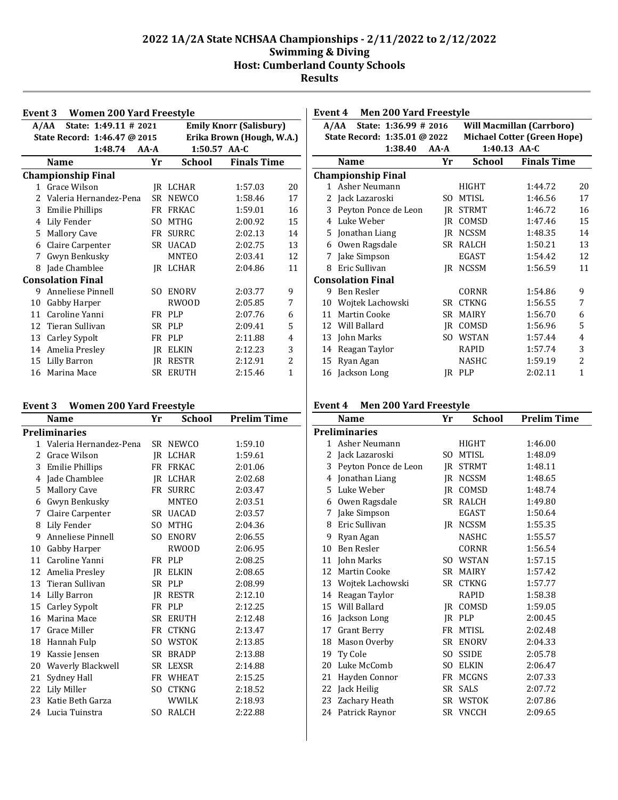|                                            | Event 3 Women 200 Yard Freestyle                                |           |                |                           |    |  |  |  |  |  |
|--------------------------------------------|-----------------------------------------------------------------|-----------|----------------|---------------------------|----|--|--|--|--|--|
|                                            | State: 1:49.11 # 2021<br><b>Emily Knorr (Salisbury)</b><br>A/AA |           |                |                           |    |  |  |  |  |  |
|                                            | State Record: 1:46.47 @ 2015                                    |           |                | Erika Brown (Hough, W.A.) |    |  |  |  |  |  |
|                                            | 1:48.74                                                         | $AA - A$  | $1:50.57$ AA-C |                           |    |  |  |  |  |  |
| <b>Finals Time</b><br>School<br>Yr<br>Name |                                                                 |           |                |                           |    |  |  |  |  |  |
|                                            | <b>Championship Final</b>                                       |           |                |                           |    |  |  |  |  |  |
| $\mathbf{1}$                               | Grace Wilson                                                    |           | IR LCHAR       | 1:57.03                   | 20 |  |  |  |  |  |
| $\mathcal{L}$                              | Valeria Hernandez-Pena                                          | <b>SR</b> | <b>NEWCO</b>   | 1:58.46                   | 17 |  |  |  |  |  |
| 3                                          | <b>Emilie Phillips</b>                                          | FR        | <b>FRKAC</b>   | 1:59.01                   | 16 |  |  |  |  |  |
| 4                                          | Lily Fender                                                     | SO.       | <b>MTHG</b>    | 2:00.92                   | 15 |  |  |  |  |  |
| 5                                          | <b>Mallory Cave</b>                                             | FR        | <b>SURRC</b>   | 2:02.13                   | 14 |  |  |  |  |  |
| 6                                          | Claire Carpenter                                                | SR.       | <b>UACAD</b>   | 2:02.75                   | 13 |  |  |  |  |  |
| 7                                          | Gwyn Benkusky                                                   |           | <b>MNTEO</b>   | 2:03.41                   | 12 |  |  |  |  |  |
| 8                                          | Jade Chamblee                                                   | IR        | LCHAR          | 2:04.86                   | 11 |  |  |  |  |  |
|                                            | <b>Consolation Final</b>                                        |           |                |                           |    |  |  |  |  |  |
| 9                                          | Anneliese Pinnell                                               | SO.       | <b>ENORV</b>   | 2:03.77                   | 9  |  |  |  |  |  |
| 10                                         | Gabby Harper                                                    |           | <b>RWOOD</b>   | 2:05.85                   | 7  |  |  |  |  |  |
| 11                                         | Caroline Yanni                                                  | FR        | <b>PLP</b>     | 2:07.76                   | 6  |  |  |  |  |  |
| 12                                         | Tieran Sullivan                                                 | SR.       | PLP            | 2:09.41                   | 5  |  |  |  |  |  |
| 13                                         | Carley Sypolt                                                   | FR        | <b>PLP</b>     | 2:11.88                   | 4  |  |  |  |  |  |
| 14                                         | Amelia Presley                                                  | IR        | <b>ELKIN</b>   | 2:12.23                   | 3  |  |  |  |  |  |
| 15                                         | Lilly Barron                                                    | IR.       | <b>RESTR</b>   | 2:12.91                   | 2  |  |  |  |  |  |
| 16                                         | Marina Mace                                                     | SR.       | <b>ERUTH</b>   | 2:15.46                   | 1  |  |  |  |  |  |

| <b>Men 200 Yard Freestyle</b><br>Event 4 |                               |          |              |                                    |    |  |  |  |  |
|------------------------------------------|-------------------------------|----------|--------------|------------------------------------|----|--|--|--|--|
|                                          | State: 1:36.99 # 2016<br>A/AA |          |              | <b>Will Macmillan (Carrboro)</b>   |    |  |  |  |  |
|                                          | State Record: 1:35.01 @ 2022  |          |              | <b>Michael Cotter (Green Hope)</b> |    |  |  |  |  |
|                                          | 1:38.40                       | $AA - A$ |              | 1:40.13 AA-C                       |    |  |  |  |  |
|                                          | <b>Name</b>                   | Yr       | School       | <b>Finals Time</b>                 |    |  |  |  |  |
|                                          | <b>Championship Final</b>     |          |              |                                    |    |  |  |  |  |
| 1                                        | Asher Neumann                 |          | <b>HIGHT</b> | 1:44.72                            | 20 |  |  |  |  |
| 2                                        | Jack Lazaroski                | SO.      | <b>MTISL</b> | 1:46.56                            | 17 |  |  |  |  |
| 3                                        | Peyton Ponce de Leon          | IR       | <b>STRMT</b> | 1:46.72                            | 16 |  |  |  |  |
| 4                                        | Luke Weber                    | IR       | COMSD        | 1:47.46                            | 15 |  |  |  |  |
| 5                                        | Jonathan Liang                | IR       | <b>NCSSM</b> | 1:48.35                            | 14 |  |  |  |  |
| 6                                        | Owen Ragsdale                 | SR       | <b>RALCH</b> | 1:50.21                            | 13 |  |  |  |  |
| 7                                        | Jake Simpson                  |          | <b>EGAST</b> | 1:54.42                            | 12 |  |  |  |  |
| 8                                        | Eric Sullivan                 | IR       | <b>NCSSM</b> | 1:56.59                            | 11 |  |  |  |  |
|                                          | <b>Consolation Final</b>      |          |              |                                    |    |  |  |  |  |
| 9                                        | Ben Resler                    |          | <b>CORNR</b> | 1:54.86                            | 9  |  |  |  |  |
| 10                                       | Wojtek Lachowski              | SR       | <b>CTKNG</b> | 1:56.55                            | 7  |  |  |  |  |
| 11                                       | Martin Cooke                  | SR.      | <b>MAIRY</b> | 1:56.70                            | 6  |  |  |  |  |
| 12                                       | Will Ballard                  | IR.      | COMSD        | 1:56.96                            | 5  |  |  |  |  |
| 13                                       | John Marks                    | SO.      | <b>WSTAN</b> | 1:57.44                            | 4  |  |  |  |  |
| 14                                       | Reagan Taylor                 |          | RAPID        | 1:57.74                            | 3  |  |  |  |  |
| 15                                       | Ryan Agan                     |          | <b>NASHC</b> | 1:59.19                            | 2  |  |  |  |  |
| 16                                       | Jackson Long                  | IR       | <b>PLP</b>   | 2:02.11                            | 1  |  |  |  |  |
|                                          |                               |          |              |                                    |    |  |  |  |  |

## **Event 3 Women 200 Yard Freestyle**

|               | Name                     | Yr  | <b>School</b> | <b>Prelim Time</b> |
|---------------|--------------------------|-----|---------------|--------------------|
|               | <b>Preliminaries</b>     |     |               |                    |
|               | 1 Valeria Hernandez-Pena |     | SR NEWCO      | 1:59.10            |
| $\mathcal{L}$ | Grace Wilson             |     | IR LCHAR      | 1:59.61            |
| 3             | <b>Emilie Phillips</b>   | FR  | <b>FRKAC</b>  | 2:01.06            |
| 4             | Jade Chamblee            |     | JR LCHAR      | 2:02.68            |
| 5             | <b>Mallory Cave</b>      |     | FR SURRC      | 2:03.47            |
| 6             | Gwyn Benkusky            |     | MNTEO         | 2:03.51            |
| 7             | Claire Carpenter         |     | SR UACAD      | 2:03.57            |
| 8             | Lily Fender              | SO. | MTHG          | 2:04.36            |
| 9             | Anneliese Pinnell        | SO. | <b>ENORV</b>  | 2:06.55            |
| 10            | Gabby Harper             |     | RWOOD         | 2:06.95            |
| 11            | Caroline Yanni           | FR  | <b>PLP</b>    | 2:08.25            |
| 12            | Amelia Presley           |     | IR ELKIN      | 2:08.65            |
| 13            | Tieran Sullivan          |     | SR PLP        | 2:08.99            |
| 14            | Lilly Barron             |     | IR RESTR      | 2:12.10            |
| 15            | Carley Sypolt            |     | FR PLP        | 2:12.25            |
| 16            | Marina Mace              | SR  | <b>ERUTH</b>  | 2:12.48            |
| 17            | Grace Miller             | FR  | <b>CTKNG</b>  | 2:13.47            |
| 18            | Hannah Fulp              | SO. | <b>WSTOK</b>  | 2:13.85            |
| 19            | Kassie Jensen            |     | SR BRADP      | 2:13.88            |
| 20            | Waverly Blackwell        |     | SR LEXSR      | 2:14.88            |
| 21            | Sydney Hall              |     | FR WHEAT      | 2:15.25            |
| 22            | Lily Miller              | SO. | <b>CTKNG</b>  | 2:18.52            |
| 23            | Katie Beth Garza         |     | WWILK         | 2:18.93            |
| 24            | Lucia Tuinstra           | SO. | <b>RALCH</b>  | 2:22.88            |

### **Event 4 Men 200 Yard Freestyle**

|    | Name                 | Yr   | School       | <b>Prelim Time</b> |
|----|----------------------|------|--------------|--------------------|
|    | <b>Preliminaries</b> |      |              |                    |
| 1  | Asher Neumann        |      | <b>HIGHT</b> | 1:46.00            |
| 2  | Jack Lazaroski       | SO.  | <b>MTISL</b> | 1:48.09            |
| 3  | Peyton Ponce de Leon | IR   | <b>STRMT</b> | 1:48.11            |
| 4  | Jonathan Liang       | IR   | <b>NCSSM</b> | 1:48.65            |
| 5. | Luke Weber           | IR   | COMSD        | 1:48.74            |
| 6  | Owen Ragsdale        | SR.  | RALCH        | 1:49.80            |
| 7  | Jake Simpson         |      | EGAST        | 1:50.64            |
| 8  | Eric Sullivan        | IR   | <b>NCSSM</b> | 1:55.35            |
| 9  | Ryan Agan            |      | <b>NASHC</b> | 1:55.57            |
| 10 | <b>Ben Resler</b>    |      | <b>CORNR</b> | 1:56.54            |
| 11 | John Marks           | SO.  | <b>WSTAN</b> | 1:57.15            |
| 12 | Martin Cooke         | SR   | <b>MAIRY</b> | 1:57.42            |
| 13 | Wojtek Lachowski     |      | SR CTKNG     | 1:57.77            |
| 14 | Reagan Taylor        |      | RAPID        | 1:58.38            |
| 15 | Will Ballard         | IR   | COMSD        | 1:59.05            |
| 16 | Jackson Long         | IR   | <b>PLP</b>   | 2:00.45            |
|    | 17 Grant Berry       | FR   | <b>MTISL</b> | 2:02.48            |
| 18 | Mason Overby         | SR   | <b>ENORV</b> | 2:04.33            |
| 19 | Ty Cole              | SO.  | <b>SSIDE</b> | 2:05.78            |
| 20 | Luke McComb          | SO.  | <b>ELKIN</b> | 2:06.47            |
| 21 | Hayden Connor        | FR   | <b>MCGNS</b> | 2:07.33            |
| 22 | Jack Heilig          | SR - | <b>SALS</b>  | 2:07.72            |
| 23 | Zachary Heath        |      | SR WSTOK     | 2:07.86            |
|    | 24 Patrick Raynor    |      | SR VNCCH     | 2:09.65            |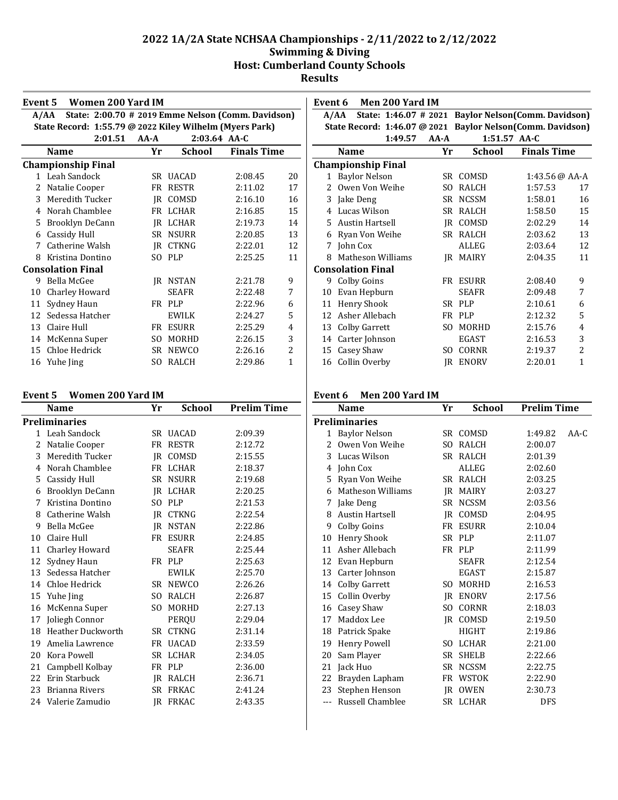| Event 5 | Women 200 Yard IM                                          |        |                 |                    |              |
|---------|------------------------------------------------------------|--------|-----------------|--------------------|--------------|
|         | State: 2:00.70 # 2019 Emme Nelson (Comm. Davidson)<br>A/AA |        |                 |                    |              |
|         | State Record: 1:55.79 @ 2022 Kiley Wilhelm (Myers Park)    |        |                 |                    |              |
|         | 2:01.51                                                    | $AA-A$ |                 | 2:03.64 AA-C       |              |
|         | <b>Name</b>                                                | Yr     | <b>School</b>   | <b>Finals Time</b> |              |
|         | <b>Championship Final</b>                                  |        |                 |                    |              |
|         | 1 Leah Sandock                                             |        | SR UACAD        | 2:08.45            | 20           |
| 2       | Natalie Cooper                                             |        | FR RESTR        | 2:11.02            | 17           |
| 3       | Meredith Tucker                                            |        | IR COMSD        | 2:16.10            | 16           |
| 4       | Norah Chamblee                                             |        | FR LCHAR        | 2:16.85            | 15           |
| 5       | Brooklyn DeCann                                            |        | IR LCHAR        | 2:19.73            | 14           |
| 6       | Cassidy Hull                                               | SR -   | <b>NSURR</b>    | 2:20.85            | 13           |
| 7       | Catherine Walsh                                            |        | <b>IR CTKNG</b> | 2:22.01            | 12           |
| 8       | Kristina Dontino                                           | SO.    | <b>PLP</b>      | 2:25.25            | 11           |
|         | <b>Consolation Final</b>                                   |        |                 |                    |              |
| 9       | Bella McGee                                                |        | <b>IR NSTAN</b> | 2:21.78            | 9            |
| 10      | Charley Howard                                             |        | <b>SEAFR</b>    | 2:22.48            | 7            |
| 11      | Sydney Haun                                                |        | FR PLP          | 2:22.96            | 6            |
| 12      | Sedessa Hatcher                                            |        | EWILK           | 2:24.27            | 5            |
| 13      | Claire Hull                                                | FR     | <b>ESURR</b>    | 2:25.29            | 4            |
| 14      | McKenna Super                                              | SO.    | MORHD           | 2:26.15            | 3            |
| 15      | Chloe Hedrick                                              | SR     | <b>NEWCO</b>    | 2:26.16            | 2            |
| 16      | Yuhe Jing                                                  | SO.    | <b>RALCH</b>    | 2:29.86            | $\mathbf{1}$ |

| Event 5 | <b>Women 200 Yard IM</b> |  |  |  |
|---------|--------------------------|--|--|--|
|---------|--------------------------|--|--|--|

|    | Name                 | Yr  | School          | <b>Prelim Time</b> |
|----|----------------------|-----|-----------------|--------------------|
|    | Preliminaries        |     |                 |                    |
|    | 1 Leah Sandock       |     | SR UACAD        | 2:09.39            |
| 2  | Natalie Cooper       |     | FR RESTR        | 2:12.72            |
|    | 3 Meredith Tucker    |     | IR COMSD        | 2:15.55            |
| 4  | Norah Chamblee       |     | FR LCHAR        | 2:18.37            |
| 5  | Cassidy Hull         |     | SR NSURR        | 2:19.68            |
| 6  | Brooklyn DeCann      |     | IR LCHAR        | 2:20.25            |
| 7  | Kristina Dontino     |     | SO PLP          | 2:21.53            |
| 8  | Catherine Walsh      |     | IR CTKNG        | 2:22.54            |
| 9  | Bella McGee          |     | IR NSTAN        | 2:22.86            |
| 10 | Claire Hull          |     | FR ESURR        | 2:24.85            |
| 11 | Charley Howard       |     | SEAFR           | 2:25.44            |
| 12 | Sydney Haun          |     | FR PLP          | 2:25.63            |
|    | 13 Sedessa Hatcher   |     | EWILK           | 2:25.70            |
| 14 | Chloe Hedrick        |     | SR NEWCO        | 2:26.26            |
|    | 15 Yuhe Jing         |     | SO RALCH        | 2:26.87            |
| 16 | McKenna Super        | SO. | MORHD           | 2:27.13            |
| 17 | Joliegh Connor       |     | PEROU           | 2:29.04            |
|    | 18 Heather Duckworth | SR. | <b>CTKNG</b>    | 2:31.14            |
| 19 | Amelia Lawrence      | FR  | <b>UACAD</b>    | 2:33.59            |
| 20 | Kora Powell          | SR  | LCHAR           | 2:34.05            |
| 21 | Campbell Kolbay      |     | FR PLP          | 2:36.00            |
|    | 22 Erin Starbuck     |     | IR RALCH        | 2:36.71            |
| 23 | Brianna Rivers       |     | SR FRKAC        | 2:41.24            |
|    | 24 Valerie Zamudio   |     | <b>IR FRKAC</b> | 2:43.35            |
|    |                      |     |                 |                    |

| Event 6       | Men 200 Yard IM                                            |          |               |                                                     |             |
|---------------|------------------------------------------------------------|----------|---------------|-----------------------------------------------------|-------------|
|               | A/AA                                                       |          |               | State: 1:46.07 # 2021 Baylor Nelson(Comm. Davidson) |             |
|               | State Record: 1:46.07 @ 2021 Baylor Nelson(Comm. Davidson) |          |               |                                                     |             |
|               | 1:49.57                                                    | $AA - A$ |               | $1:51.57$ AA-C                                      |             |
|               | <b>Name</b>                                                | Yr       | <b>School</b> | <b>Finals Time</b>                                  |             |
|               | <b>Championship Final</b>                                  |          |               |                                                     |             |
| 1             | <b>Baylor Nelson</b>                                       |          | SR COMSD      | 1:43.56 @ AA-A                                      |             |
| $\mathcal{L}$ | Owen Von Weihe                                             | SO.      | <b>RALCH</b>  | 1:57.53                                             | 17          |
| 3             | Jake Deng                                                  | SR.      | <b>NCSSM</b>  | 1:58.01                                             | 16          |
| 4             | Lucas Wilson                                               | SR       | RALCH         | 1:58.50                                             | 15          |
| 5.            | <b>Austin Hartsell</b>                                     |          | IR COMSD      | 2:02.29                                             | 14          |
| 6             | Ryan Von Weihe                                             | SR -     | RALCH         | 2:03.62                                             | 13          |
| 7             | John Cox                                                   |          | ALLEG         | 2:03.64                                             | 12          |
| 8             | Matheson Williams                                          | IR       | <b>MAIRY</b>  | 2:04.35                                             | 11          |
|               | <b>Consolation Final</b>                                   |          |               |                                                     |             |
| 9.            | Colby Goins                                                |          | FR ESURR      | 2:08.40                                             | 9           |
| 10            | Evan Hepburn                                               |          | <b>SEAFR</b>  | 2:09.48                                             | 7           |
| 11            | Henry Shook                                                | SR -     | <b>PLP</b>    | 2:10.61                                             | 6           |
| 12            | Asher Allebach                                             | FR       | <b>PLP</b>    | 2:12.32                                             | 5           |
| 13            | Colby Garrett                                              | SO.      | MORHD         | 2:15.76                                             | 4           |
| 14            | Carter Johnson                                             |          | <b>EGAST</b>  | 2:16.53                                             | 3           |
| 15            | Casey Shaw                                                 | SO.      | CORNR         | 2:19.37                                             | 2           |
| 16            | Collin Overby                                              | IR       | <b>ENORV</b>  | 2:20.01                                             | $\mathbf 1$ |

# **Event 6 Men 200 Yard IM**

|                | <b>Name</b>          | Yr        | <b>School</b> | <b>Prelim Time</b> |        |
|----------------|----------------------|-----------|---------------|--------------------|--------|
|                | Preliminaries        |           |               |                    |        |
| 1              | <b>Baylor Nelson</b> |           | SR COMSD      | 1:49.82            | $AA-C$ |
| $\overline{c}$ | Owen Von Weihe       | SO.       | <b>RALCH</b>  | 2:00.07            |        |
| 3              | Lucas Wilson         |           | SR RALCH      | 2:01.39            |        |
| 4              | John Cox             |           | ALLEG         | 2:02.60            |        |
| 5              | Ryan Von Weihe       |           | SR RALCH      | 2:03.25            |        |
| 6              | Matheson Williams    | IR.       | MAIRY         | 2:03.27            |        |
| 7              | Jake Deng            | SR        | <b>NCSSM</b>  | 2:03.56            |        |
| 8              | Austin Hartsell      | IR.       | COMSD         | 2:04.95            |        |
| 9              | Colby Goins          | FR        | <b>ESURR</b>  | 2:10.04            |        |
| 10             | Henry Shook          | SR.       | <b>PLP</b>    | 2:11.07            |        |
| 11             | Asher Allebach       |           | FR PLP        | 2:11.99            |        |
| 12             | Evan Hepburn         |           | <b>SEAFR</b>  | 2:12.54            |        |
| 13             | Carter Johnson       |           | EGAST         | 2:15.87            |        |
| 14             | Colby Garrett        | SO.       | MORHD         | 2:16.53            |        |
| 15             | Collin Overby        | IR        | ENORV         | 2:17.56            |        |
| 16             | Casey Shaw           | SO.       | <b>CORNR</b>  | 2:18.03            |        |
| 17             | Maddox Lee           | IR        | COMSD         | 2:19.50            |        |
| 18             | Patrick Spake        |           | <b>HIGHT</b>  | 2:19.86            |        |
| 19             | Henry Powell         | SO.       | <b>LCHAR</b>  | 2:21.00            |        |
| 20             | Sam Player           | <b>SR</b> | <b>SHELB</b>  | 2:22.66            |        |
| 21             | Jack Huo             | SR        | <b>NCSSM</b>  | 2:22.75            |        |
| 22             | Brayden Lapham       | FR        | <b>WSTOK</b>  | 2:22.90            |        |
| 23             | Stephen Henson       | <b>IR</b> | <b>OWEN</b>   | 2:30.73            |        |
| $---$          | Russell Chamblee     |           | SR LCHAR      | <b>DFS</b>         |        |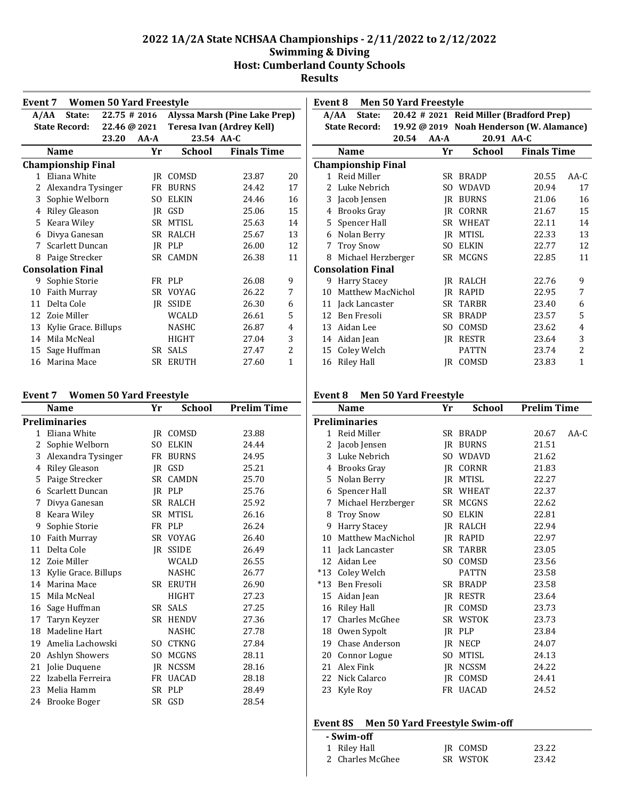|                 | <b>Women 50 Yard Freestyle</b><br>Event 7 |              |          |               |                               |    |
|-----------------|-------------------------------------------|--------------|----------|---------------|-------------------------------|----|
|                 | A/AA<br>State:                            | 22.75 # 2016 |          |               | Alyssa Marsh (Pine Lake Prep) |    |
|                 | <b>State Record:</b>                      | 22.46 @ 2021 |          |               | Teresa Ivan (Ardrey Kell)     |    |
|                 |                                           | 23.20        | $AA - A$ | 23.54 AA-C    |                               |    |
|                 | <b>Name</b>                               |              | Yr       | <b>School</b> | <b>Finals Time</b>            |    |
|                 | <b>Championship Final</b>                 |              |          |               |                               |    |
| $\mathbf{1}$    | Eliana White                              |              | IR       | COMSD         | 23.87                         | 20 |
| 2               | Alexandra Tysinger                        |              | FR       | <b>BURNS</b>  | 24.42                         | 17 |
| 3               | Sophie Welborn                            |              | SO.      | <b>ELKIN</b>  | 24.46                         | 16 |
| 4               | <b>Riley Gleason</b>                      |              |          | IR GSD        | 25.06                         | 15 |
| 5.              | Keara Wiley                               |              |          | SR MTISL      | 25.63                         | 14 |
| 6               | Divya Ganesan                             |              |          | SR RALCH      | 25.67                         | 13 |
| 7               | Scarlett Duncan                           |              |          | IR PLP        | 26.00                         | 12 |
| 8               | Paige Strecker                            |              |          | SR CAMDN      | 26.38                         | 11 |
|                 | <b>Consolation Final</b>                  |              |          |               |                               |    |
| 9.              | Sophie Storie                             |              |          | FR PLP        | 26.08                         | 9  |
| 10              | <b>Faith Murray</b>                       |              |          | SR VOYAG      | 26.22                         | 7  |
| 11              | Delta Cole                                |              | IR       | <b>SSIDE</b>  | 26.30                         | 6  |
| 12 <sup>1</sup> | Zoie Miller                               |              |          | <b>WCALD</b>  | 26.61                         | 5  |
| 13              | Kylie Grace. Billups                      |              |          | <b>NASHC</b>  | 26.87                         | 4  |
| 14              | Mila McNeal                               |              |          | <b>HIGHT</b>  | 27.04                         | 3  |
| 15              | Sage Huffman                              |              | SR.      | <b>SALS</b>   | 27.47                         | 2  |
| 16              | Marina Mace                               |              | SR       | <b>ERUTH</b>  | 27.60                         | 1  |

#### **Event 7 Women 50 Yard Freestyle**

|              | Name                 | Yr  | School       | <b>Prelim Time</b> |
|--------------|----------------------|-----|--------------|--------------------|
|              | Preliminaries        |     |              |                    |
| $\mathbf{1}$ | Eliana White         |     | IR COMSD     | 23.88              |
| 2            | Sophie Welborn       | SO. | <b>ELKIN</b> | 24.44              |
| 3            | Alexandra Tysinger   |     | FR BURNS     | 24.95              |
| 4            | Riley Gleason        |     | IR GSD       | 25.21              |
| 5            | Paige Strecker       |     | SR CAMDN     | 25.70              |
| 6            | Scarlett Duncan      |     | IR PLP       | 25.76              |
| 7            | Divya Ganesan        |     | SR RALCH     | 25.92              |
| 8            | Keara Wiley          |     | SR MTISL     | 26.16              |
| 9            | Sophie Storie        |     | FR PLP       | 26.24              |
| 10           | Faith Murray         |     | SR VOYAG     | 26.40              |
| 11           | Delta Cole           | IR  | <b>SSIDE</b> | 26.49              |
| 12           | Zoie Miller          |     | WCALD        | 26.55              |
| 13           | Kylie Grace. Billups |     | <b>NASHC</b> | 26.77              |
| 14           | Marina Mace          |     | SR ERUTH     | 26.90              |
| 15           | Mila McNeal          |     | <b>HIGHT</b> | 27.23              |
| 16           | Sage Huffman         |     | SR SALS      | 27.25              |
| 17           | Taryn Keyzer         |     | SR HENDV     | 27.36              |
| 18           | Madeline Hart        |     | <b>NASHC</b> | 27.78              |
| 19           | Amelia Lachowski     |     | SO CTKNG     | 27.84              |
| 20           | Ashlyn Showers       | SO. | MCGNS        | 28.11              |
| 21           | Jolie Duquene        |     | JR NCSSM     | 28.16              |
| 22           | Izabella Ferreira    | FR  | <b>UACAD</b> | 28.18              |
| 23           | Melia Hamm           |     | SR PLP       | 28.49              |
|              | 24 Brooke Boger      |     | SR GSD       | 28.54              |
|              |                      |     |              |                    |

|               | Event 8                   |              | <b>Men 50 Yard Freestyle</b> |               |                                          |              |
|---------------|---------------------------|--------------|------------------------------|---------------|------------------------------------------|--------------|
|               | State:<br>A/AA            |              |                              |               | 20.42 # 2021 Reid Miller (Bradford Prep) |              |
|               | <b>State Record:</b>      | 19.92 @ 2019 |                              |               | <b>Noah Henderson (W. Alamance)</b>      |              |
|               |                           | 20.54        | $AA - A$                     | 20.91 AA-C    |                                          |              |
|               | Name                      |              | Yr                           | <b>School</b> | <b>Finals Time</b>                       |              |
|               | <b>Championship Final</b> |              |                              |               |                                          |              |
|               | 1 Reid Miller             |              | SR                           | <b>BRADP</b>  | 20.55                                    | AA-C         |
| $\mathcal{L}$ | Luke Nebrich              |              | SO.                          | WDAVD         | 20.94                                    | 17           |
|               | 3 Jacob Jensen            |              | IR                           | <b>BURNS</b>  | 21.06                                    | 16           |
| 4             | <b>Brooks Gray</b>        |              | IR                           | CORNR         | 21.67                                    | 15           |
| 5.            | Spencer Hall              |              | SR                           | <b>WHEAT</b>  | 22.11                                    | 14           |
| 6             | Nolan Berry               |              | IR                           | <b>MTISL</b>  | 22.33                                    | 13           |
| 7             | <b>Troy Snow</b>          |              | SO.                          | <b>ELKIN</b>  | 22.77                                    | 12           |
| 8             | Michael Herzberger        |              | SR                           | MCGNS         | 22.85                                    | 11           |
|               | <b>Consolation Final</b>  |              |                              |               |                                          |              |
|               | 9 Harry Stacey            |              | IR                           | RALCH         | 22.76                                    | 9            |
| 10            | Matthew MacNichol         |              | IR                           | <b>RAPID</b>  | 22.95                                    | 7            |
| 11            | Jack Lancaster            |              | SR                           | <b>TARBR</b>  | 23.40                                    | 6            |
| 12            | Ben Fresoli               |              | SR.                          | <b>BRADP</b>  | 23.57                                    | 5            |
| 13            | Aidan Lee                 |              | SO.                          | COMSD         | 23.62                                    | 4            |
|               | 14 Aidan Jean             |              | IR                           | <b>RESTR</b>  | 23.64                                    | 3            |
| 15            | Coley Welch               |              |                              | <b>PATTN</b>  | 23.74                                    | 2            |
| 16            | Riley Hall                |              | IR                           | COMSD         | 23.83                                    | $\mathbf{1}$ |

#### **Event 8 Men 50 Yard Freestyle**

|              | Name                  | Yr        | <b>School</b> | <b>Prelim Time</b> |        |
|--------------|-----------------------|-----------|---------------|--------------------|--------|
|              | <b>Preliminaries</b>  |           |               |                    |        |
| $\mathbf{1}$ | Reid Miller           | SR        | <b>BRADP</b>  | 20.67              | $AA-C$ |
| 2            | Jacob Jensen          | IR        | <b>BURNS</b>  | 21.51              |        |
| 3            | Luke Nebrich          | SO.       | <b>WDAVD</b>  | 21.62              |        |
| 4            | Brooks Gray           | IR        | <b>CORNR</b>  | 21.83              |        |
| 5            | Nolan Berry           | IR        | <b>MTISL</b>  | 22.27              |        |
| 6            | Spencer Hall          |           | SR WHEAT      | 22.37              |        |
| 7            | Michael Herzberger    |           | SR MCGNS      | 22.62              |        |
| 8            | <b>Troy Snow</b>      | SO.       | <b>ELKIN</b>  | 22.81              |        |
| 9            | <b>Harry Stacey</b>   | IR        | RALCH         | 22.94              |        |
| 10           | Matthew MacNichol     | IR        | RAPID         | 22.97              |        |
| 11           | Jack Lancaster        | SR        | <b>TARBR</b>  | 23.05              |        |
| 12           | Aidan Lee             | SO.       | COMSD         | 23.56              |        |
| $*13$        | Coley Welch           |           | <b>PATTN</b>  | 23.58              |        |
| $*13$        | Ben Fresoli           | SR        | <b>BRADP</b>  | 23.58              |        |
| 15           | Aidan Jean            | IR        | <b>RESTR</b>  | 23.64              |        |
| 16           | Riley Hall            | IR        | COMSD         | 23.73              |        |
| 17           | Charles McGhee        | <b>SR</b> | <b>WSTOK</b>  | 23.73              |        |
| 18           | Owen Sypolt           | IR.       | <b>PLP</b>    | 23.84              |        |
| 19           | <b>Chase Anderson</b> | IR        | <b>NECP</b>   | 24.07              |        |
| 20           | Connor Logue          | SO.       | <b>MTISL</b>  | 24.13              |        |
| 21           | Alex Fink             | IR        | <b>NCSSM</b>  | 24.22              |        |
| 22           | Nick Calarco          | IR        | COMSD         | 24.41              |        |
| 23           | Kyle Roy              |           | FR UACAD      | 24.52              |        |

#### **Event 8S Men 50 Yard Freestyle Swim-off**

| - Swim-off       |          |       |
|------------------|----------|-------|
| 1 Riley Hall     | IR COMSD | 23.22 |
| 2 Charles McGhee | SR WSTOK | 23.42 |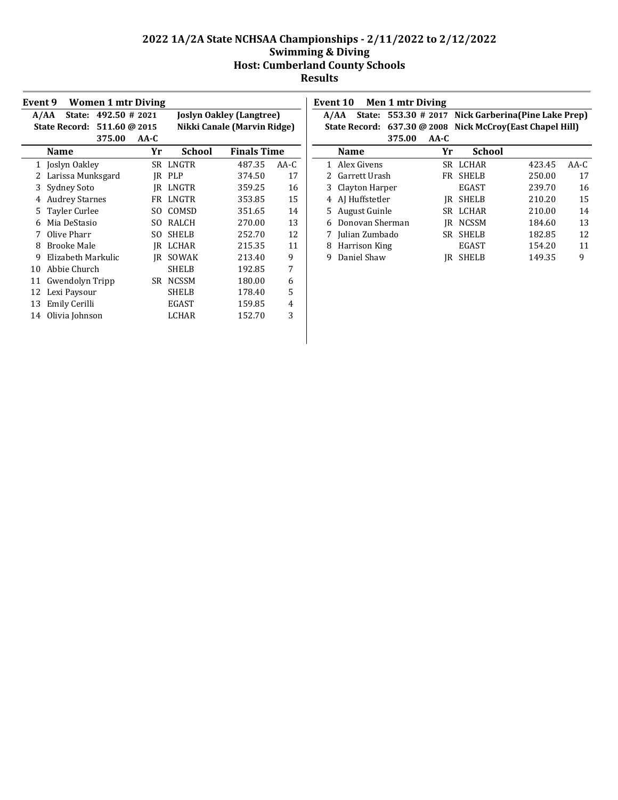|    | <b>Women 1 mtr Diving</b><br>Event 9 |               |      |              |                                 |        |  |  |  |
|----|--------------------------------------|---------------|------|--------------|---------------------------------|--------|--|--|--|
|    | State:<br>A/AA                       | 492.50 # 2021 |      |              | <b>Joslyn Oakley (Langtree)</b> |        |  |  |  |
|    | State Record: 511.60 @ 2015          |               |      |              | Nikki Canale (Marvin Ridge)     |        |  |  |  |
|    |                                      | 375.00        | AA-C |              |                                 |        |  |  |  |
|    | <b>Name</b>                          |               | Yr   | School       | <b>Finals Time</b>              |        |  |  |  |
| 1  | Joslyn Oakley                        |               |      | SR LNGTR     | 487.35                          | $AA-C$ |  |  |  |
| 2  | Larissa Munksgard                    |               | IR   | <b>PLP</b>   | 374.50                          | 17     |  |  |  |
| 3  | Sydney Soto                          |               | IR   | LNGTR        | 359.25                          | 16     |  |  |  |
| 4  | <b>Audrey Starnes</b>                |               | FR   | LNGTR        | 353.85                          | 15     |  |  |  |
| 5  | Tayler Curlee                        |               | SO.  | COMSD        | 351.65                          | 14     |  |  |  |
| 6  | Mia DeStasio                         |               | SO.  | RALCH        | 270.00                          | 13     |  |  |  |
| 7  | Olive Pharr                          |               | SΟ   | <b>SHELB</b> | 252.70                          | 12     |  |  |  |
| 8  | <b>Brooke Male</b>                   |               | IR   | LCHAR        | 215.35                          | 11     |  |  |  |
| 9  | Elizabeth Markulic                   |               | IR   | SOWAK        | 213.40                          | 9      |  |  |  |
| 10 | Abbie Church                         |               |      | <b>SHELB</b> | 192.85                          | 7      |  |  |  |
| 11 | Gwendolyn Tripp                      |               | SR.  | <b>NCSSM</b> | 180.00                          | 6      |  |  |  |
| 12 | Lexi Paysour                         |               |      | <b>SHELB</b> | 178.40                          | 5      |  |  |  |
| 13 | Emily Cerilli                        |               |      | <b>EGAST</b> | 159.85                          | 4      |  |  |  |
| 14 | Olivia Johnson                       |               |      | LCHAR        | 152.70                          | 3      |  |  |  |
|    |                                      |               |      |              |                                 |        |  |  |  |

| Event 10 |                             | <b>Men 1 mtr Diving</b> |        |                                               |        |        |
|----------|-----------------------------|-------------------------|--------|-----------------------------------------------|--------|--------|
| A/AA     | State:                      |                         |        | 553.30 # 2017 Nick Garberina (Pine Lake Prep) |        |        |
|          | State Record: 637.30 @ 2008 |                         |        | Nick McCroy(East Chapel Hill)                 |        |        |
|          |                             | 375.00                  | $AA-C$ |                                               |        |        |
|          | <b>Name</b>                 |                         | Yr     | School                                        |        |        |
|          | 1 Alex Givens               |                         |        | SR LCHAR                                      | 423.45 | $AA-C$ |
|          | 2 Garrett Urash             |                         | FR.    | <b>SHELB</b>                                  | 250.00 | 17     |
| 3        | Clayton Harper              |                         |        | <b>EGAST</b>                                  | 239.70 | 16     |
| 4        | AI Huffstetler              |                         | IR     | <b>SHELB</b>                                  | 210.20 | 15     |
|          | 5 August Guinle             |                         | SR.    | LCHAR                                         | 210.00 | 14     |
|          | Donovan Sherman             |                         | IR     | <b>NCSSM</b>                                  | 184.60 | 13     |
|          | Julian Zumbado              |                         | SR     | <b>SHELB</b>                                  | 182.85 | 12     |
| 8        | Harrison King               |                         |        | <b>EGAST</b>                                  | 154.20 | 11     |
| 9        | Daniel Shaw                 |                         |        | <b>SHELB</b>                                  | 149.35 | 9      |
|          |                             |                         |        |                                               |        |        |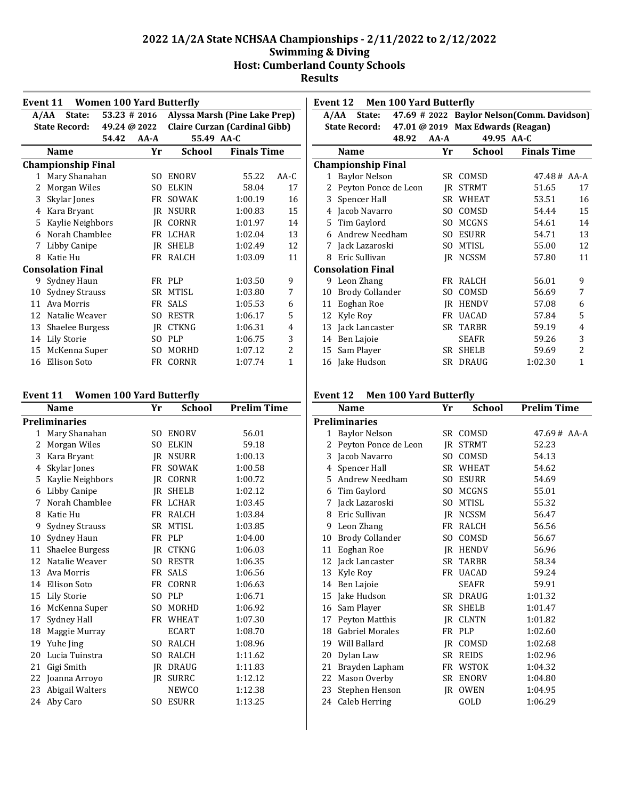|              | <b>Women 100 Yard Butterfly</b><br>Event 11                        |              |          |               |                                      |        |  |  |  |  |
|--------------|--------------------------------------------------------------------|--------------|----------|---------------|--------------------------------------|--------|--|--|--|--|
|              | Alyssa Marsh (Pine Lake Prep)<br>$53.23 \# 2016$<br>A/AA<br>State: |              |          |               |                                      |        |  |  |  |  |
|              | <b>State Record:</b>                                               | 49.24 @ 2022 |          |               | <b>Claire Curzan (Cardinal Gibb)</b> |        |  |  |  |  |
|              |                                                                    | 54.42        | $AA - A$ | 55.49 AA-C    |                                      |        |  |  |  |  |
|              | Name                                                               |              | Yr       | <b>School</b> | <b>Finals Time</b>                   |        |  |  |  |  |
|              | <b>Championship Final</b>                                          |              |          |               |                                      |        |  |  |  |  |
| $\mathbf{1}$ | Mary Shanahan                                                      |              | SO.      | <b>ENORV</b>  | 55.22                                | $AA-C$ |  |  |  |  |
| 2            | Morgan Wiles                                                       |              | SO.      | <b>ELKIN</b>  | 58.04                                | 17     |  |  |  |  |
| 3            | Skylar Jones                                                       |              | FR       | SOWAK         | 1:00.19                              | 16     |  |  |  |  |
| 4            | Kara Bryant                                                        |              | IR.      | <b>NSURR</b>  | 1:00.83                              | 15     |  |  |  |  |
| 5            | Kaylie Neighbors                                                   |              | IR       | <b>CORNR</b>  | 1:01.97                              | 14     |  |  |  |  |
| 6            | Norah Chamblee                                                     |              | FR       | <b>LCHAR</b>  | 1:02.04                              | 13     |  |  |  |  |
| 7            | Libby Canipe                                                       |              | IR       | SHELB         | 1:02.49                              | 12     |  |  |  |  |
| 8            | Katie Hu                                                           |              |          | FR RALCH      | 1:03.09                              | 11     |  |  |  |  |
|              | <b>Consolation Final</b>                                           |              |          |               |                                      |        |  |  |  |  |
| 9            | Sydney Haun                                                        |              |          | FR PLP        | 1:03.50                              | 9      |  |  |  |  |
| 10           | <b>Sydney Strauss</b>                                              |              | SR.      | <b>MTISL</b>  | 1:03.80                              | 7      |  |  |  |  |
| 11           | Ava Morris                                                         |              | FR       | <b>SALS</b>   | 1:05.53                              | 6      |  |  |  |  |
| 12           | Natalie Weaver                                                     |              | SO.      | <b>RESTR</b>  | 1:06.17                              | 5      |  |  |  |  |
| 13           | <b>Shaelee Burgess</b>                                             |              | IR       | <b>CTKNG</b>  | 1:06.31                              | 4      |  |  |  |  |
| 14           | Lily Storie                                                        |              | SO.      | <b>PLP</b>    | 1:06.75                              | 3      |  |  |  |  |
| 15           | McKenna Super                                                      |              | SO.      | MORHD         | 1:07.12                              | 2      |  |  |  |  |
| 16           | <b>Ellison Soto</b>                                                |              | FR       | CORNR         | 1:07.74                              | 1      |  |  |  |  |

#### **Event 11 Women 100 Yard Butterfly**

| Name                | Yr                         | School       | <b>Prelim Time</b>                            |
|---------------------|----------------------------|--------------|-----------------------------------------------|
|                     |                            |              |                                               |
| Mary Shanahan       | SO.                        | <b>ENORV</b> | 56.01                                         |
| Morgan Wiles        | SO.                        | <b>ELKIN</b> | 59.18                                         |
| Kara Bryant         |                            |              | 1:00.13                                       |
| Skylar Jones        | <b>FR</b>                  | <b>SOWAK</b> | 1:00.58                                       |
| Kaylie Neighbors    | IR                         | <b>CORNR</b> | 1:00.72                                       |
| Libby Canipe        | IR                         | SHELB        | 1:02.12                                       |
| Norah Chamblee      |                            |              | 1:03.45                                       |
| Katie Hu            | FR                         | RALCH        | 1:03.84                                       |
| Sydney Strauss      | SR                         | <b>MTISL</b> | 1:03.85                                       |
| Sydney Haun         | FR                         | <b>PLP</b>   | 1:04.00                                       |
| Shaelee Burgess     | IR.                        | <b>CTKNG</b> | 1:06.03                                       |
| Natalie Weaver      | SO.                        | <b>RESTR</b> | 1:06.35                                       |
| Ava Morris          |                            | <b>SALS</b>  | 1:06.56                                       |
| <b>Ellison Soto</b> | FR                         | <b>CORNR</b> | 1:06.63                                       |
| <b>Lily Storie</b>  | SO.                        | <b>PLP</b>   | 1:06.71                                       |
| McKenna Super       | SO.                        | <b>MORHD</b> | 1:06.92                                       |
| Sydney Hall         |                            |              | 1:07.30                                       |
| Maggie Murray       |                            | <b>ECART</b> | 1:08.70                                       |
| Yuhe Jing           | SO.                        | RALCH        | 1:08.96                                       |
| Lucia Tuinstra      | S <sub>O</sub>             | RALCH        | 1:11.62                                       |
| Gigi Smith          | IR.                        | <b>DRAUG</b> | 1:11.83                                       |
| Joanna Arroyo       | IR.                        | <b>SURRC</b> | 1:12.12                                       |
| Abigail Walters     |                            | <b>NEWCO</b> | 1:12.38                                       |
| Aby Caro            | S <sub>O</sub>             | <b>ESURR</b> | 1:13.25                                       |
|                     | <b>Preliminaries</b><br>11 |              | <b>IR NSURR</b><br>FR LCHAR<br>FR<br>FR WHEAT |

|              | <b>Men 100 Yard Butterfly</b><br>Event 12 |          |                                   |                                            |    |  |  |  |  |
|--------------|-------------------------------------------|----------|-----------------------------------|--------------------------------------------|----|--|--|--|--|
|              | A/AA<br>State:                            |          |                                   | 47.69 # 2022 Baylor Nelson(Comm. Davidson) |    |  |  |  |  |
|              | <b>State Record:</b>                      |          | 47.01 @ 2019 Max Edwards (Reagan) |                                            |    |  |  |  |  |
|              | 48.92                                     | $AA - A$ | 49.95 AA-C                        |                                            |    |  |  |  |  |
|              | <b>Name</b>                               | Yr       | School                            | <b>Finals Time</b>                         |    |  |  |  |  |
|              | <b>Championship Final</b>                 |          |                                   |                                            |    |  |  |  |  |
| $\mathbf{1}$ | <b>Baylor Nelson</b>                      |          | SR COMSD                          | $47.48 \# \AA - A$                         |    |  |  |  |  |
| 2            | Peyton Ponce de Leon                      | IR       | <b>STRMT</b>                      | 51.65                                      | 17 |  |  |  |  |
| 3            | Spencer Hall                              | SR       | <b>WHEAT</b>                      | 53.51                                      | 16 |  |  |  |  |
| 4            | Jacob Navarro                             | SO.      | COMSD                             | 54.44                                      | 15 |  |  |  |  |
| 5.           | Tim Gaylord                               | SO.      | <b>MCGNS</b>                      | 54.61                                      | 14 |  |  |  |  |
| 6            | Andrew Needham                            | SO.      | <b>ESURR</b>                      | 54.71                                      | 13 |  |  |  |  |
| 7            | Jack Lazaroski                            | SO.      | <b>MTISL</b>                      | 55.00                                      | 12 |  |  |  |  |
| 8            | Eric Sullivan                             | IR       | <b>NCSSM</b>                      | 57.80                                      | 11 |  |  |  |  |
|              | <b>Consolation Final</b>                  |          |                                   |                                            |    |  |  |  |  |
|              | 9 Leon Zhang                              | FR       | RALCH                             | 56.01                                      | 9  |  |  |  |  |
| 10           | <b>Brody Collander</b>                    | SO.      | COMSD                             | 56.69                                      | 7  |  |  |  |  |
| 11           | Eoghan Roe                                | IR       | <b>HENDV</b>                      | 57.08                                      | 6  |  |  |  |  |
| 12           | Kyle Roy                                  | FR       | <b>UACAD</b>                      | 57.84                                      | 5  |  |  |  |  |
| 13           | Jack Lancaster                            | SR.      | <b>TARBR</b>                      | 59.19                                      | 4  |  |  |  |  |
| 14           | Ben Lajoie                                |          | <b>SEAFR</b>                      | 59.26                                      | 3  |  |  |  |  |
| 15           | Sam Player                                | SR       | <b>SHELB</b>                      | 59.69                                      | 2  |  |  |  |  |
| 16           | Jake Hudson                               |          | SR DRAUG                          | 1:02.30                                    | 1  |  |  |  |  |

#### **Event 12 Men 100 Yard Butterfly**

|    | <b>Name</b>            | Yr        | School       | <b>Prelim Time</b> |
|----|------------------------|-----------|--------------|--------------------|
|    | Preliminaries          |           |              |                    |
| 1  | <b>Baylor Nelson</b>   |           | SR COMSD     | $47.69 \# AAA-A$   |
| 2  | Peyton Ponce de Leon   | <b>IR</b> | <b>STRMT</b> | 52.23              |
| 3  | Jacob Navarro          | SO.       | COMSD        | 54.13              |
| 4  | Spencer Hall           |           | SR WHEAT     | 54.62              |
| 5  | Andrew Needham         |           | SO ESURR     | 54.69              |
| 6  | Tim Gaylord            |           | SO MCGNS     | 55.01              |
| 7  | Jack Lazaroski         | SO.       | <b>MTISL</b> | 55.32              |
| 8  | Eric Sullivan          |           | JR NCSSM     | 56.47              |
| 9  | Leon Zhang             | FR        | <b>RALCH</b> | 56.56              |
| 10 | <b>Brody Collander</b> | SO.       | COMSD        | 56.67              |
| 11 | Eoghan Roe             |           | JR HENDV     | 56.96              |
| 12 | Jack Lancaster         |           | SR TARBR     | 58.34              |
| 13 | Kyle Roy               |           | FR UACAD     | 59.24              |
| 14 | Ben Lajoie             |           | SEAFR        | 59.91              |
| 15 | Jake Hudson            |           | SR DRAUG     | 1:01.32            |
| 16 | Sam Player             | SR        | <b>SHELB</b> | 1:01.47            |
| 17 | Peyton Matthis         | <b>IR</b> | <b>CLNTN</b> | 1:01.82            |
| 18 | <b>Gabriel Morales</b> |           | FR PLP       | 1:02.60            |
| 19 | Will Ballard           | IR.       | COMSD        | 1:02.68            |
| 20 | Dylan Law              | SR        | <b>REIDS</b> | 1:02.96            |
| 21 | Brayden Lapham         |           | FR WSTOK     | 1:04.32            |
| 22 | Mason Overby           | SR        | <b>ENORV</b> | 1:04.80            |
| 23 | Stephen Henson         | IR        | <b>OWEN</b>  | 1:04.95            |
| 24 | Caleb Herring          |           | GOLD         | 1:06.29            |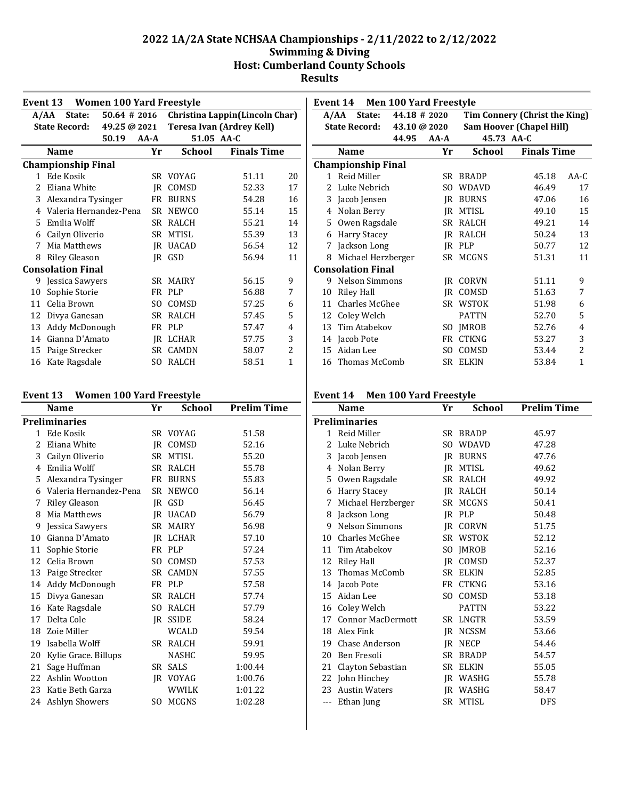|              | <b>Women 100 Yard Freestyle</b><br>Event 13                         |                 |                 |                           |    |  |  |  |  |  |  |
|--------------|---------------------------------------------------------------------|-----------------|-----------------|---------------------------|----|--|--|--|--|--|--|
|              | Christina Lappin(Lincoln Char)<br>$50.64 \# 2016$<br>State:<br>A/AA |                 |                 |                           |    |  |  |  |  |  |  |
|              | <b>State Record:</b>                                                | 49.25 @ 2021    |                 | Teresa Ivan (Ardrey Kell) |    |  |  |  |  |  |  |
|              |                                                                     | 50.19<br>$AA-A$ | 51.05 AA-C      |                           |    |  |  |  |  |  |  |
|              | <b>Name</b>                                                         | Yr              | <b>School</b>   | <b>Finals Time</b>        |    |  |  |  |  |  |  |
|              | <b>Championship Final</b>                                           |                 |                 |                           |    |  |  |  |  |  |  |
| $\mathbf{1}$ | Ede Kosik                                                           |                 | SR VOYAG        | 51.11                     | 20 |  |  |  |  |  |  |
| 2.           | Eliana White                                                        | IR              | COMSD           | 52.33                     | 17 |  |  |  |  |  |  |
| 3            | Alexandra Tysinger                                                  | FR              | <b>BURNS</b>    | 54.28                     | 16 |  |  |  |  |  |  |
| 4            | Valeria Hernandez-Pena                                              | SR.             | <b>NEWCO</b>    | 55.14                     | 15 |  |  |  |  |  |  |
| 5            | Emilia Wolff                                                        |                 | SR RALCH        | 55.21                     | 14 |  |  |  |  |  |  |
| 6            | Cailyn Oliverio                                                     | SR              | MTISL           | 55.39                     | 13 |  |  |  |  |  |  |
| 7            | Mia Matthews                                                        |                 | <b>IR UACAD</b> | 56.54                     | 12 |  |  |  |  |  |  |
| 8            | <b>Riley Gleason</b>                                                |                 | IR GSD          | 56.94                     | 11 |  |  |  |  |  |  |
|              | <b>Consolation Final</b>                                            |                 |                 |                           |    |  |  |  |  |  |  |
|              | 9 Jessica Sawyers                                                   |                 | SR MAIRY        | 56.15                     | 9  |  |  |  |  |  |  |
| 10           | Sophie Storie                                                       |                 | FR PLP          | 56.88                     | 7  |  |  |  |  |  |  |
| 11           | Celia Brown                                                         | SO.             | COMSD           | 57.25                     | 6  |  |  |  |  |  |  |
| 12           | Divya Ganesan                                                       | SR              | <b>RALCH</b>    | 57.45                     | 5  |  |  |  |  |  |  |
| 13           | Addy McDonough                                                      |                 | FR PLP          | 57.47                     | 4  |  |  |  |  |  |  |
| 14           | Gianna D'Amato                                                      | IR              | LCHAR           | 57.75                     | 3  |  |  |  |  |  |  |
| 15           | Paige Strecker                                                      | SR.             | <b>CAMDN</b>    | 58.07                     | 2  |  |  |  |  |  |  |
| 16           | Kate Ragsdale                                                       | SO.             | RALCH           | 58.51                     | 1  |  |  |  |  |  |  |

#### **Event 13 Women 100 Yard Freestyle**

|              | Name                     | Yr | School       | <b>Prelim Time</b> |
|--------------|--------------------------|----|--------------|--------------------|
|              | <b>Preliminaries</b>     |    |              |                    |
| $\mathbf{1}$ | Ede Kosik                |    | SR VOYAG     | 51.58              |
| 2            | Eliana White             |    | IR COMSD     | 52.16              |
| 3            | Cailyn Oliverio          |    | SR MTISL     | 55.20              |
| 4            | Emilia Wolff             |    | SR RALCH     | 55.78              |
|              | 5 Alexandra Tysinger     |    | FR BURNS     | 55.83              |
|              | 6 Valeria Hernandez-Pena |    | SR NEWCO     | 56.14              |
| 7            | Riley Gleason            |    | IR GSD       | 56.45              |
| 8            | Mia Matthews             |    | JR UACAD     | 56.79              |
| 9            | Jessica Sawyers          |    | SR MAIRY     | 56.98              |
|              | 10 Gianna D'Amato        |    | IR LCHAR     | 57.10              |
| 11           | Sophie Storie            |    | FR PLP       | 57.24              |
|              | 12 Celia Brown           |    | SO COMSD     | 57.53              |
|              | 13 Paige Strecker        |    | SR CAMDN     | 57.55              |
|              | 14 Addy McDonough        |    | FR PLP       | 57.58              |
|              | 15 Divya Ganesan         |    | SR RALCH     | 57.74              |
| 16           | Kate Ragsdale            |    | SO RALCH     | 57.79              |
| 17           | Delta Cole               |    | IR SSIDE     | 58.24              |
| 18           | Zoie Miller              |    | WCALD        | 59.54              |
|              | 19 Isabella Wolff        |    | SR RALCH     | 59.91              |
| 20           | Kylie Grace. Billups     |    | <b>NASHC</b> | 59.95              |
| 21           | Sage Huffman             |    | SR SALS      | 1:00.44            |
| 22           | Ashlin Wootton           |    | IR VOYAG     | 1:00.76            |
| 23           | Katie Beth Garza         |    | <b>WWILK</b> | 1:01.22            |
|              | 24 Ashlyn Showers        |    | SO MCGNS     | 1:02.28            |

| Event 14 Men 100 Yard Freestyle |                           |              |          |              |                                 |                |  |  |
|---------------------------------|---------------------------|--------------|----------|--------------|---------------------------------|----------------|--|--|
|                                 | State:<br>A/AA            | 44.18 # 2020 |          |              | Tim Connery (Christ the King)   |                |  |  |
|                                 | <b>State Record:</b>      | 43.10 @ 2020 |          |              | <b>Sam Hoover (Chapel Hill)</b> |                |  |  |
|                                 |                           | 44.95        | $AA - A$ | 45.73 AA-C   |                                 |                |  |  |
|                                 | <b>Name</b>               |              | Yr       | School       | <b>Finals Time</b>              |                |  |  |
|                                 | <b>Championship Final</b> |              |          |              |                                 |                |  |  |
|                                 | 1 Reid Miller             |              | SR -     | <b>BRADP</b> | 45.18                           | $AA-C$         |  |  |
| $\mathcal{L}$                   | Luke Nebrich              |              | SO.      | <b>WDAVD</b> | 46.49                           | 17             |  |  |
| 3                               | Jacob Jensen              |              | IR       | <b>BURNS</b> | 47.06                           | 16             |  |  |
| 4                               | Nolan Berry               |              | IR       | <b>MTISL</b> | 49.10                           | 15             |  |  |
| 5.                              | Owen Ragsdale             |              | SR.      | RALCH        | 49.21                           | 14             |  |  |
| 6                               | <b>Harry Stacey</b>       |              | IR       | RALCH        | 50.24                           | 13             |  |  |
| 7                               | Jackson Long              |              |          | IR PLP       | 50.77                           | 12             |  |  |
| 8                               | Michael Herzberger        |              |          | SR MCGNS     | 51.31                           | 11             |  |  |
|                                 | <b>Consolation Final</b>  |              |          |              |                                 |                |  |  |
|                                 | 9 Nelson Simmons          |              | IR       | CORVN        | 51.11                           | 9              |  |  |
| 10                              | Riley Hall                |              | IR       | COMSD        | 51.63                           | 7              |  |  |
| 11                              | <b>Charles McGhee</b>     |              |          | SR WSTOK     | 51.98                           | 6              |  |  |
| 12                              | Coley Welch               |              |          | <b>PATTN</b> | 52.70                           | 5              |  |  |
| 13                              | Tim Atabekov              |              | SO.      | <b>IMROB</b> | 52.76                           | 4              |  |  |
|                                 | 14 Jacob Pote             |              | FR       | <b>CTKNG</b> | 53.27                           | 3              |  |  |
| 15                              | Aidan Lee                 |              | SO.      | COMSD        | 53.44                           | 2              |  |  |
|                                 | 16 Thomas McComb          |              | SR -     | <b>ELKIN</b> | 53.84                           | $\overline{1}$ |  |  |

## **Event 14 Men 100 Yard Freestyle**

|                | Name                     | Yr             | <b>School</b> | <b>Prelim Time</b> |
|----------------|--------------------------|----------------|---------------|--------------------|
|                | Preliminaries            |                |               |                    |
|                | 1 Reid Miller            |                | SR BRADP      | 45.97              |
| $\overline{c}$ | Luke Nebrich             | S <sub>O</sub> | <b>WDAVD</b>  | 47.28              |
| 3              | Jacob Jensen             | IR             | <b>BURNS</b>  | 47.76              |
| 4              | Nolan Berry              | IR             | MTISL         | 49.62              |
| 5              | Owen Ragsdale            |                | SR RALCH      | 49.92              |
| 6              | <b>Harry Stacey</b>      |                | IR RALCH      | 50.14              |
| 7              | Michael Herzberger       | SR             | <b>MCGNS</b>  | 50.41              |
| 8              | Jackson Long             | IR             | PLP           | 50.48              |
| 9              | <b>Nelson Simmons</b>    | IR             | CORVN         | 51.75              |
| 10             | <b>Charles McGhee</b>    |                | SR WSTOK      | 52.12              |
|                | 11 Tim Atabekov          |                | SO JMROB      | 52.16              |
| 12             | Riley Hall               |                | IR COMSD      | 52.37              |
| 13             | Thomas McComb            | SR -           | <b>ELKIN</b>  | 52.85              |
| 14             | Jacob Pote               |                | FR CTKNG      | 53.16              |
| 15             | Aidan Lee                | SO.            | COMSD         | 53.18              |
| 16             | Coley Welch              |                | <b>PATTN</b>  | 53.22              |
| 17             | <b>Connor MacDermott</b> |                | SR LNGTR      | 53.59              |
| 18             | Alex Fink                | <b>IR</b>      | <b>NCSSM</b>  | 53.66              |
| 19             | Chase Anderson           | IR             | <b>NECP</b>   | 54.46              |
| 20             | Ben Fresoli              | SR             | <b>BRADP</b>  | 54.57              |
| 21             | Clayton Sebastian        | SR -           | <b>ELKIN</b>  | 55.05              |
| 22             | John Hinchey             | IR             | WASHG         | 55.78              |
| 23             | <b>Austin Waters</b>     |                | IR WASHG      | 58.47              |
| ---            | Ethan Jung               |                | SR MTISL      | <b>DFS</b>         |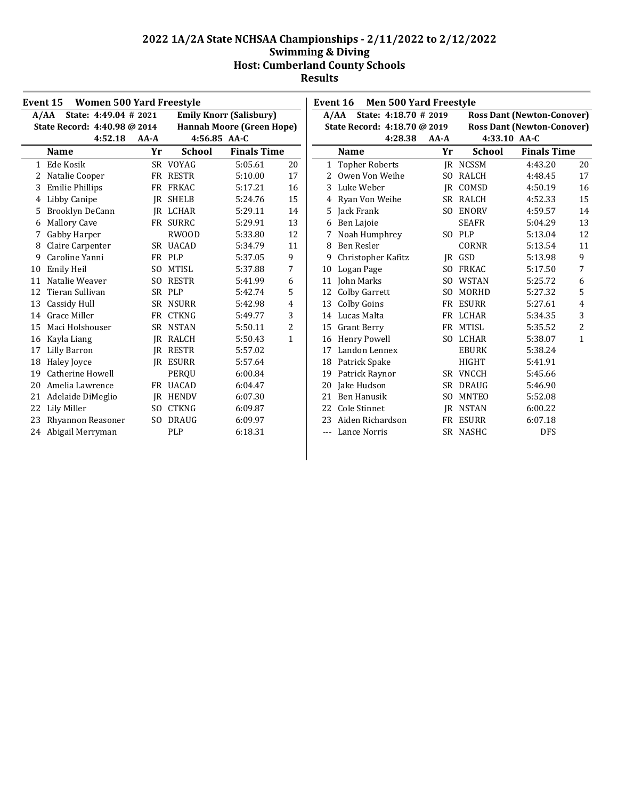| Event 15<br><b>Women 500 Yard Freestyle</b> |                               |                |               | Event 16                         | <b>Men 500 Yard Freestyle</b> |       |                              |                |               |                                   |              |
|---------------------------------------------|-------------------------------|----------------|---------------|----------------------------------|-------------------------------|-------|------------------------------|----------------|---------------|-----------------------------------|--------------|
|                                             | State: 4:49.04 # 2021<br>A/AA |                |               | <b>Emily Knorr (Salisbury)</b>   |                               | A/AA  | State: 4:18.70 # 2019        |                |               | <b>Ross Dant (Newton-Conover)</b> |              |
|                                             | State Record: 4:40.98 @ 2014  |                |               | <b>Hannah Moore (Green Hope)</b> |                               |       | State Record: 4:18.70 @ 2019 |                |               | <b>Ross Dant (Newton-Conover)</b> |              |
|                                             | 4:52.18                       | AA-A           | 4:56.85 AA-C  |                                  |                               |       | 4:28.38                      | $AA-A$         |               | 4:33.10 AA-C                      |              |
|                                             | <b>Name</b>                   | Yr             | <b>School</b> | <b>Finals Time</b>               |                               |       | <b>Name</b>                  | Yr             | <b>School</b> | <b>Finals Time</b>                |              |
|                                             | 1 Ede Kosik                   |                | SR VOYAG      | 5:05.61                          | 20                            |       | 1 Topher Roberts             |                | IR NCSSM      | 4:43.20                           | 20           |
| 2                                           | Natalie Cooper                |                | FR RESTR      | 5:10.00                          | 17                            |       | 2 Owen Von Weihe             |                | SO RALCH      | 4:48.45                           | 17           |
| 3                                           | <b>Emilie Phillips</b>        |                | FR FRKAC      | 5:17.21                          | 16                            | 3     | Luke Weber                   | IR             | COMSD         | 4:50.19                           | 16           |
| 4                                           | Libby Canipe                  | IR             | SHELB         | 5:24.76                          | 15                            |       | 4 Ryan Von Weihe             |                | SR RALCH      | 4:52.33                           | 15           |
| 5.                                          | Brooklyn DeCann               |                | IR LCHAR      | 5:29.11                          | 14                            |       | 5 Jack Frank                 | SO.            | ENORV         | 4:59.57                           | 14           |
| 6                                           | <b>Mallory Cave</b>           |                | FR SURRC      | 5:29.91                          | 13                            |       | 6 Ben Lajoie                 |                | <b>SEAFR</b>  | 5:04.29                           | 13           |
|                                             | Gabby Harper                  |                | <b>RWOOD</b>  | 5:33.80                          | 12                            |       | Noah Humphrey                |                | SO PLP        | 5:13.04                           | 12           |
| 8                                           | Claire Carpenter              |                | SR UACAD      | 5:34.79                          | 11                            | 8     | Ben Resler                   |                | <b>CORNR</b>  | 5:13.54                           | 11           |
| 9                                           | Caroline Yanni                |                | FR PLP        | 5:37.05                          | 9                             | 9     | Christopher Kafitz           | IR             | GSD           | 5:13.98                           | 9            |
| 10                                          | <b>Emily Heil</b>             | SO.            | <b>MTISL</b>  | 5:37.88                          | 7                             | 10    | Logan Page                   | SO.            | FRKAC         | 5:17.50                           | 7            |
| 11                                          | Natalie Weaver                | S <sub>0</sub> | <b>RESTR</b>  | 5:41.99                          | 6                             | 11    | <b>John Marks</b>            | SO.            | <b>WSTAN</b>  | 5:25.72                           | 6            |
| 12                                          | Tieran Sullivan               | <b>SR</b>      | PLP           | 5:42.74                          | 5                             | 12    | <b>Colby Garrett</b>         | S <sub>O</sub> | MORHD         | 5:27.32                           | 5            |
| 13                                          | Cassidy Hull                  |                | SR NSURR      | 5:42.98                          | $\overline{4}$                |       | 13 Colby Goins               |                | FR ESURR      | 5:27.61                           | 4            |
| 14                                          | Grace Miller                  | FR             | <b>CTKNG</b>  | 5:49.77                          | 3                             |       | 14 Lucas Malta               |                | FR LCHAR      | 5:34.35                           | 3            |
| 15                                          | Maci Holshouser               |                | SR NSTAN      | 5:50.11                          | 2                             |       | 15 Grant Berry               |                | FR MTISL      | 5:35.52                           | 2            |
| 16                                          | Kayla Liang                   | IR             | RALCH         | 5:50.43                          | $\mathbf{1}$                  |       | 16 Henry Powell              |                | SO LCHAR      | 5:38.07                           | $\mathbf{1}$ |
| 17                                          | Lilly Barron                  | IR             | RESTR         | 5:57.02                          |                               | 17    | Landon Lennex                |                | <b>EBURK</b>  | 5:38.24                           |              |
| 18                                          | Haley Joyce                   |                | IR ESURR      | 5:57.64                          |                               | 18    | Patrick Spake                |                | <b>HIGHT</b>  | 5:41.91                           |              |
| 19                                          | Catherine Howell              |                | PEROU         | 6:00.84                          |                               |       | 19 Patrick Raynor            |                | SR VNCCH      | 5:45.66                           |              |
| 20                                          | Amelia Lawrence               |                | FR UACAD      | 6:04.47                          |                               | 20    | Jake Hudson                  |                | SR DRAUG      | 5:46.90                           |              |
|                                             | Adelaide DiMeglio             |                | IR HENDV      | 6:07.30                          |                               |       | <b>Ben Hanusik</b>           | SO.            | MNTEO         | 5:52.08                           |              |
| 22                                          | Lily Miller                   | SO.            | <b>CTKNG</b>  | 6:09.87                          |                               | 22    | Cole Stinnet                 |                | JR NSTAN      | 6:00.22                           |              |
|                                             | Rhyannon Reasoner             |                | SO DRAUG      | 6:09.97                          |                               | 23    | Aiden Richardson             |                | FR ESURR      | 6:07.18                           |              |
|                                             | 24 Abigail Merryman           |                | PLP           | 6:18.31                          |                               | $---$ | Lance Norris                 |                | SR NASHC      | <b>DFS</b>                        |              |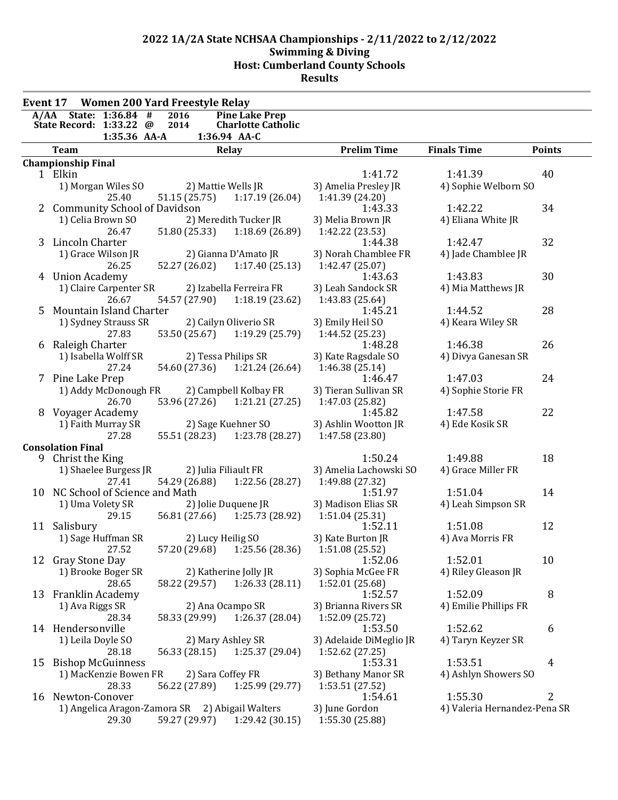| State: 1:36.84 #<br>2016<br><b>Pine Lake Prep</b><br>A/AA<br>State Record: 1:33.22 @<br>2014<br><b>Charlotte Catholic</b><br>1:35.36 AA-A<br>1:36.94 AA-C<br><b>Prelim Time</b><br><b>Finals Time</b><br><b>Points</b><br><b>Team</b><br>Relay<br><b>Championship Final</b><br>1 Elkin<br>1:41.72<br>1:41.39<br>40<br>1) Morgan Wiles SO<br>2) Mattie Wells JR<br>3) Amelia Presley JR<br>4) Sophie Welborn SO<br>1:17.19(26.04)<br>25.40<br>51.15 (25.75)<br>1:41.39 (24.20)<br><b>Community School of Davidson</b><br>1:43.33<br>1:42.22<br>34<br>2<br>2) Meredith Tucker JR<br>1) Celia Brown SO<br>3) Melia Brown JR<br>4) Eliana White JR<br>51.80 (25.33)<br>1:18.69(26.89)<br>1:42.22 (23.53)<br>26.47<br>32<br>Lincoln Charter<br>1:42.47<br>3<br>1:44.38<br>1) Grace Wilson JR<br>2) Gianna D'Amato JR<br>3) Norah Chamblee FR<br>4) Jade Chamblee JR<br>52.27 (26.02) 1:17.40 (25.13)<br>1:42.47 (25.07)<br>26.25<br>1:43.83<br>30<br>4 Union Academy<br>1:43.63<br>1) Claire Carpenter SR<br>2) Izabella Ferreira FR<br>3) Leah Sandock SR<br>4) Mia Matthews JR<br>1:18.19(23.62)<br>26.67<br>54.57 (27.90)<br>1:43.83 (25.64)<br>Mountain Island Charter<br>1:44.52<br>28<br>5<br>1:45.21<br>1) Sydney Strauss SR<br>2) Cailyn Oliverio SR<br>3) Emily Heil SO<br>4) Keara Wiley SR<br>1:19.29 (25.79)<br>53.50 (25.67)<br>1:44.52 (25.23)<br>27.83<br>26<br>Raleigh Charter<br>1:48.28<br>1:46.38<br>6<br>1) Isabella Wolff SR<br>2) Tessa Philips SR<br>3) Kate Ragsdale SO<br>4) Divya Ganesan SR<br>54.60 (27.36)<br>1:21.24(26.64)<br>1:46.38 (25.14)<br>27.24<br>24<br>7 Pine Lake Prep<br>1:46.47<br>1:47.03<br>1) Addy McDonough FR<br>2) Campbell Kolbay FR<br>3) Tieran Sullivan SR<br>4) Sophie Storie FR<br>26.70<br>1:21.21(27.25)<br>1:47.03 (25.82)<br>53.96 (27.26)<br>22<br>1:45.82<br>Voyager Academy<br>1:47.58<br>1) Faith Murray SR<br>2) Sage Kuehner SO<br>3) Ashlin Wootton JR<br>4) Ede Kosik SR<br>55.51 (28.23) 1:23.78 (28.27)<br>27.28<br>1:47.58 (23.80)<br><b>Consolation Final</b><br>9 Christ the King<br>1:50.24<br>1:49.88<br>18<br>1) Shaelee Burgess JR<br>2) Julia Filiault FR<br>3) Amelia Lachowski SO<br>4) Grace Miller FR<br>54.29 (26.88)<br>1:22.56 (28.27)<br>27.41<br>1:49.88 (27.32)<br>10 NC School of Science and Math<br>1:51.04<br>14<br>1:51.97<br>1) Uma Volety SR<br>3) Madison Elias SR<br>4) Leah Simpson SR<br>2) Jolie Duquene JR<br>29.15<br>56.81 (27.66) 1:25.73 (28.92)<br>1:51.04 (25.31)<br>12<br>1:52.11<br>1:51.08<br>11 Salisbury<br>1) Sage Huffman SR<br>4) Ava Morris FR<br>2) Lucy Heilig SO<br>3) Kate Burton JR<br>57.20 (29.68) 1:25.56 (28.36)<br>27.52<br>1:51.08 (25.52)<br>1:52.01<br>10<br>12 Gray Stone Day<br>1:52.06<br>1) Brooke Boger SR<br>2) Katherine Jolly JR<br>3) Sophia McGee FR<br>4) Riley Gleason JR<br>58.22 (29.57)<br>1:26.33(28.11)<br>1:52.01 (25.68)<br>28.65<br>8<br>1:52.57<br>1:52.09<br>13 Franklin Academy<br>2) Ana Ocampo SR<br>3) Brianna Rivers SR<br>1) Ava Riggs SR<br>4) Emilie Phillips FR<br>58.33 (29.99)<br>1:52.09 (25.72)<br>28.34<br>1:26.37(28.04)<br>14 Hendersonville<br>1:52.62<br>6<br>1:53.50<br>1) Leila Doyle SO<br>2) Mary Ashley SR<br>3) Adelaide DiMeglio JR<br>4) Taryn Keyzer SR<br>28.18<br>56.33 (28.15)<br>1:25.37 (29.04)<br>1:52.62 (27.25)<br>1:53.31<br>1:53.51<br>15 Bishop McGuinness<br>4<br>2) Sara Coffey FR<br>4) Ashlyn Showers SO<br>1) MacKenzie Bowen FR<br>3) Bethany Manor SR<br>28.33<br>56.22 (27.89)<br>1:25.99 (29.77)<br>1:53.51 (27.52)<br>2<br>1:55.30<br>Newton-Conover<br>1:54.61<br>16<br>1) Angelica Aragon-Zamora SR 2) Abigail Walters<br>3) June Gordon<br>4) Valeria Hernandez-Pena SR | <b>Women 200 Yard Freestyle Relay</b><br>Event 17 |  |  |  |  |  |
|-----------------------------------------------------------------------------------------------------------------------------------------------------------------------------------------------------------------------------------------------------------------------------------------------------------------------------------------------------------------------------------------------------------------------------------------------------------------------------------------------------------------------------------------------------------------------------------------------------------------------------------------------------------------------------------------------------------------------------------------------------------------------------------------------------------------------------------------------------------------------------------------------------------------------------------------------------------------------------------------------------------------------------------------------------------------------------------------------------------------------------------------------------------------------------------------------------------------------------------------------------------------------------------------------------------------------------------------------------------------------------------------------------------------------------------------------------------------------------------------------------------------------------------------------------------------------------------------------------------------------------------------------------------------------------------------------------------------------------------------------------------------------------------------------------------------------------------------------------------------------------------------------------------------------------------------------------------------------------------------------------------------------------------------------------------------------------------------------------------------------------------------------------------------------------------------------------------------------------------------------------------------------------------------------------------------------------------------------------------------------------------------------------------------------------------------------------------------------------------------------------------------------------------------------------------------------------------------------------------------------------------------------------------------------------------------------------------------------------------------------------------------------------------------------------------------------------------------------------------------------------------------------------------------------------------------------------------------------------------------------------------------------------------------------------------------------------------------------------------------------------------------------------------------------------------------------------------------------------------------------------------------------------------------------------------------------------------------------------------------------------------------------------------------------------------------------------------------------------------------------------------------------------------------------------------------------------------------------------------------------------------------------------------------------------|---------------------------------------------------|--|--|--|--|--|
|                                                                                                                                                                                                                                                                                                                                                                                                                                                                                                                                                                                                                                                                                                                                                                                                                                                                                                                                                                                                                                                                                                                                                                                                                                                                                                                                                                                                                                                                                                                                                                                                                                                                                                                                                                                                                                                                                                                                                                                                                                                                                                                                                                                                                                                                                                                                                                                                                                                                                                                                                                                                                                                                                                                                                                                                                                                                                                                                                                                                                                                                                                                                                                                                                                                                                                                                                                                                                                                                                                                                                                                                                                                                             |                                                   |  |  |  |  |  |
|                                                                                                                                                                                                                                                                                                                                                                                                                                                                                                                                                                                                                                                                                                                                                                                                                                                                                                                                                                                                                                                                                                                                                                                                                                                                                                                                                                                                                                                                                                                                                                                                                                                                                                                                                                                                                                                                                                                                                                                                                                                                                                                                                                                                                                                                                                                                                                                                                                                                                                                                                                                                                                                                                                                                                                                                                                                                                                                                                                                                                                                                                                                                                                                                                                                                                                                                                                                                                                                                                                                                                                                                                                                                             |                                                   |  |  |  |  |  |
|                                                                                                                                                                                                                                                                                                                                                                                                                                                                                                                                                                                                                                                                                                                                                                                                                                                                                                                                                                                                                                                                                                                                                                                                                                                                                                                                                                                                                                                                                                                                                                                                                                                                                                                                                                                                                                                                                                                                                                                                                                                                                                                                                                                                                                                                                                                                                                                                                                                                                                                                                                                                                                                                                                                                                                                                                                                                                                                                                                                                                                                                                                                                                                                                                                                                                                                                                                                                                                                                                                                                                                                                                                                                             |                                                   |  |  |  |  |  |
|                                                                                                                                                                                                                                                                                                                                                                                                                                                                                                                                                                                                                                                                                                                                                                                                                                                                                                                                                                                                                                                                                                                                                                                                                                                                                                                                                                                                                                                                                                                                                                                                                                                                                                                                                                                                                                                                                                                                                                                                                                                                                                                                                                                                                                                                                                                                                                                                                                                                                                                                                                                                                                                                                                                                                                                                                                                                                                                                                                                                                                                                                                                                                                                                                                                                                                                                                                                                                                                                                                                                                                                                                                                                             |                                                   |  |  |  |  |  |
|                                                                                                                                                                                                                                                                                                                                                                                                                                                                                                                                                                                                                                                                                                                                                                                                                                                                                                                                                                                                                                                                                                                                                                                                                                                                                                                                                                                                                                                                                                                                                                                                                                                                                                                                                                                                                                                                                                                                                                                                                                                                                                                                                                                                                                                                                                                                                                                                                                                                                                                                                                                                                                                                                                                                                                                                                                                                                                                                                                                                                                                                                                                                                                                                                                                                                                                                                                                                                                                                                                                                                                                                                                                                             |                                                   |  |  |  |  |  |
|                                                                                                                                                                                                                                                                                                                                                                                                                                                                                                                                                                                                                                                                                                                                                                                                                                                                                                                                                                                                                                                                                                                                                                                                                                                                                                                                                                                                                                                                                                                                                                                                                                                                                                                                                                                                                                                                                                                                                                                                                                                                                                                                                                                                                                                                                                                                                                                                                                                                                                                                                                                                                                                                                                                                                                                                                                                                                                                                                                                                                                                                                                                                                                                                                                                                                                                                                                                                                                                                                                                                                                                                                                                                             |                                                   |  |  |  |  |  |
|                                                                                                                                                                                                                                                                                                                                                                                                                                                                                                                                                                                                                                                                                                                                                                                                                                                                                                                                                                                                                                                                                                                                                                                                                                                                                                                                                                                                                                                                                                                                                                                                                                                                                                                                                                                                                                                                                                                                                                                                                                                                                                                                                                                                                                                                                                                                                                                                                                                                                                                                                                                                                                                                                                                                                                                                                                                                                                                                                                                                                                                                                                                                                                                                                                                                                                                                                                                                                                                                                                                                                                                                                                                                             |                                                   |  |  |  |  |  |
|                                                                                                                                                                                                                                                                                                                                                                                                                                                                                                                                                                                                                                                                                                                                                                                                                                                                                                                                                                                                                                                                                                                                                                                                                                                                                                                                                                                                                                                                                                                                                                                                                                                                                                                                                                                                                                                                                                                                                                                                                                                                                                                                                                                                                                                                                                                                                                                                                                                                                                                                                                                                                                                                                                                                                                                                                                                                                                                                                                                                                                                                                                                                                                                                                                                                                                                                                                                                                                                                                                                                                                                                                                                                             |                                                   |  |  |  |  |  |
|                                                                                                                                                                                                                                                                                                                                                                                                                                                                                                                                                                                                                                                                                                                                                                                                                                                                                                                                                                                                                                                                                                                                                                                                                                                                                                                                                                                                                                                                                                                                                                                                                                                                                                                                                                                                                                                                                                                                                                                                                                                                                                                                                                                                                                                                                                                                                                                                                                                                                                                                                                                                                                                                                                                                                                                                                                                                                                                                                                                                                                                                                                                                                                                                                                                                                                                                                                                                                                                                                                                                                                                                                                                                             |                                                   |  |  |  |  |  |
|                                                                                                                                                                                                                                                                                                                                                                                                                                                                                                                                                                                                                                                                                                                                                                                                                                                                                                                                                                                                                                                                                                                                                                                                                                                                                                                                                                                                                                                                                                                                                                                                                                                                                                                                                                                                                                                                                                                                                                                                                                                                                                                                                                                                                                                                                                                                                                                                                                                                                                                                                                                                                                                                                                                                                                                                                                                                                                                                                                                                                                                                                                                                                                                                                                                                                                                                                                                                                                                                                                                                                                                                                                                                             |                                                   |  |  |  |  |  |
|                                                                                                                                                                                                                                                                                                                                                                                                                                                                                                                                                                                                                                                                                                                                                                                                                                                                                                                                                                                                                                                                                                                                                                                                                                                                                                                                                                                                                                                                                                                                                                                                                                                                                                                                                                                                                                                                                                                                                                                                                                                                                                                                                                                                                                                                                                                                                                                                                                                                                                                                                                                                                                                                                                                                                                                                                                                                                                                                                                                                                                                                                                                                                                                                                                                                                                                                                                                                                                                                                                                                                                                                                                                                             |                                                   |  |  |  |  |  |
|                                                                                                                                                                                                                                                                                                                                                                                                                                                                                                                                                                                                                                                                                                                                                                                                                                                                                                                                                                                                                                                                                                                                                                                                                                                                                                                                                                                                                                                                                                                                                                                                                                                                                                                                                                                                                                                                                                                                                                                                                                                                                                                                                                                                                                                                                                                                                                                                                                                                                                                                                                                                                                                                                                                                                                                                                                                                                                                                                                                                                                                                                                                                                                                                                                                                                                                                                                                                                                                                                                                                                                                                                                                                             |                                                   |  |  |  |  |  |
|                                                                                                                                                                                                                                                                                                                                                                                                                                                                                                                                                                                                                                                                                                                                                                                                                                                                                                                                                                                                                                                                                                                                                                                                                                                                                                                                                                                                                                                                                                                                                                                                                                                                                                                                                                                                                                                                                                                                                                                                                                                                                                                                                                                                                                                                                                                                                                                                                                                                                                                                                                                                                                                                                                                                                                                                                                                                                                                                                                                                                                                                                                                                                                                                                                                                                                                                                                                                                                                                                                                                                                                                                                                                             |                                                   |  |  |  |  |  |
|                                                                                                                                                                                                                                                                                                                                                                                                                                                                                                                                                                                                                                                                                                                                                                                                                                                                                                                                                                                                                                                                                                                                                                                                                                                                                                                                                                                                                                                                                                                                                                                                                                                                                                                                                                                                                                                                                                                                                                                                                                                                                                                                                                                                                                                                                                                                                                                                                                                                                                                                                                                                                                                                                                                                                                                                                                                                                                                                                                                                                                                                                                                                                                                                                                                                                                                                                                                                                                                                                                                                                                                                                                                                             |                                                   |  |  |  |  |  |
|                                                                                                                                                                                                                                                                                                                                                                                                                                                                                                                                                                                                                                                                                                                                                                                                                                                                                                                                                                                                                                                                                                                                                                                                                                                                                                                                                                                                                                                                                                                                                                                                                                                                                                                                                                                                                                                                                                                                                                                                                                                                                                                                                                                                                                                                                                                                                                                                                                                                                                                                                                                                                                                                                                                                                                                                                                                                                                                                                                                                                                                                                                                                                                                                                                                                                                                                                                                                                                                                                                                                                                                                                                                                             |                                                   |  |  |  |  |  |
|                                                                                                                                                                                                                                                                                                                                                                                                                                                                                                                                                                                                                                                                                                                                                                                                                                                                                                                                                                                                                                                                                                                                                                                                                                                                                                                                                                                                                                                                                                                                                                                                                                                                                                                                                                                                                                                                                                                                                                                                                                                                                                                                                                                                                                                                                                                                                                                                                                                                                                                                                                                                                                                                                                                                                                                                                                                                                                                                                                                                                                                                                                                                                                                                                                                                                                                                                                                                                                                                                                                                                                                                                                                                             |                                                   |  |  |  |  |  |
|                                                                                                                                                                                                                                                                                                                                                                                                                                                                                                                                                                                                                                                                                                                                                                                                                                                                                                                                                                                                                                                                                                                                                                                                                                                                                                                                                                                                                                                                                                                                                                                                                                                                                                                                                                                                                                                                                                                                                                                                                                                                                                                                                                                                                                                                                                                                                                                                                                                                                                                                                                                                                                                                                                                                                                                                                                                                                                                                                                                                                                                                                                                                                                                                                                                                                                                                                                                                                                                                                                                                                                                                                                                                             |                                                   |  |  |  |  |  |
|                                                                                                                                                                                                                                                                                                                                                                                                                                                                                                                                                                                                                                                                                                                                                                                                                                                                                                                                                                                                                                                                                                                                                                                                                                                                                                                                                                                                                                                                                                                                                                                                                                                                                                                                                                                                                                                                                                                                                                                                                                                                                                                                                                                                                                                                                                                                                                                                                                                                                                                                                                                                                                                                                                                                                                                                                                                                                                                                                                                                                                                                                                                                                                                                                                                                                                                                                                                                                                                                                                                                                                                                                                                                             |                                                   |  |  |  |  |  |
|                                                                                                                                                                                                                                                                                                                                                                                                                                                                                                                                                                                                                                                                                                                                                                                                                                                                                                                                                                                                                                                                                                                                                                                                                                                                                                                                                                                                                                                                                                                                                                                                                                                                                                                                                                                                                                                                                                                                                                                                                                                                                                                                                                                                                                                                                                                                                                                                                                                                                                                                                                                                                                                                                                                                                                                                                                                                                                                                                                                                                                                                                                                                                                                                                                                                                                                                                                                                                                                                                                                                                                                                                                                                             |                                                   |  |  |  |  |  |
|                                                                                                                                                                                                                                                                                                                                                                                                                                                                                                                                                                                                                                                                                                                                                                                                                                                                                                                                                                                                                                                                                                                                                                                                                                                                                                                                                                                                                                                                                                                                                                                                                                                                                                                                                                                                                                                                                                                                                                                                                                                                                                                                                                                                                                                                                                                                                                                                                                                                                                                                                                                                                                                                                                                                                                                                                                                                                                                                                                                                                                                                                                                                                                                                                                                                                                                                                                                                                                                                                                                                                                                                                                                                             |                                                   |  |  |  |  |  |
|                                                                                                                                                                                                                                                                                                                                                                                                                                                                                                                                                                                                                                                                                                                                                                                                                                                                                                                                                                                                                                                                                                                                                                                                                                                                                                                                                                                                                                                                                                                                                                                                                                                                                                                                                                                                                                                                                                                                                                                                                                                                                                                                                                                                                                                                                                                                                                                                                                                                                                                                                                                                                                                                                                                                                                                                                                                                                                                                                                                                                                                                                                                                                                                                                                                                                                                                                                                                                                                                                                                                                                                                                                                                             |                                                   |  |  |  |  |  |
|                                                                                                                                                                                                                                                                                                                                                                                                                                                                                                                                                                                                                                                                                                                                                                                                                                                                                                                                                                                                                                                                                                                                                                                                                                                                                                                                                                                                                                                                                                                                                                                                                                                                                                                                                                                                                                                                                                                                                                                                                                                                                                                                                                                                                                                                                                                                                                                                                                                                                                                                                                                                                                                                                                                                                                                                                                                                                                                                                                                                                                                                                                                                                                                                                                                                                                                                                                                                                                                                                                                                                                                                                                                                             |                                                   |  |  |  |  |  |
|                                                                                                                                                                                                                                                                                                                                                                                                                                                                                                                                                                                                                                                                                                                                                                                                                                                                                                                                                                                                                                                                                                                                                                                                                                                                                                                                                                                                                                                                                                                                                                                                                                                                                                                                                                                                                                                                                                                                                                                                                                                                                                                                                                                                                                                                                                                                                                                                                                                                                                                                                                                                                                                                                                                                                                                                                                                                                                                                                                                                                                                                                                                                                                                                                                                                                                                                                                                                                                                                                                                                                                                                                                                                             |                                                   |  |  |  |  |  |
|                                                                                                                                                                                                                                                                                                                                                                                                                                                                                                                                                                                                                                                                                                                                                                                                                                                                                                                                                                                                                                                                                                                                                                                                                                                                                                                                                                                                                                                                                                                                                                                                                                                                                                                                                                                                                                                                                                                                                                                                                                                                                                                                                                                                                                                                                                                                                                                                                                                                                                                                                                                                                                                                                                                                                                                                                                                                                                                                                                                                                                                                                                                                                                                                                                                                                                                                                                                                                                                                                                                                                                                                                                                                             |                                                   |  |  |  |  |  |
|                                                                                                                                                                                                                                                                                                                                                                                                                                                                                                                                                                                                                                                                                                                                                                                                                                                                                                                                                                                                                                                                                                                                                                                                                                                                                                                                                                                                                                                                                                                                                                                                                                                                                                                                                                                                                                                                                                                                                                                                                                                                                                                                                                                                                                                                                                                                                                                                                                                                                                                                                                                                                                                                                                                                                                                                                                                                                                                                                                                                                                                                                                                                                                                                                                                                                                                                                                                                                                                                                                                                                                                                                                                                             |                                                   |  |  |  |  |  |
|                                                                                                                                                                                                                                                                                                                                                                                                                                                                                                                                                                                                                                                                                                                                                                                                                                                                                                                                                                                                                                                                                                                                                                                                                                                                                                                                                                                                                                                                                                                                                                                                                                                                                                                                                                                                                                                                                                                                                                                                                                                                                                                                                                                                                                                                                                                                                                                                                                                                                                                                                                                                                                                                                                                                                                                                                                                                                                                                                                                                                                                                                                                                                                                                                                                                                                                                                                                                                                                                                                                                                                                                                                                                             |                                                   |  |  |  |  |  |
|                                                                                                                                                                                                                                                                                                                                                                                                                                                                                                                                                                                                                                                                                                                                                                                                                                                                                                                                                                                                                                                                                                                                                                                                                                                                                                                                                                                                                                                                                                                                                                                                                                                                                                                                                                                                                                                                                                                                                                                                                                                                                                                                                                                                                                                                                                                                                                                                                                                                                                                                                                                                                                                                                                                                                                                                                                                                                                                                                                                                                                                                                                                                                                                                                                                                                                                                                                                                                                                                                                                                                                                                                                                                             |                                                   |  |  |  |  |  |
|                                                                                                                                                                                                                                                                                                                                                                                                                                                                                                                                                                                                                                                                                                                                                                                                                                                                                                                                                                                                                                                                                                                                                                                                                                                                                                                                                                                                                                                                                                                                                                                                                                                                                                                                                                                                                                                                                                                                                                                                                                                                                                                                                                                                                                                                                                                                                                                                                                                                                                                                                                                                                                                                                                                                                                                                                                                                                                                                                                                                                                                                                                                                                                                                                                                                                                                                                                                                                                                                                                                                                                                                                                                                             |                                                   |  |  |  |  |  |
|                                                                                                                                                                                                                                                                                                                                                                                                                                                                                                                                                                                                                                                                                                                                                                                                                                                                                                                                                                                                                                                                                                                                                                                                                                                                                                                                                                                                                                                                                                                                                                                                                                                                                                                                                                                                                                                                                                                                                                                                                                                                                                                                                                                                                                                                                                                                                                                                                                                                                                                                                                                                                                                                                                                                                                                                                                                                                                                                                                                                                                                                                                                                                                                                                                                                                                                                                                                                                                                                                                                                                                                                                                                                             |                                                   |  |  |  |  |  |
|                                                                                                                                                                                                                                                                                                                                                                                                                                                                                                                                                                                                                                                                                                                                                                                                                                                                                                                                                                                                                                                                                                                                                                                                                                                                                                                                                                                                                                                                                                                                                                                                                                                                                                                                                                                                                                                                                                                                                                                                                                                                                                                                                                                                                                                                                                                                                                                                                                                                                                                                                                                                                                                                                                                                                                                                                                                                                                                                                                                                                                                                                                                                                                                                                                                                                                                                                                                                                                                                                                                                                                                                                                                                             |                                                   |  |  |  |  |  |
|                                                                                                                                                                                                                                                                                                                                                                                                                                                                                                                                                                                                                                                                                                                                                                                                                                                                                                                                                                                                                                                                                                                                                                                                                                                                                                                                                                                                                                                                                                                                                                                                                                                                                                                                                                                                                                                                                                                                                                                                                                                                                                                                                                                                                                                                                                                                                                                                                                                                                                                                                                                                                                                                                                                                                                                                                                                                                                                                                                                                                                                                                                                                                                                                                                                                                                                                                                                                                                                                                                                                                                                                                                                                             |                                                   |  |  |  |  |  |
|                                                                                                                                                                                                                                                                                                                                                                                                                                                                                                                                                                                                                                                                                                                                                                                                                                                                                                                                                                                                                                                                                                                                                                                                                                                                                                                                                                                                                                                                                                                                                                                                                                                                                                                                                                                                                                                                                                                                                                                                                                                                                                                                                                                                                                                                                                                                                                                                                                                                                                                                                                                                                                                                                                                                                                                                                                                                                                                                                                                                                                                                                                                                                                                                                                                                                                                                                                                                                                                                                                                                                                                                                                                                             |                                                   |  |  |  |  |  |
|                                                                                                                                                                                                                                                                                                                                                                                                                                                                                                                                                                                                                                                                                                                                                                                                                                                                                                                                                                                                                                                                                                                                                                                                                                                                                                                                                                                                                                                                                                                                                                                                                                                                                                                                                                                                                                                                                                                                                                                                                                                                                                                                                                                                                                                                                                                                                                                                                                                                                                                                                                                                                                                                                                                                                                                                                                                                                                                                                                                                                                                                                                                                                                                                                                                                                                                                                                                                                                                                                                                                                                                                                                                                             |                                                   |  |  |  |  |  |
|                                                                                                                                                                                                                                                                                                                                                                                                                                                                                                                                                                                                                                                                                                                                                                                                                                                                                                                                                                                                                                                                                                                                                                                                                                                                                                                                                                                                                                                                                                                                                                                                                                                                                                                                                                                                                                                                                                                                                                                                                                                                                                                                                                                                                                                                                                                                                                                                                                                                                                                                                                                                                                                                                                                                                                                                                                                                                                                                                                                                                                                                                                                                                                                                                                                                                                                                                                                                                                                                                                                                                                                                                                                                             |                                                   |  |  |  |  |  |
|                                                                                                                                                                                                                                                                                                                                                                                                                                                                                                                                                                                                                                                                                                                                                                                                                                                                                                                                                                                                                                                                                                                                                                                                                                                                                                                                                                                                                                                                                                                                                                                                                                                                                                                                                                                                                                                                                                                                                                                                                                                                                                                                                                                                                                                                                                                                                                                                                                                                                                                                                                                                                                                                                                                                                                                                                                                                                                                                                                                                                                                                                                                                                                                                                                                                                                                                                                                                                                                                                                                                                                                                                                                                             |                                                   |  |  |  |  |  |
|                                                                                                                                                                                                                                                                                                                                                                                                                                                                                                                                                                                                                                                                                                                                                                                                                                                                                                                                                                                                                                                                                                                                                                                                                                                                                                                                                                                                                                                                                                                                                                                                                                                                                                                                                                                                                                                                                                                                                                                                                                                                                                                                                                                                                                                                                                                                                                                                                                                                                                                                                                                                                                                                                                                                                                                                                                                                                                                                                                                                                                                                                                                                                                                                                                                                                                                                                                                                                                                                                                                                                                                                                                                                             |                                                   |  |  |  |  |  |
|                                                                                                                                                                                                                                                                                                                                                                                                                                                                                                                                                                                                                                                                                                                                                                                                                                                                                                                                                                                                                                                                                                                                                                                                                                                                                                                                                                                                                                                                                                                                                                                                                                                                                                                                                                                                                                                                                                                                                                                                                                                                                                                                                                                                                                                                                                                                                                                                                                                                                                                                                                                                                                                                                                                                                                                                                                                                                                                                                                                                                                                                                                                                                                                                                                                                                                                                                                                                                                                                                                                                                                                                                                                                             |                                                   |  |  |  |  |  |
|                                                                                                                                                                                                                                                                                                                                                                                                                                                                                                                                                                                                                                                                                                                                                                                                                                                                                                                                                                                                                                                                                                                                                                                                                                                                                                                                                                                                                                                                                                                                                                                                                                                                                                                                                                                                                                                                                                                                                                                                                                                                                                                                                                                                                                                                                                                                                                                                                                                                                                                                                                                                                                                                                                                                                                                                                                                                                                                                                                                                                                                                                                                                                                                                                                                                                                                                                                                                                                                                                                                                                                                                                                                                             |                                                   |  |  |  |  |  |
|                                                                                                                                                                                                                                                                                                                                                                                                                                                                                                                                                                                                                                                                                                                                                                                                                                                                                                                                                                                                                                                                                                                                                                                                                                                                                                                                                                                                                                                                                                                                                                                                                                                                                                                                                                                                                                                                                                                                                                                                                                                                                                                                                                                                                                                                                                                                                                                                                                                                                                                                                                                                                                                                                                                                                                                                                                                                                                                                                                                                                                                                                                                                                                                                                                                                                                                                                                                                                                                                                                                                                                                                                                                                             |                                                   |  |  |  |  |  |
|                                                                                                                                                                                                                                                                                                                                                                                                                                                                                                                                                                                                                                                                                                                                                                                                                                                                                                                                                                                                                                                                                                                                                                                                                                                                                                                                                                                                                                                                                                                                                                                                                                                                                                                                                                                                                                                                                                                                                                                                                                                                                                                                                                                                                                                                                                                                                                                                                                                                                                                                                                                                                                                                                                                                                                                                                                                                                                                                                                                                                                                                                                                                                                                                                                                                                                                                                                                                                                                                                                                                                                                                                                                                             |                                                   |  |  |  |  |  |
|                                                                                                                                                                                                                                                                                                                                                                                                                                                                                                                                                                                                                                                                                                                                                                                                                                                                                                                                                                                                                                                                                                                                                                                                                                                                                                                                                                                                                                                                                                                                                                                                                                                                                                                                                                                                                                                                                                                                                                                                                                                                                                                                                                                                                                                                                                                                                                                                                                                                                                                                                                                                                                                                                                                                                                                                                                                                                                                                                                                                                                                                                                                                                                                                                                                                                                                                                                                                                                                                                                                                                                                                                                                                             |                                                   |  |  |  |  |  |
|                                                                                                                                                                                                                                                                                                                                                                                                                                                                                                                                                                                                                                                                                                                                                                                                                                                                                                                                                                                                                                                                                                                                                                                                                                                                                                                                                                                                                                                                                                                                                                                                                                                                                                                                                                                                                                                                                                                                                                                                                                                                                                                                                                                                                                                                                                                                                                                                                                                                                                                                                                                                                                                                                                                                                                                                                                                                                                                                                                                                                                                                                                                                                                                                                                                                                                                                                                                                                                                                                                                                                                                                                                                                             |                                                   |  |  |  |  |  |
|                                                                                                                                                                                                                                                                                                                                                                                                                                                                                                                                                                                                                                                                                                                                                                                                                                                                                                                                                                                                                                                                                                                                                                                                                                                                                                                                                                                                                                                                                                                                                                                                                                                                                                                                                                                                                                                                                                                                                                                                                                                                                                                                                                                                                                                                                                                                                                                                                                                                                                                                                                                                                                                                                                                                                                                                                                                                                                                                                                                                                                                                                                                                                                                                                                                                                                                                                                                                                                                                                                                                                                                                                                                                             |                                                   |  |  |  |  |  |
|                                                                                                                                                                                                                                                                                                                                                                                                                                                                                                                                                                                                                                                                                                                                                                                                                                                                                                                                                                                                                                                                                                                                                                                                                                                                                                                                                                                                                                                                                                                                                                                                                                                                                                                                                                                                                                                                                                                                                                                                                                                                                                                                                                                                                                                                                                                                                                                                                                                                                                                                                                                                                                                                                                                                                                                                                                                                                                                                                                                                                                                                                                                                                                                                                                                                                                                                                                                                                                                                                                                                                                                                                                                                             |                                                   |  |  |  |  |  |
|                                                                                                                                                                                                                                                                                                                                                                                                                                                                                                                                                                                                                                                                                                                                                                                                                                                                                                                                                                                                                                                                                                                                                                                                                                                                                                                                                                                                                                                                                                                                                                                                                                                                                                                                                                                                                                                                                                                                                                                                                                                                                                                                                                                                                                                                                                                                                                                                                                                                                                                                                                                                                                                                                                                                                                                                                                                                                                                                                                                                                                                                                                                                                                                                                                                                                                                                                                                                                                                                                                                                                                                                                                                                             |                                                   |  |  |  |  |  |
|                                                                                                                                                                                                                                                                                                                                                                                                                                                                                                                                                                                                                                                                                                                                                                                                                                                                                                                                                                                                                                                                                                                                                                                                                                                                                                                                                                                                                                                                                                                                                                                                                                                                                                                                                                                                                                                                                                                                                                                                                                                                                                                                                                                                                                                                                                                                                                                                                                                                                                                                                                                                                                                                                                                                                                                                                                                                                                                                                                                                                                                                                                                                                                                                                                                                                                                                                                                                                                                                                                                                                                                                                                                                             |                                                   |  |  |  |  |  |
|                                                                                                                                                                                                                                                                                                                                                                                                                                                                                                                                                                                                                                                                                                                                                                                                                                                                                                                                                                                                                                                                                                                                                                                                                                                                                                                                                                                                                                                                                                                                                                                                                                                                                                                                                                                                                                                                                                                                                                                                                                                                                                                                                                                                                                                                                                                                                                                                                                                                                                                                                                                                                                                                                                                                                                                                                                                                                                                                                                                                                                                                                                                                                                                                                                                                                                                                                                                                                                                                                                                                                                                                                                                                             |                                                   |  |  |  |  |  |
|                                                                                                                                                                                                                                                                                                                                                                                                                                                                                                                                                                                                                                                                                                                                                                                                                                                                                                                                                                                                                                                                                                                                                                                                                                                                                                                                                                                                                                                                                                                                                                                                                                                                                                                                                                                                                                                                                                                                                                                                                                                                                                                                                                                                                                                                                                                                                                                                                                                                                                                                                                                                                                                                                                                                                                                                                                                                                                                                                                                                                                                                                                                                                                                                                                                                                                                                                                                                                                                                                                                                                                                                                                                                             |                                                   |  |  |  |  |  |
|                                                                                                                                                                                                                                                                                                                                                                                                                                                                                                                                                                                                                                                                                                                                                                                                                                                                                                                                                                                                                                                                                                                                                                                                                                                                                                                                                                                                                                                                                                                                                                                                                                                                                                                                                                                                                                                                                                                                                                                                                                                                                                                                                                                                                                                                                                                                                                                                                                                                                                                                                                                                                                                                                                                                                                                                                                                                                                                                                                                                                                                                                                                                                                                                                                                                                                                                                                                                                                                                                                                                                                                                                                                                             |                                                   |  |  |  |  |  |
|                                                                                                                                                                                                                                                                                                                                                                                                                                                                                                                                                                                                                                                                                                                                                                                                                                                                                                                                                                                                                                                                                                                                                                                                                                                                                                                                                                                                                                                                                                                                                                                                                                                                                                                                                                                                                                                                                                                                                                                                                                                                                                                                                                                                                                                                                                                                                                                                                                                                                                                                                                                                                                                                                                                                                                                                                                                                                                                                                                                                                                                                                                                                                                                                                                                                                                                                                                                                                                                                                                                                                                                                                                                                             |                                                   |  |  |  |  |  |
| 59.27 (29.97)<br>1:55.30 (25.88)<br>29.30<br>1:29.42(30.15)                                                                                                                                                                                                                                                                                                                                                                                                                                                                                                                                                                                                                                                                                                                                                                                                                                                                                                                                                                                                                                                                                                                                                                                                                                                                                                                                                                                                                                                                                                                                                                                                                                                                                                                                                                                                                                                                                                                                                                                                                                                                                                                                                                                                                                                                                                                                                                                                                                                                                                                                                                                                                                                                                                                                                                                                                                                                                                                                                                                                                                                                                                                                                                                                                                                                                                                                                                                                                                                                                                                                                                                                                 |                                                   |  |  |  |  |  |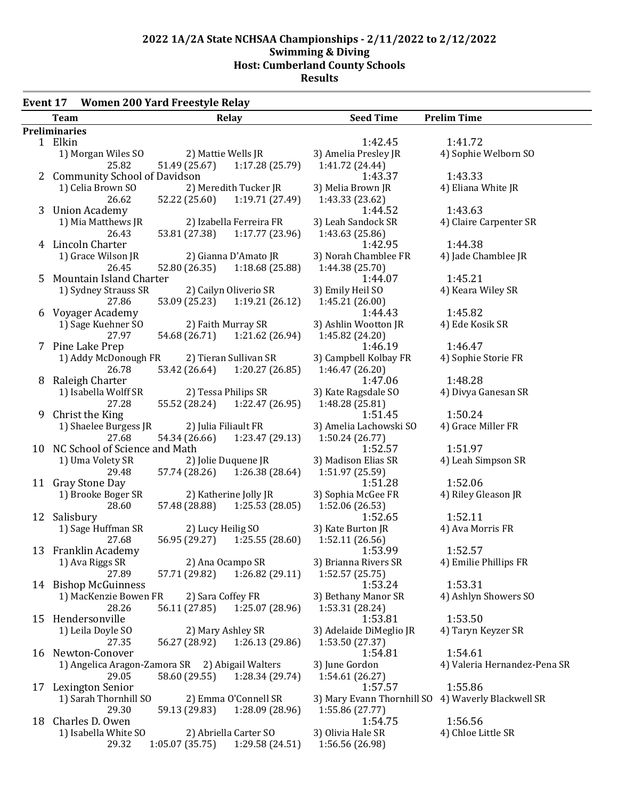#### **Event 17 Women 200 Yard Freestyle Relay**

|    | <b>Team</b>                                     |                      | Relay                         | <b>Seed Time</b>           | <b>Prelim Time</b>           |
|----|-------------------------------------------------|----------------------|-------------------------------|----------------------------|------------------------------|
|    | Preliminaries                                   |                      |                               |                            |                              |
|    | 1 Elkin                                         |                      |                               | 1:42.45                    | 1:41.72                      |
|    | 1) Morgan Wiles SO                              |                      | 2) Mattie Wells JR            | 3) Amelia Presley JR       | 4) Sophie Welborn SO         |
|    | 25.82                                           |                      | 51.49 (25.67) 1:17.28 (25.79) | 1:41.72 (24.44)            |                              |
|    | 2 Community School of Davidson                  |                      |                               | 1:43.37                    | 1:43.33                      |
|    | 1) Celia Brown SO                               |                      | 2) Meredith Tucker JR         | 3) Melia Brown JR          | 4) Eliana White JR           |
|    | 26.62                                           | 52.22 (25.60)        | 1:19.71 (27.49)               | 1:43.33 (23.62)            |                              |
|    | 3 Union Academy                                 |                      |                               | 1:44.52                    | 1:43.63                      |
|    | 1) Mia Matthews JR                              |                      | 2) Izabella Ferreira FR       | 3) Leah Sandock SR         | 4) Claire Carpenter SR       |
|    | 26.43                                           |                      | 53.81 (27.38) 1:17.77 (23.96) | 1:43.63 (25.86)            |                              |
|    | 4 Lincoln Charter                               |                      |                               | 1:42.95                    | 1:44.38                      |
|    | 1) Grace Wilson JR                              |                      | 2) Gianna D'Amato JR          | 3) Norah Chamblee FR       | 4) Jade Chamblee JR          |
|    | 26.45                                           |                      | 52.80 (26.35) 1:18.68 (25.88) | 1:44.38 (25.70)            |                              |
| 5. | Mountain Island Charter                         |                      |                               | 1:44.07                    | 1:45.21                      |
|    |                                                 |                      |                               |                            |                              |
|    | 1) Sydney Strauss SR                            |                      | 2) Cailyn Oliverio SR         | 3) Emily Heil SO           | 4) Keara Wiley SR            |
|    | 27.86                                           |                      | 53.09 (25.23) 1:19.21 (26.12) | 1:45.21 (26.00)            |                              |
|    | 6 Voyager Academy                               |                      |                               | 1:44.43                    | 1:45.82                      |
|    | 1) Sage Kuehner SO                              | 2) Faith Murray SR   |                               | 3) Ashlin Wootton JR       | 4) Ede Kosik SR              |
|    | 27.97                                           |                      | 54.68 (26.71) 1:21.62 (26.94) | 1:45.82 (24.20)            |                              |
|    | 7 Pine Lake Prep                                |                      |                               | 1:46.19                    | 1:46.47                      |
|    | 1) Addy McDonough FR                            |                      | 2) Tieran Sullivan SR         | 3) Campbell Kolbay FR      | 4) Sophie Storie FR          |
|    | 26.78                                           |                      | 53.42 (26.64) 1:20.27 (26.85) | 1:46.47(26.20)             |                              |
|    | 8 Raleigh Charter                               |                      |                               | 1:47.06                    | 1:48.28                      |
|    | 1) Isabella Wolff SR                            | 2) Tessa Philips SR  |                               | 3) Kate Ragsdale SO        | 4) Divya Ganesan SR          |
|    | 27.28                                           | 55.52 (28.24)        | 1:22.47(26.95)                | 1:48.28 (25.81)            |                              |
| 9  | Christ the King                                 |                      |                               | 1:51.45                    | 1:50.24                      |
|    | 1) Shaelee Burgess JR                           | 2) Julia Filiault FR |                               | 3) Amelia Lachowski SO     | 4) Grace Miller FR           |
|    | 27.68                                           | 54.34 (26.66)        | 1:23.47(29.13)                | 1:50.24(26.77)             |                              |
|    | 10 NC School of Science and Math                |                      |                               | 1:52.57                    | 1:51.97                      |
|    | 1) Uma Volety SR                                |                      | 2) Jolie Duquene JR           | 3) Madison Elias SR        | 4) Leah Simpson SR           |
|    | 29.48                                           |                      | 57.74 (28.26) 1:26.38 (28.64) | 1:51.97 (25.59)            |                              |
|    | 11 Gray Stone Day                               |                      |                               | 1:51.28                    | 1:52.06                      |
|    | 1) Brooke Boger SR                              |                      | 2) Katherine Jolly JR         | 3) Sophia McGee FR         | 4) Riley Gleason JR          |
|    | 28.60                                           |                      | 57.48 (28.88) 1:25.53 (28.05) | 1:52.06 (26.53)            |                              |
|    | 12 Salisbury                                    |                      |                               | 1:52.65                    | 1:52.11                      |
|    | 1) Sage Huffman SR                              | 2) Lucy Heilig SO    |                               | 3) Kate Burton JR          | 4) Ava Morris FR             |
|    | 27.68                                           |                      | 56.95 (29.27) 1:25.55 (28.60) | 1:52.11(26.56)             |                              |
|    | 13 Franklin Academy                             |                      |                               | 1:53.99                    | 1:52.57                      |
|    | 1) Ava Riggs SR                                 | 2) Ana Ocampo SR     |                               | 3) Brianna Rivers SR       | 4) Emilie Phillips FR        |
|    | 27.89                                           | 57.71 (29.82)        | 1:26.82(29.11)                | 1:52.57 (25.75)            |                              |
|    | 14 Bishop McGuinness                            |                      |                               | 1:53.24                    | 1:53.31                      |
|    | 1) MacKenzie Bowen FR                           | 2) Sara Coffey FR    |                               | 3) Bethany Manor SR        | 4) Ashlyn Showers SO         |
|    | 28.26                                           | 56.11 (27.85)        | 1:25.07 (28.96)               | 1:53.31 (28.24)            |                              |
|    |                                                 |                      |                               | 1:53.81                    | 1:53.50                      |
|    | 15 Hendersonville                               |                      |                               |                            |                              |
|    | 1) Leila Doyle SO                               | 2) Mary Ashley SR    |                               | 3) Adelaide DiMeglio JR    | 4) Taryn Keyzer SR           |
|    | 27.35                                           | 56.27 (28.92)        | 1:26.13 (29.86)               | 1:53.50 (27.37)            |                              |
|    | 16 Newton-Conover                               |                      |                               | 1:54.81                    | 1:54.61                      |
|    | 1) Angelica Aragon-Zamora SR 2) Abigail Walters |                      |                               | 3) June Gordon             | 4) Valeria Hernandez-Pena SR |
|    | 29.05                                           | 58.60 (29.55)        | 1:28.34 (29.74)               | 1:54.61(26.27)             |                              |
|    | 17 Lexington Senior                             |                      |                               | 1:57.57                    | 1:55.86                      |
|    | 1) Sarah Thornhill SO                           |                      | 2) Emma O'Connell SR          | 3) Mary Evann Thornhill SO | 4) Waverly Blackwell SR      |
|    | 29.30                                           | 59.13 (29.83)        | 1:28.09 (28.96)               | 1:55.86 (27.77)            |                              |
|    | 18 Charles D. Owen                              |                      |                               | 1:54.75                    | 1:56.56                      |
|    | 1) Isabella White SO                            |                      | 2) Abriella Carter SO         | 3) Olivia Hale SR          | 4) Chloe Little SR           |
|    | 29.32                                           | 1:05.07(35.75)       | 1:29.58 (24.51)               | 1:56.56 (26.98)            |                              |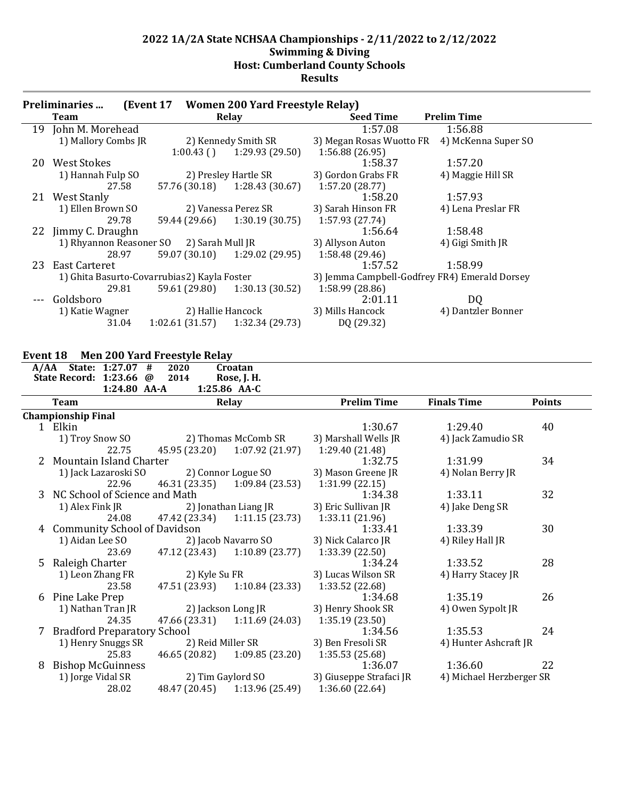|    | <b>Preliminaries</b>                         |                  | (Event 17 Women 200 Yard Freestyle Relay) |                                               |                     |
|----|----------------------------------------------|------------------|-------------------------------------------|-----------------------------------------------|---------------------|
|    | Team                                         |                  | Relay                                     | <b>Seed Time</b>                              | <b>Prelim Time</b>  |
| 19 | John M. Morehead                             |                  |                                           | 1:57.08                                       | 1:56.88             |
|    | 1) Mallory Combs JR                          |                  | 2) Kennedy Smith SR                       | 3) Megan Rosas Wuotto FR                      | 4) McKenna Super SO |
|    |                                              | $1:00.43$ ()     | 1:29.93 (29.50)                           | 1:56.88 (26.95)                               |                     |
| 20 | West Stokes                                  |                  |                                           | 1:58.37                                       | 1:57.20             |
|    | 1) Hannah Fulp SO                            |                  | 2) Presley Hartle SR                      | 3) Gordon Grabs FR                            | 4) Maggie Hill SR   |
|    | 27.58                                        | 57.76 (30.18)    | 1:28.43(30.67)                            | 1:57.20 (28.77)                               |                     |
|    | 21 West Stanly                               |                  |                                           | 1:58.20                                       | 1:57.93             |
|    | 1) Ellen Brown SO                            |                  | 2) Vanessa Perez SR                       | 3) Sarah Hinson FR                            | 4) Lena Preslar FR  |
|    | 29.78                                        | 59.44 (29.66)    | 1:30.19(30.75)                            | 1:57.93 (27.74)                               |                     |
| 22 | Jimmy C. Draughn                             |                  |                                           | 1:56.64                                       | 1:58.48             |
|    | 1) Rhyannon Reasoner SO                      | 2) Sarah Mull JR |                                           | 3) Allyson Auton                              | 4) Gigi Smith JR    |
|    | 28.97                                        | 59.07 (30.10)    | 1:29.02 (29.95)                           | 1:58.48 (29.46)                               |                     |
| 23 | East Carteret                                |                  |                                           | 1:57.52                                       | 1:58.99             |
|    | 1) Ghita Basurto-Covarrubias 2) Kayla Foster |                  |                                           | 3) Jemma Campbell-Godfrey FR4) Emerald Dorsey |                     |
|    | 29.81                                        | 59.61 (29.80)    | 1:30.13(30.52)                            | 1:58.99 (28.86)                               |                     |
|    | Goldsboro                                    |                  |                                           | 2:01.11                                       | DQ                  |
|    | 1) Katie Wagner                              |                  | 2) Hallie Hancock                         | 3) Mills Hancock                              | 4) Dantzler Bonner  |
|    | 31.04                                        | 1:02.61(31.57)   | 1:32.34 (29.73)                           | DQ (29.32)                                    |                     |

### **Event 18 Men 200 Yard Freestyle Relay**

|    | A/AA State: 1:27.07 #               | 2020               | Croatan              |                         |                          |               |  |
|----|-------------------------------------|--------------------|----------------------|-------------------------|--------------------------|---------------|--|
|    | State Record: 1:23.66 @             | 2014               | Rose, J. H.          |                         |                          |               |  |
|    | 1:24.80 AA-A<br>1:25.86 AA-C        |                    |                      |                         |                          |               |  |
|    | Team                                |                    | Relay                | <b>Prelim Time</b>      | <b>Finals Time</b>       | <b>Points</b> |  |
|    | <b>Championship Final</b>           |                    |                      |                         |                          |               |  |
|    | 1 Elkin                             |                    |                      | 1:30.67                 | 1:29.40                  | 40            |  |
|    | 1) Troy Snow SO                     |                    | 2) Thomas McComb SR  | 3) Marshall Wells JR    | 4) Jack Zamudio SR       |               |  |
|    | 22.75                               | 45.95 (23.20)      | 1:07.92(21.97)       | 1:29.40 (21.48)         |                          |               |  |
|    | <b>Mountain Island Charter</b>      |                    |                      | 1:32.75                 | 1:31.99                  | 34            |  |
|    | 1) Jack Lazaroski SO                |                    | 2) Connor Logue SO   | 3) Mason Greene JR      | 4) Nolan Berry JR        |               |  |
|    | 22.96                               | 46.31 (23.35)      | 1:09.84 (23.53)      | 1:31.99(22.15)          |                          |               |  |
|    | 3 NC School of Science and Math     |                    |                      | 1:34.38                 | 1:33.11                  | 32            |  |
|    | 1) Alex Fink JR                     |                    | 2) Jonathan Liang JR | 3) Eric Sullivan JR     | 4) Jake Deng SR          |               |  |
|    | 24.08                               | 47.42 (23.34)      | 1:11.15(23.73)       | 1:33.11 (21.96)         |                          |               |  |
| 4  | <b>Community School of Davidson</b> |                    |                      | 1:33.41                 | 1:33.39                  | 30            |  |
|    | 1) Aidan Lee SO                     |                    | 2) Jacob Navarro SO  | 3) Nick Calarco JR      | 4) Riley Hall JR         |               |  |
|    | 23.69                               | 47.12 (23.43)      | 1:10.89 (23.77)      | 1:33.39 (22.50)         |                          |               |  |
| 5. | Raleigh Charter                     |                    |                      | 1:34.24                 | 1:33.52                  | 28            |  |
|    | 1) Leon Zhang FR                    | 2) Kyle Su FR      |                      | 3) Lucas Wilson SR      | 4) Harry Stacey JR       |               |  |
|    | 23.58                               | 47.51 (23.93)      | 1:10.84(23.33)       | 1:33.52 (22.68)         |                          |               |  |
| 6  | Pine Lake Prep                      |                    |                      | 1:34.68                 | 1:35.19                  | 26            |  |
|    | 1) Nathan Tran JR                   | 2) Jackson Long JR |                      | 3) Henry Shook SR       | 4) Owen Sypolt JR        |               |  |
|    | 24.35                               | 47.66 (23.31)      | 1:11.69(24.03)       | 1:35.19(23.50)          |                          |               |  |
|    | 7 Bradford Preparatory School       |                    |                      | 1:34.56                 | 1:35.53                  | 24            |  |
|    | 1) Henry Snuggs SR                  | 2) Reid Miller SR  |                      | 3) Ben Fresoli SR       | 4) Hunter Ashcraft JR    |               |  |
|    | 25.83                               | 46.65 (20.82)      | 1:09.85(23.20)       | 1:35.53(25.68)          |                          |               |  |
| 8  | <b>Bishop McGuinness</b>            |                    |                      | 1:36.07                 | 1:36.60                  | 22            |  |
|    | 1) Jorge Vidal SR                   | 2) Tim Gaylord SO  |                      | 3) Giuseppe Strafaci JR | 4) Michael Herzberger SR |               |  |
|    | 28.02                               | 48.47 (20.45)      | 1:13.96(25.49)       | 1:36.60 (22.64)         |                          |               |  |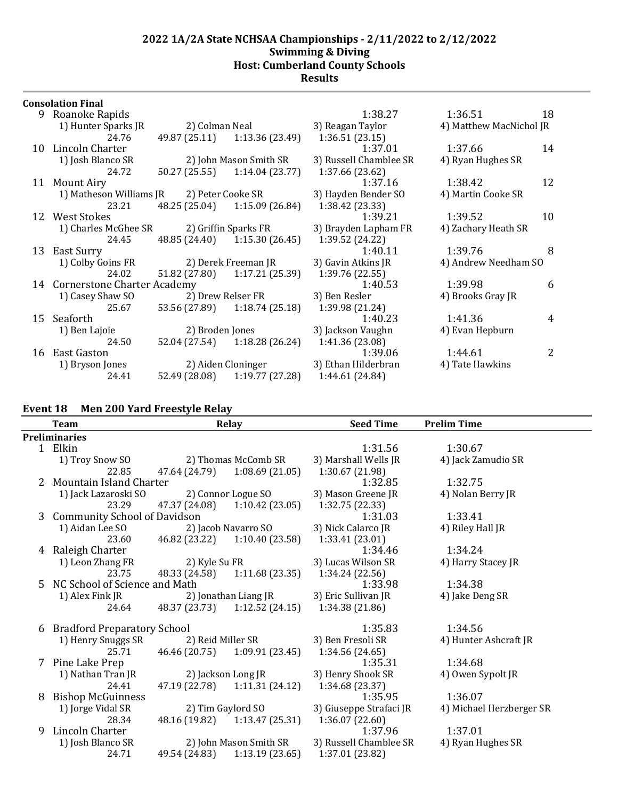#### **Consolation Final**

|    | JUIISUIAUUII FIIIAI                       |                     |                               |                        |                         |    |
|----|-------------------------------------------|---------------------|-------------------------------|------------------------|-------------------------|----|
| 9  | Roanoke Rapids                            |                     |                               | 1:38.27                | 1:36.51                 | 18 |
|    | 1) Hunter Sparks JR                       | 2) Colman Neal      |                               | 3) Reagan Taylor       | 4) Matthew MacNichol JR |    |
|    | 24.76                                     |                     | 49.87 (25.11) 1:13.36 (23.49) | 1:36.51(23.15)         |                         |    |
| 10 | Lincoln Charter                           |                     |                               | 1:37.01                | 1:37.66                 | 14 |
|    | 1) Josh Blanco SR                         |                     | 2) John Mason Smith SR        | 3) Russell Chamblee SR | 4) Ryan Hughes SR       |    |
|    | 24.72                                     | 50.27 (25.55)       | 1:14.04 (23.77)               | 1:37.66 (23.62)        |                         |    |
| 11 | Mount Airy                                |                     |                               | 1:37.16                | 1:38.42                 | 12 |
|    | 1) Matheson Williams JR 2) Peter Cooke SR |                     |                               | 3) Hayden Bender SO    | 4) Martin Cooke SR      |    |
|    | 23.21                                     | 48.25 (25.04)       | 1:15.09 (26.84)               | 1:38.42 (23.33)        |                         |    |
|    | 12 West Stokes                            |                     |                               | 1:39.21                | 1:39.52                 | 10 |
|    | 1) Charles McGhee SR                      |                     | 2) Griffin Sparks FR          | 3) Brayden Lapham FR   | 4) Zachary Heath SR     |    |
|    | 24.45                                     | 48.85 (24.40)       | 1:15.30 (26.45)               | 1:39.52 (24.22)        |                         |    |
| 13 | East Surry                                |                     |                               | 1:40.11                | 1:39.76                 | 8  |
|    | 1) Colby Goins FR                         | 2) Derek Freeman JR |                               | 3) Gavin Atkins JR     | 4) Andrew Needham SO    |    |
|    | 24.02                                     | 51.82 (27.80)       | 1:17.21 (25.39)               | 1:39.76(22.55)         |                         |    |
|    | 14 Cornerstone Charter Academy            |                     |                               | 1:40.53                | 1:39.98                 | 6  |
|    | 1) Casey Shaw SO                          |                     | 2) Drew Relser FR             | 3) Ben Resler          | 4) Brooks Gray JR       |    |
|    | 25.67                                     | 53.56 (27.89)       | 1:18.74 (25.18)               | 1:39.98 (21.24)        |                         |    |
| 15 | Seaforth                                  |                     |                               | 1:40.23                | 1:41.36                 | 4  |
|    | 1) Ben Lajoie                             | 2) Broden Jones     |                               | 3) Jackson Vaughn      | 4) Evan Hepburn         |    |
|    | 24.50                                     |                     | 52.04 (27.54) 1:18.28 (26.24) | 1:41.36 (23.08)        |                         |    |
| 16 | East Gaston                               |                     |                               | 1:39.06                | 1:44.61                 | 2  |
|    | 1) Bryson Jones                           |                     | 2) Aiden Cloninger            | 3) Ethan Hilderbran    | 4) Tate Hawkins         |    |
|    | 24.41                                     | 52.49 (28.08)       | 1:19.77 (27.28)               | 1:44.61 (24.84)        |                         |    |
|    |                                           |                     |                               |                        |                         |    |

## **Event 18 Men 200 Yard Freestyle Relay**

|    | Team                               |                   | Relay                         | <b>Seed Time</b>        | <b>Prelim Time</b>       |
|----|------------------------------------|-------------------|-------------------------------|-------------------------|--------------------------|
|    | <b>Preliminaries</b>               |                   |                               |                         |                          |
|    | 1 Elkin                            |                   |                               | 1:31.56                 | 1:30.67                  |
|    | 1) Troy Snow SO                    |                   | 2) Thomas McComb SR           | 3) Marshall Wells JR    | 4) Jack Zamudio SR       |
|    | 22.85                              | 47.64 (24.79)     | 1:08.69(21.05)                | 1:30.67 (21.98)         |                          |
| 2  | Mountain Island Charter            |                   |                               | 1:32.85                 | 1:32.75                  |
|    | 1) Jack Lazaroski SO               |                   | 2) Connor Logue SO            | 3) Mason Greene JR      | 4) Nolan Berry JR        |
|    | 23.29                              | 47.37 (24.08)     | 1:10.42(23.05)                | 1:32.75 (22.33)         |                          |
|    | 3 Community School of Davidson     |                   |                               | 1:31.03                 | 1:33.41                  |
|    | 1) Aidan Lee SO                    |                   | 2) Jacob Navarro SO           | 3) Nick Calarco JR      | 4) Riley Hall JR         |
|    | 23.60                              | 46.82 (23.22)     | 1:10.40(23.58)                | 1:33.41 (23.01)         |                          |
| 4  | Raleigh Charter                    |                   |                               | 1:34.46                 | 1:34.24                  |
|    | 1) Leon Zhang FR                   | 2) Kyle Su FR     |                               | 3) Lucas Wilson SR      | 4) Harry Stacey JR       |
|    | 23.75                              | 48.33 (24.58)     | 1:11.68(23.35)                | 1:34.24(22.56)          |                          |
| 5. | NC School of Science and Math      |                   |                               | 1:33.98                 | 1:34.38                  |
|    | 1) Alex Fink JR                    |                   | 2) Jonathan Liang JR          | 3) Eric Sullivan JR     | 4) Jake Deng SR          |
|    | 24.64                              | 48.37 (23.73)     | 1:12.52(24.15)                | 1:34.38(21.86)          |                          |
| 6  | <b>Bradford Preparatory School</b> |                   |                               | 1:35.83                 | 1:34.56                  |
|    | 1) Henry Snuggs SR                 | 2) Reid Miller SR |                               | 3) Ben Fresoli SR       | 4) Hunter Ashcraft JR    |
|    | 25.71                              | 46.46 (20.75)     | 1:09.91(23.45)                | 1:34.56(24.65)          |                          |
| 7  | Pine Lake Prep                     |                   |                               | 1:35.31                 | 1:34.68                  |
|    | 1) Nathan Tran JR                  |                   | 2) Jackson Long JR            | 3) Henry Shook SR       | 4) Owen Sypolt JR        |
|    | 24.41                              | 47.19 (22.78)     | 1:11.31(24.12)                | 1:34.68 (23.37)         |                          |
| 8  | <b>Bishop McGuinness</b>           |                   |                               | 1:35.95                 | 1:36.07                  |
|    | 1) Jorge Vidal SR                  |                   | 2) Tim Gaylord SO             | 3) Giuseppe Strafaci JR | 4) Michael Herzberger SR |
|    | 28.34                              |                   | 48.16 (19.82) 1:13.47 (25.31) | 1:36.07(22.60)          |                          |
| 9  | Lincoln Charter                    |                   |                               | 1:37.96                 | 1:37.01                  |
|    | 1) Josh Blanco SR                  |                   | 2) John Mason Smith SR        | 3) Russell Chamblee SR  | 4) Ryan Hughes SR        |
|    | 24.71                              | 49.54 (24.83)     | 1:13.19(23.65)                | 1:37.01 (23.82)         |                          |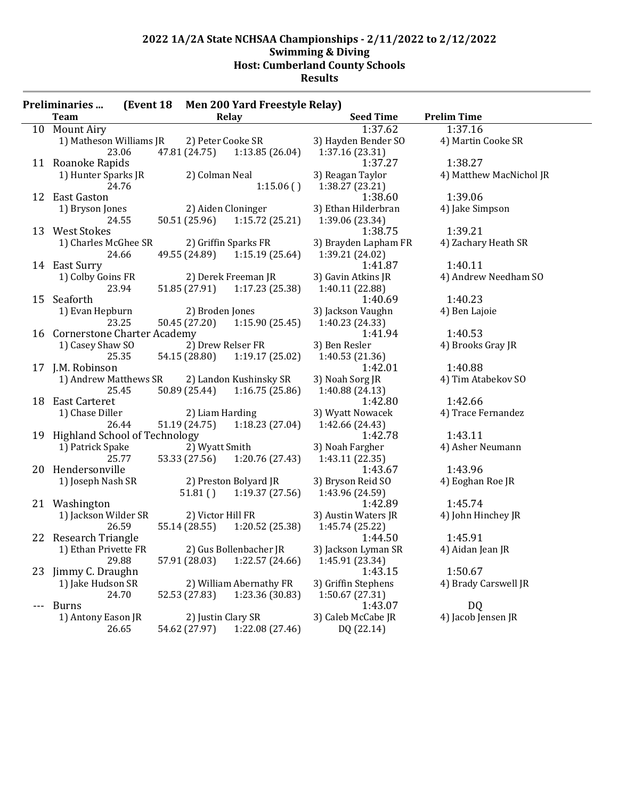|          | <b>Preliminaries</b>                      |                   | (Event 18 Men 200 Yard Freestyle Relay) |                            |                         |
|----------|-------------------------------------------|-------------------|-----------------------------------------|----------------------------|-------------------------|
|          | <b>Team</b>                               |                   | Relay                                   | <b>Seed Time</b>           | <b>Prelim Time</b>      |
|          | 10 Mount Airy                             |                   |                                         | 1:37.62                    | 1:37.16                 |
|          | 1) Matheson Williams JR                   |                   | 2) Peter Cooke SR                       | 3) Hayden Bender SO        | 4) Martin Cooke SR      |
|          | 23.06                                     | 47.81 (24.75)     | 1:13.85(26.04)                          | 1:37.16 (23.31)            |                         |
|          | 11 Roanoke Rapids                         |                   |                                         | 1:37.27                    | 1:38.27                 |
|          | 1) Hunter Sparks JR                       | 2) Colman Neal    |                                         | 3) Reagan Taylor           | 4) Matthew MacNichol JR |
|          | 24.76                                     |                   | 1:15.06()                               | 1:38.27 (23.21)            |                         |
|          | 12 East Gaston                            |                   |                                         | 1:38.60                    | 1:39.06                 |
|          | 1) Bryson Jones                           |                   | 2) Aiden Cloninger                      | 3) Ethan Hilderbran        | 4) Jake Simpson         |
|          | 24.55                                     |                   | 50.51 (25.96) 1:15.72 (25.21)           | 1:39.06 (23.34)            |                         |
|          | 13 West Stokes                            |                   |                                         | 1:38.75                    | 1:39.21                 |
|          | 1) Charles McGhee SR 2) Griffin Sparks FR |                   |                                         | 3) Brayden Lapham FR       | 4) Zachary Heath SR     |
|          | 24.66                                     |                   | 49.55 (24.89) 1:15.19 (25.64)           | 1:39.21 (24.02)            |                         |
|          | 14 East Surry                             |                   |                                         | 1:41.87                    | 1:40.11                 |
|          | 1) Colby Goins FR                         |                   | 2) Derek Freeman JR                     | 3) Gavin Atkins JR         | 4) Andrew Needham SO    |
|          | 23.94                                     |                   | 51.85 (27.91) 1:17.23 (25.38)           | 1:40.11 (22.88)            |                         |
|          | 15 Seaforth                               |                   |                                         | 1:40.69                    | 1:40.23                 |
|          | 1) Evan Hepburn                           | 2) Broden Jones   |                                         | 3) Jackson Vaughn          | 4) Ben Lajoie           |
|          | 23.25                                     |                   | 50.45 (27.20) 1:15.90 (25.45)           | 1:40.23 (24.33)            |                         |
|          | 16 Cornerstone Charter Academy            |                   |                                         | 1:41.94                    | 1:40.53                 |
|          | 1) Casey Shaw SO                          |                   | 2) Drew Relser FR                       | 3) Ben Resler              | 4) Brooks Gray JR       |
|          | 25.35                                     | 54.15 (28.80)     | 1:19.17(25.02)                          | 1:40.53 (21.36)            |                         |
|          | 17 J.M. Robinson                          |                   |                                         | 1:42.01                    | 1:40.88                 |
|          | 1) Andrew Matthews SR                     |                   | 2) Landon Kushinsky SR                  | 3) Noah Sorg JR            | 4) Tim Atabekov SO      |
|          | 25.45                                     |                   | 50.89 (25.44) 1:16.75 (25.86)           | 1:40.88 (24.13)            |                         |
|          | 18 East Carteret                          |                   |                                         | 1:42.80                    | 1:42.66                 |
|          | 1) Chase Diller                           | 2) Liam Harding   |                                         | 3) Wyatt Nowacek           | 4) Trace Fernandez      |
|          | 26.44                                     |                   | $51.19(24.75)$ $1:18.23(27.04)$         | 1:42.66 (24.43)            |                         |
|          | 19 Highland School of Technology          |                   |                                         | 1:42.78                    | 1:43.11                 |
|          | 1) Patrick Spake                          | 2) Wyatt Smith    |                                         | 3) Noah Fargher            | 4) Asher Neumann        |
|          | 25.77                                     |                   | 53.33 (27.56) 1:20.76 (27.43)           | 1:43.11(22.35)             |                         |
|          | 20 Hendersonville                         |                   |                                         | 1:43.67                    | 1:43.96                 |
|          | 1) Joseph Nash SR                         |                   | 2) Preston Bolyard JR                   | 3) Bryson Reid SO          | 4) Eoghan Roe JR        |
|          |                                           |                   | $51.81()$ $1:19.37(27.56)$              | 1:43.96 (24.59)            |                         |
|          | 21 Washington                             |                   |                                         | 1:42.89                    | 1:45.74                 |
|          | 1) Jackson Wilder SR                      | 2) Victor Hill FR |                                         | 3) Austin Waters JR        | 4) John Hinchey JR      |
|          | 26.59                                     | 55.14 (28.55)     | 1:20.52(25.38)                          | 1:45.74 (25.22)            |                         |
|          | 22 Research Triangle                      |                   |                                         | 1:44.50                    | 1:45.91                 |
|          | 1) Ethan Privette FR                      |                   | 2) Gus Bollenbacher JR                  | 3) Jackson Lyman SR        |                         |
|          | 29.88                                     |                   |                                         |                            | 4) Aidan Jean JR        |
|          |                                           | 57.91 (28.03)     | 1:22.57 (24.66)                         | 1:45.91 (23.34)<br>1:43.15 | 1:50.67                 |
| 23       | Jimmy C. Draughn                          |                   |                                         |                            |                         |
|          | 1) Jake Hudson SR                         |                   | 2) William Abernathy FR                 | 3) Griffin Stephens        | 4) Brady Carswell JR    |
|          | 24.70                                     | 52.53 (27.83)     | 1:23.36 (30.83)                         | 1:50.67(27.31)             |                         |
| $\cdots$ | <b>Burns</b>                              |                   |                                         | 1:43.07                    | DQ                      |
|          | 1) Antony Eason JR                        |                   | 2) Justin Clary SR                      | 3) Caleb McCabe JR         | 4) Jacob Jensen JR      |
|          | 26.65                                     | 54.62 (27.97)     | 1:22.08 (27.46)                         | DQ (22.14)                 |                         |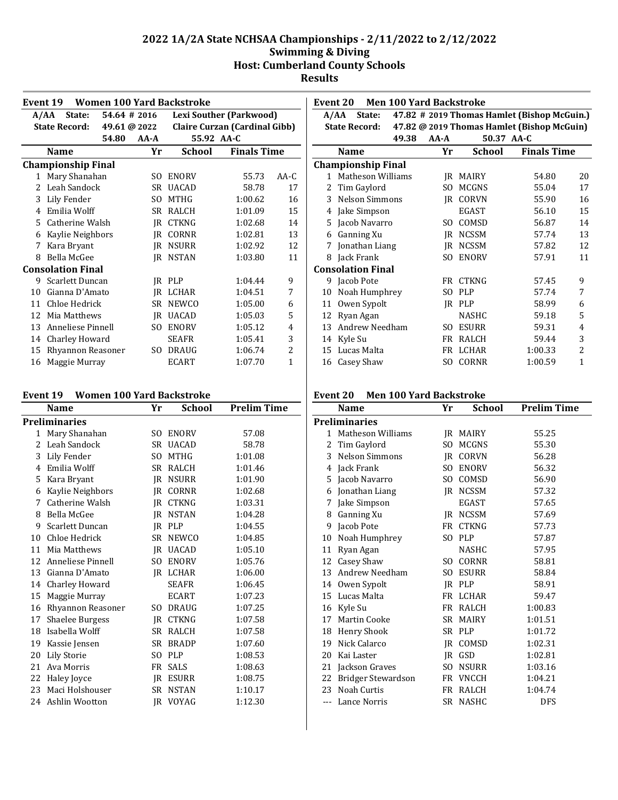|    | <b>Women 100 Yard Backstroke</b><br>Event 19      |              |          |                                      |                         |              |  |
|----|---------------------------------------------------|--------------|----------|--------------------------------------|-------------------------|--------------|--|
|    | State:<br>A/AA                                    | 54.64 # 2016 |          |                                      | Lexi Souther (Parkwood) |              |  |
|    | <b>State Record:</b><br>49.61 @ 2022              |              |          | <b>Claire Curzan (Cardinal Gibb)</b> |                         |              |  |
|    |                                                   | 54.80        | $AA - A$ | 55.92 AA-C                           |                         |              |  |
|    | <b>Finals Time</b><br>Yr<br>School<br><b>Name</b> |              |          |                                      |                         |              |  |
|    | <b>Championship Final</b>                         |              |          |                                      |                         |              |  |
| 1  | Mary Shanahan                                     |              | SO.      | <b>ENORV</b>                         | 55.73                   | $AA-C$       |  |
| 2  | Leah Sandock                                      |              | SR.      | <b>UACAD</b>                         | 58.78                   | 17           |  |
| 3  | Lily Fender                                       |              | SO.      | <b>MTHG</b>                          | 1:00.62                 | 16           |  |
| 4  | Emilia Wolff                                      |              | SR       | RALCH                                | 1:01.09                 | 15           |  |
| 5  | Catherine Walsh                                   |              | IR       | <b>CTKNG</b>                         | 1:02.68                 | 14           |  |
| 6  | Kaylie Neighbors                                  |              | IR       | CORNR                                | 1:02.81                 | 13           |  |
| 7  | Kara Bryant                                       |              | IR       | <b>NSURR</b>                         | 1:02.92                 | 12           |  |
| 8  | Bella McGee                                       |              | IR       | <b>NSTAN</b>                         | 1:03.80                 | 11           |  |
|    | <b>Consolation Final</b>                          |              |          |                                      |                         |              |  |
| 9  | Scarlett Duncan                                   |              |          | IR PLP                               | 1:04.44                 | 9            |  |
| 10 | Gianna D'Amato                                    |              | IR       | LCHAR                                | 1:04.51                 | 7            |  |
| 11 | Chloe Hedrick                                     |              | SR       | <b>NEWCO</b>                         | 1:05.00                 | 6            |  |
| 12 | Mia Matthews                                      |              | IR       | <b>UACAD</b>                         | 1:05.03                 | 5            |  |
| 13 | Anneliese Pinnell                                 |              | SO.      | <b>ENORV</b>                         | 1:05.12                 | 4            |  |
| 14 | Charley Howard                                    |              |          | SEAFR                                | 1:05.41                 | 3            |  |
| 15 | Rhyannon Reasoner                                 |              | SO.      | <b>DRAUG</b>                         | 1:06.74                 | 2            |  |
| 16 | Maggie Murray                                     |              |          | <b>ECART</b>                         | 1:07.70                 | $\mathbf{1}$ |  |

#### **Event 19 Women 100 Yard Backstroke**

|               | <b>Name</b>            | Yr        | <b>School</b> | <b>Prelim Time</b> |
|---------------|------------------------|-----------|---------------|--------------------|
|               | <b>Preliminaries</b>   |           |               |                    |
| 1             | Mary Shanahan          | SO.       | <b>ENORV</b>  | 57.08              |
| $\mathcal{L}$ | Leah Sandock           |           | SR UACAD      | 58.78              |
| 3             | Lily Fender            | SO.       | <b>MTHG</b>   | 1:01.08            |
| 4             | Emilia Wolff           | SR.       | <b>RALCH</b>  | 1:01.46            |
| 5             | Kara Bryant            | IR        | <b>NSURR</b>  | 1:01.90            |
| 6             | Kaylie Neighbors       | IR        | CORNR         | 1:02.68            |
| 7             | Catherine Walsh        | IR        | <b>CTKNG</b>  | 1:03.31            |
| 8             | Bella McGee            | IR        | <b>NSTAN</b>  | 1:04.28            |
| 9             | Scarlett Duncan        | IR        | <b>PLP</b>    | 1:04.55            |
| 10            | Chloe Hedrick          | SR        | NEWCO         | 1:04.85            |
| 11            | Mia Matthews           | IR        | <b>UACAD</b>  | 1:05.10            |
| 12            | Anneliese Pinnell      | SO.       | <b>ENORV</b>  | 1:05.76            |
| 13            | Gianna D'Amato         | IR        | <b>LCHAR</b>  | 1:06.00            |
| 14            | Charley Howard         |           | <b>SEAFR</b>  | 1:06.45            |
| 15            | Maggie Murray          |           | <b>ECART</b>  | 1:07.23            |
| 16            | Rhyannon Reasoner      | SO.       | <b>DRAUG</b>  | 1:07.25            |
| 17            | <b>Shaelee Burgess</b> | IR        | <b>CTKNG</b>  | 1:07.58            |
| 18            | Isabella Wolff         | SR.       | <b>RALCH</b>  | 1:07.58            |
| 19            | Kassie Jensen          | SR        | <b>BRADP</b>  | 1:07.60            |
| 20            | Lily Storie            | SO.       | <b>PLP</b>    | 1:08.53            |
| 21            | Ava Morris             | FR        | <b>SALS</b>   | 1:08.63            |
| 22            | Haley Joyce            | IR        | <b>ESURR</b>  | 1:08.75            |
| 23            | Maci Holshouser        | <b>SR</b> | <b>NSTAN</b>  | 1:10.17            |
| 24            | Ashlin Wootton         | IR        | VOYAG         | 1:12.30            |

|              | <b>Men 100 Yard Backstroke</b><br><b>Event 20</b> |          |              |                                             |              |
|--------------|---------------------------------------------------|----------|--------------|---------------------------------------------|--------------|
|              | A/AA<br>State:                                    |          |              | 47.82 # 2019 Thomas Hamlet (Bishop McGuin.) |              |
|              | <b>State Record:</b>                              |          |              | 47.82 @ 2019 Thomas Hamlet (Bishop McGuin)  |              |
|              | 49.38                                             | $AA - A$ | 50.37 AA-C   |                                             |              |
|              | Name                                              | Yr       | School       | <b>Finals Time</b>                          |              |
|              | <b>Championship Final</b>                         |          |              |                                             |              |
| $\mathbf{1}$ | Matheson Williams                                 | IR       | MAIRY        | 54.80                                       | 20           |
| 2            | Tim Gaylord                                       | SO.      | <b>MCGNS</b> | 55.04                                       | 17           |
| 3            | Nelson Simmons                                    | IR       | CORVN        | 55.90                                       | 16           |
| 4            | Jake Simpson                                      |          | EGAST        | 56.10                                       | 15           |
| 5.           | Jacob Navarro                                     | SΟ       | COMSD        | 56.87                                       | 14           |
| 6            | Ganning Xu                                        | IR       | <b>NCSSM</b> | 57.74                                       | 13           |
| 7            | Jonathan Liang                                    | IR       | <b>NCSSM</b> | 57.82                                       | 12           |
| 8            | Jack Frank                                        | SO.      | <b>ENORV</b> | 57.91                                       | 11           |
|              | <b>Consolation Final</b>                          |          |              |                                             |              |
|              | 9 Jacob Pote                                      | FR       | <b>CTKNG</b> | 57.45                                       | 9            |
| 10           | Noah Humphrey                                     | SO.      | PLP          | 57.74                                       | 7            |
| 11           | Owen Sypolt                                       |          | IR PLP       | 58.99                                       | 6            |
| 12           | Ryan Agan                                         |          | <b>NASHC</b> | 59.18                                       | 5            |
| 13           | Andrew Needham                                    | SO.      | <b>ESURR</b> | 59.31                                       | 4            |
|              | 14 Kyle Su                                        | FR       | RALCH        | 59.44                                       | 3            |
| 15           | Lucas Malta                                       | FR       | LCHAR        | 1:00.33                                     | 2            |
| 16           | Casey Shaw                                        | SO.      | <b>CORNR</b> | 1:00.59                                     | $\mathbf{1}$ |

## **Event 20 Men 100 Yard Backstroke**

|              | Name               | Yr             | School       | <b>Prelim Time</b> |
|--------------|--------------------|----------------|--------------|--------------------|
|              | Preliminaries      |                |              |                    |
| $\mathbf{1}$ | Matheson Williams  | IR             | <b>MAIRY</b> | 55.25              |
| 2            | Tim Gaylord        | SO.            | <b>MCGNS</b> | 55.30              |
| 3            | Nelson Simmons     | IR             | CORVN        | 56.28              |
| 4            | Jack Frank         | S <sub>O</sub> | <b>ENORV</b> | 56.32              |
| 5            | Jacob Navarro      | SO.            | COMSD        | 56.90              |
| 6            | Jonathan Liang     | IR             | <b>NCSSM</b> | 57.32              |
| 7            | Jake Simpson       |                | EGAST        | 57.65              |
| 8            | Ganning Xu         |                | IR NCSSM     | 57.69              |
| 9            | Jacob Pote         |                | FR CTKNG     | 57.73              |
| 10           | Noah Humphrey      | SO.            | <b>PLP</b>   | 57.87              |
| 11           | Ryan Agan          |                | NASHC        | 57.95              |
| 12           | Casey Shaw         | SO.            | <b>CORNR</b> | 58.81              |
| 13           | Andrew Needham     | SO.            | <b>ESURR</b> | 58.84              |
| 14           | Owen Sypolt        |                | IR PLP       | 58.91              |
| 15           | Lucas Malta        |                | FR LCHAR     | 59.47              |
| 16           | Kyle Su            | FR             | RALCH        | 1:00.83            |
| 17           | Martin Cooke       | SR             | <b>MAIRY</b> | 1:01.51            |
| 18           | Henry Shook        | SR             | PLP          | 1:01.72            |
| 19           | Nick Calarco       |                | IR COMSD     | 1:02.31            |
| 20           | Kai Laster         |                | JR GSD       | 1:02.81            |
| 21           | Jackson Graves     | SO.            | <b>NSURR</b> | 1:03.16            |
| 22           | Bridger Stewardson |                | FR VNCCH     | 1:04.21            |
| 23           | Noah Curtis        | FR             | <b>RALCH</b> | 1:04.74            |
| $---$        | Lance Norris       |                | SR NASHC     | <b>DFS</b>         |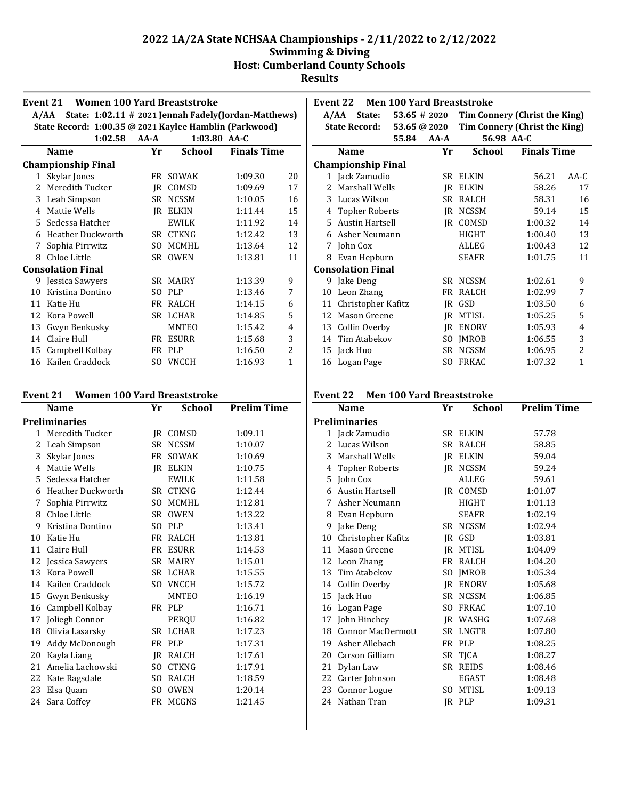|              | <b>Women 100 Yard Breaststroke</b><br>Event 21                |        |              |              |                |  |  |
|--------------|---------------------------------------------------------------|--------|--------------|--------------|----------------|--|--|
|              | State: 1:02.11 # 2021 Jennah Fadely (Jordan-Matthews)<br>A/AA |        |              |              |                |  |  |
|              | State Record: 1:00.35 @ 2021 Kaylee Hamblin (Parkwood)        |        |              |              |                |  |  |
|              | 1:02.58                                                       | $AA-A$ |              | 1:03.80 AA-C |                |  |  |
|              | <b>Finals Time</b><br><b>School</b><br>Name<br>Yr             |        |              |              |                |  |  |
|              | <b>Championship Final</b>                                     |        |              |              |                |  |  |
| $\mathbf{1}$ | Skylar Jones                                                  |        | FR SOWAK     | 1:09.30      | 20             |  |  |
| 2            | Meredith Tucker                                               | IR     | COMSD        | 1:09.69      | 17             |  |  |
| 3            | Leah Simpson                                                  | SR     | <b>NCSSM</b> | 1:10.05      | 16             |  |  |
| 4            | Mattie Wells                                                  | IR     | <b>ELKIN</b> | 1:11.44      | 15             |  |  |
| 5.           | Sedessa Hatcher                                               |        | <b>EWILK</b> | 1:11.92      | 14             |  |  |
| 6            | <b>Heather Duckworth</b>                                      | SR -   | <b>CTKNG</b> | 1:12.42      | 13             |  |  |
| 7            | Sophia Pirrwitz                                               | SO.    | <b>MCMHL</b> | 1:13.64      | 12             |  |  |
| 8            | Chloe Little                                                  | SR.    | <b>OWEN</b>  | 1:13.81      | 11             |  |  |
|              | <b>Consolation Final</b>                                      |        |              |              |                |  |  |
|              | 9 Jessica Sawyers                                             |        | SR MAIRY     | 1:13.39      | 9              |  |  |
| 10           | Kristina Dontino                                              | SO.    | <b>PLP</b>   | 1:13.46      | 7              |  |  |
| 11           | Katie Hu                                                      | FR     | RALCH        | 1:14.15      | 6              |  |  |
| 12           | Kora Powell                                                   | SR.    | <b>LCHAR</b> | 1:14.85      | 5              |  |  |
| 13           | Gwyn Benkusky                                                 |        | <b>MNTEO</b> | 1:15.42      | 4              |  |  |
| 14           | Claire Hull                                                   | FR     | <b>ESURR</b> | 1:15.68      | 3              |  |  |
| 15           | Campbell Kolbay                                               | FR     | <b>PLP</b>   | 1:16.50      | $\overline{c}$ |  |  |
| 16           | Kailen Craddock                                               | SO.    | <b>VNCCH</b> | 1:16.93      | $\mathbf{1}$   |  |  |

| Event 21 |  |  |  | <b>Women 100 Yard Breaststroke</b> |
|----------|--|--|--|------------------------------------|
|----------|--|--|--|------------------------------------|

|    | <b>Name</b>        | Yr  | <b>School</b> | <b>Prelim Time</b> |
|----|--------------------|-----|---------------|--------------------|
|    | Preliminaries      |     |               |                    |
|    | 1 Meredith Tucker  |     | IR COMSD      | 1:09.11            |
| 2  | Leah Simpson       |     | SR NCSSM      | 1:10.07            |
| 3  | Skylar Jones       |     | FR SOWAK      | 1:10.69            |
| 4  | Mattie Wells       |     | IR ELKIN      | 1:10.75            |
|    | 5 Sedessa Hatcher  |     | EWILK         | 1:11.58            |
| 6  | Heather Duckworth  |     | SR CTKNG      | 1:12.44            |
| 7  | Sophia Pirrwitz    | SO. | MCMHL         | 1:12.81            |
| 8  | Chloe Little       |     | SR OWEN       | 1:13.22            |
| 9  | Kristina Dontino   |     | SO PLP        | 1:13.41            |
| 10 | Katie Hu           |     | FR RALCH      | 1:13.81            |
| 11 | Claire Hull        | FR  | <b>ESURR</b>  | 1:14.53            |
|    | 12 Jessica Sawyers |     | SR MAIRY      | 1:15.01            |
|    | 13 Kora Powell     |     | SR LCHAR      | 1:15.55            |
| 14 | Kailen Craddock    |     | SO VNCCH      | 1:15.72            |
| 15 | Gwyn Benkusky      |     | <b>MNTEO</b>  | 1:16.19            |
| 16 | Campbell Kolbay    |     | FR PLP        | 1:16.71            |
|    | 17 Joliegh Connor  |     | PERQU         | 1:16.82            |
|    | 18 Olivia Lasarsky |     | SR LCHAR      | 1:17.23            |
| 19 | Addy McDonough     |     | FR PLP        | 1:17.31            |
| 20 | Kayla Liang        |     | IR RALCH      | 1:17.61            |
| 21 | Amelia Lachowski   |     | SO CTKNG      | 1:17.91            |
| 22 | Kate Ragsdale      |     | SO RALCH      | 1:18.59            |
| 23 | Elsa Quam          | SO. | OWEN          | 1:20.14            |
|    | 24 Sara Coffey     |     | FR MCGNS      | 1:21.45            |
|    |                    |     |               |                    |

|    | <b>Men 100 Yard Breaststroke</b><br>Event 22 |                 |        |                               |                    |        |  |  |  |
|----|----------------------------------------------|-----------------|--------|-------------------------------|--------------------|--------|--|--|--|
|    | A/AA<br>State:                               | $53.65 \# 2020$ |        | Tim Connery (Christ the King) |                    |        |  |  |  |
|    | <b>State Record:</b>                         | 53.65 @ 2020    |        | Tim Connery (Christ the King) |                    |        |  |  |  |
|    |                                              | 55.84           | $AA-A$ | 56.98 AA-C                    |                    |        |  |  |  |
|    | <b>Name</b>                                  |                 | Yr     | School                        | <b>Finals Time</b> |        |  |  |  |
|    | <b>Championship Final</b>                    |                 |        |                               |                    |        |  |  |  |
|    | 1 Jack Zamudio                               |                 | SR     | <b>ELKIN</b>                  | 56.21              | $AA-C$ |  |  |  |
| 2  | Marshall Wells                               |                 | IR     | <b>ELKIN</b>                  | 58.26              | 17     |  |  |  |
| 3  | Lucas Wilson                                 |                 | SR.    | <b>RALCH</b>                  | 58.31              | 16     |  |  |  |
| 4  | <b>Topher Roberts</b>                        |                 | IR     | <b>NCSSM</b>                  | 59.14              | 15     |  |  |  |
| 5. | Austin Hartsell                              |                 | IR     | COMSD                         | 1:00.32            | 14     |  |  |  |
| 6  | Asher Neumann                                |                 |        | <b>HIGHT</b>                  | 1:00.40            | 13     |  |  |  |
| 7  | John Cox                                     |                 |        | ALLEG                         | 1:00.43            | 12     |  |  |  |
| 8  | Evan Hepburn                                 |                 |        | <b>SEAFR</b>                  | 1:01.75            | 11     |  |  |  |
|    | <b>Consolation Final</b>                     |                 |        |                               |                    |        |  |  |  |
|    | 9 Jake Deng                                  |                 | SR.    | <b>NCSSM</b>                  | 1:02.61            | 9      |  |  |  |
| 10 | Leon Zhang                                   |                 | FR     | <b>RALCH</b>                  | 1:02.99            | 7      |  |  |  |
| 11 | Christopher Kafitz                           |                 | IR     | GSD                           | 1:03.50            | 6      |  |  |  |
| 12 | Mason Greene                                 |                 | IR     | MTISL                         | 1:05.25            | 5      |  |  |  |
| 13 | Collin Overby                                |                 | IR     | <b>ENORV</b>                  | 1:05.93            | 4      |  |  |  |
| 14 | Tim Atabekov                                 |                 | SO.    | <b>IMROB</b>                  | 1:06.55            | 3      |  |  |  |
|    | 15 Jack Huo                                  |                 | SR     | <b>NCSSM</b>                  | 1:06.95            | 2      |  |  |  |
|    | 16 Logan Page                                |                 | SO     | <b>FRKAC</b>                  | 1:07.32            | 1      |  |  |  |

## **Event 22 Men 100 Yard Breaststroke**

|                | Name                     | Yr             | School       | <b>Prelim Time</b> |
|----------------|--------------------------|----------------|--------------|--------------------|
|                | Preliminaries            |                |              |                    |
|                | 1 Jack Zamudio           |                | SR ELKIN     | 57.78              |
| $\overline{2}$ | Lucas Wilson             | SR             | RALCH        | 58.85              |
|                | 3 Marshall Wells         | <b>IR</b>      | <b>ELKIN</b> | 59.04              |
| 4              | <b>Topher Roberts</b>    | IR             | <b>NCSSM</b> | 59.24              |
| 5              | John Cox                 |                | ALLEG        | 59.61              |
| 6              | <b>Austin Hartsell</b>   |                | IR COMSD     | 1:01.07            |
| 7              | Asher Neumann            |                | <b>HIGHT</b> | 1:01.13            |
| 8              | Evan Hepburn             |                | <b>SEAFR</b> | 1:02.19            |
| 9              | Jake Deng                | SR.            | <b>NCSSM</b> | 1:02.94            |
| 10             | Christopher Kafitz       | IR             | GSD          | 1:03.81            |
| 11             | Mason Greene             | IR             | MTISL        | 1:04.09            |
| 12             | Leon Zhang               |                | FR RALCH     | 1:04.20            |
|                | 13 Tim Atabekov          | S <sub>O</sub> | JMROB        | 1:05.34            |
| 14             | Collin Overby            |                | JR ENORV     | 1:05.68            |
| 15             | Jack Huo                 |                | SR NCSSM     | 1:06.85            |
| 16             | Logan Page               | SO.            | <b>FRKAC</b> | 1:07.10            |
|                | 17 John Hinchey          |                | IR WASHG     | 1:07.68            |
| 18             | <b>Connor MacDermott</b> |                | SR LNGTR     | 1:07.80            |
| 19             | Asher Allebach           |                | FR PLP       | 1:08.25            |
| 20             | Carson Gilliam           |                | SR TJCA      | 1:08.27            |
| 21             | Dylan Law                |                | SR REIDS     | 1:08.46            |
| 22             | Carter Johnson           |                | EGAST        | 1:08.48            |
| 23             | Connor Logue             | SO.            | <b>MTISL</b> | 1:09.13            |
| 24             | Nathan Tran              |                | IR PLP       | 1:09.31            |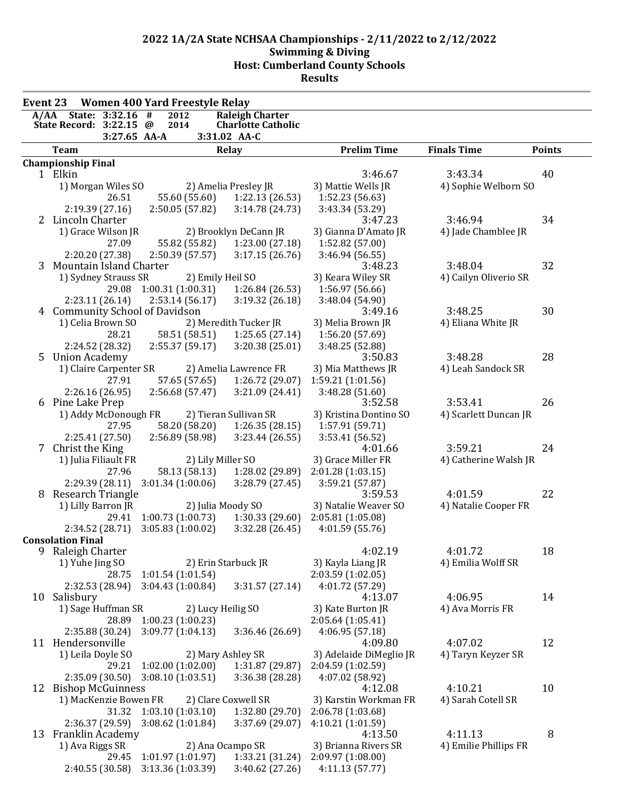| <b>Event 23</b> |                                      |                        | <b>Women 400 Yard Freestyle Relay</b> |                   |                           |                              |                       |               |
|-----------------|--------------------------------------|------------------------|---------------------------------------|-------------------|---------------------------|------------------------------|-----------------------|---------------|
|                 | A/AA State: 3:32.16                  |                        | #<br>2012                             |                   | <b>Raleigh Charter</b>    |                              |                       |               |
|                 | State Record: 3:22.15 @              |                        | 2014                                  |                   | <b>Charlotte Catholic</b> |                              |                       |               |
|                 |                                      | 3:27.65 AA-A           |                                       |                   | 3:31.02 AA-C              |                              |                       |               |
|                 | <b>Team</b>                          |                        |                                       |                   | <b>Relay</b>              | <b>Prelim Time</b>           | <b>Finals Time</b>    | <b>Points</b> |
|                 | <b>Championship Final</b><br>1 Elkin |                        |                                       |                   |                           | 3:46.67                      | 3:43.34               | 40            |
|                 |                                      | 1) Morgan Wiles SO     |                                       |                   | 2) Amelia Presley JR      | 3) Mattie Wells JR           | 4) Sophie Welborn SO  |               |
|                 |                                      | 26.51                  | 55.60 (55.60)                         |                   | 1:22.13 (26.53)           | 1:52.23 (56.63)              |                       |               |
|                 | 2:19.39(27.16)                       |                        | 2:50.05 (57.82)                       |                   | 3:14.78 (24.73)           | 3:43.34 (53.29)              |                       |               |
|                 | 2 Lincoln Charter                    |                        |                                       |                   |                           | 3:47.23                      | 3:46.94               | 34            |
|                 |                                      | 1) Grace Wilson JR     |                                       |                   | 2) Brooklyn DeCann JR     | 3) Gianna D'Amato JR         | 4) Jade Chamblee JR   |               |
|                 |                                      | 27.09                  | 55.82 (55.82)                         |                   | 1:23.00 (27.18)           | 1:52.82 (57.00)              |                       |               |
|                 | 2:20.20 (27.38)                      |                        | 2:50.39(57.57)                        |                   | 3:17.15(26.76)            | 3:46.94 (56.55)              |                       |               |
|                 | 3 Mountain Island Charter            |                        |                                       |                   |                           | 3:48.23                      | 3:48.04               | 32            |
|                 |                                      | 1) Sydney Strauss SR   |                                       | 2) Emily Heil SO  |                           | 3) Keara Wiley SR            | 4) Cailyn Oliverio SR |               |
|                 |                                      | 29.08                  | 1:00.31 (1:00.31)                     |                   | 1:26.84(26.53)            | 1:56.97 (56.66)              |                       |               |
|                 | 2:23.11(26.14)                       |                        | 2:53.14(56.17)                        |                   | 3:19.32 (26.18)           | 3:48.04 (54.90)              |                       |               |
|                 |                                      |                        | 4 Community School of Davidson        |                   |                           | 3:49.16                      | 3:48.25               | 30            |
|                 | 1) Celia Brown SO                    |                        |                                       |                   | 2) Meredith Tucker JR     | 3) Melia Brown JR            | 4) Eliana White JR    |               |
|                 |                                      | 28.21                  | 58.51 (58.51)                         |                   | 1:25.65(27.14)            | 1:56.20 (57.69)              |                       |               |
|                 | 2:24.52 (28.32)                      |                        | 2:55.37(59.17)                        |                   | 3:20.38(25.01)            | 3:48.25 (52.88)              |                       |               |
|                 | 5 Union Academy                      |                        |                                       |                   |                           | 3:50.83                      | 3:48.28               | 28            |
|                 |                                      | 1) Claire Carpenter SR |                                       |                   | 2) Amelia Lawrence FR     | 3) Mia Matthews JR           | 4) Leah Sandock SR    |               |
|                 |                                      | 27.91                  | 57.65 (57.65)                         |                   | 1:26.72 (29.07)           | 1:59.21 (1:01.56)            |                       |               |
| 6               | 2:26.16(26.95)<br>Pine Lake Prep     |                        | 2:56.68 (57.47)                       |                   | 3:21.09 (24.41)           | 3:48.28 (51.60)<br>3:52.58   | 3:53.41               | 26            |
|                 |                                      | 1) Addy McDonough FR   |                                       |                   | 2) Tieran Sullivan SR     | 3) Kristina Dontino SO       | 4) Scarlett Duncan JR |               |
|                 |                                      | 27.95                  | 58.20 (58.20)                         |                   | 1:26.35(28.15)            | 1:57.91 (59.71)              |                       |               |
|                 | 2:25.41 (27.50)                      |                        | 2:56.89(58.98)                        |                   | 3:23.44(26.55)            | 3:53.41 (56.52)              |                       |               |
|                 | 7 Christ the King                    |                        |                                       |                   |                           | 4:01.66                      | 3:59.21               | 24            |
|                 | 1) Julia Filiault FR                 |                        |                                       | 2) Lily Miller SO |                           | 3) Grace Miller FR           | 4) Catherine Walsh JR |               |
|                 |                                      | 27.96                  |                                       | 58.13 (58.13)     | 1:28.02 (29.89)           | 2:01.28 (1:03.15)            |                       |               |
|                 |                                      | 2:29.39(28.11)         | 3:01.34(1:00.06)                      |                   | 3:28.79 (27.45)           | 3:59.21 (57.87)              |                       |               |
| 8               | Research Triangle                    |                        |                                       |                   |                           | 3:59.53                      | 4:01.59               | 22            |
|                 | 1) Lilly Barron JR                   |                        |                                       |                   | 2) Julia Moody SO         | 3) Natalie Weaver SO         | 4) Natalie Cooper FR  |               |
|                 |                                      | 29.41                  | 1:00.73(1:00.73)                      |                   | 1:30.33(29.60)            | 2:05.81 (1:05.08)            |                       |               |
|                 |                                      | 2:34.52(28.71)         | 3:05.83(1:00.02)                      |                   | 3:32.28(26.45)            | 4:01.59(55.76)               |                       |               |
|                 | <b>Consolation Final</b>             |                        |                                       |                   |                           |                              |                       |               |
|                 | 9 Raleigh Charter                    |                        |                                       |                   |                           | 4:02.19                      | 4:01.72               | 18            |
|                 | 1) Yuhe Jing SO                      |                        |                                       |                   | 2) Erin Starbuck JR       | 3) Kayla Liang JR            | 4) Emilia Wolff SR    |               |
|                 |                                      |                        | 28.75 1:01.54 (1:01.54)               |                   |                           | 2:03.59 (1:02.05)            |                       |               |
|                 |                                      | 2:32.53 (28.94)        | 3:04.43(1:00.84)                      |                   | 3:31.57(27.14)            | 4:01.72 (57.29)              | 4:06.95               | 14            |
|                 | 10 Salisbury                         | 1) Sage Huffman SR     |                                       | 2) Lucy Heilig SO |                           | 4:13.07<br>3) Kate Burton JR | 4) Ava Morris FR      |               |
|                 |                                      | 28.89                  | 1:00.23(1:00.23)                      |                   |                           | 2:05.64(1:05.41)             |                       |               |
|                 | 2:35.88 (30.24)                      |                        | 3:09.77(1:04.13)                      |                   | 3:36.46 (26.69)           | 4:06.95(57.18)               |                       |               |
|                 | 11 Hendersonville                    |                        |                                       |                   |                           | 4:09.80                      | 4:07.02               | 12            |
|                 | 1) Leila Doyle SO                    |                        |                                       |                   | 2) Mary Ashley SR         | 3) Adelaide DiMeglio JR      | 4) Taryn Keyzer SR    |               |
|                 |                                      | 29.21                  | 1:02.00(1:02.00)                      |                   | 1:31.87 (29.87)           | 2:04.59 (1:02.59)            |                       |               |
|                 |                                      | 2:35.09(30.50)         | 3:08.10(1:03.51)                      |                   | 3:36.38 (28.28)           | 4:07.02 (58.92)              |                       |               |
|                 | 12 Bishop McGuinness                 |                        |                                       |                   |                           | 4:12.08                      | 4:10.21               | 10            |
|                 |                                      | 1) MacKenzie Bowen FR  |                                       |                   | 2) Clare Coxwell SR       | 3) Karstin Workman FR        | 4) Sarah Cotell SR    |               |
|                 |                                      |                        | 31.32 1:03.10 (1:03.10)               |                   | 1:32.80(29.70)            | 2:06.78 (1:03.68)            |                       |               |
|                 |                                      | 2:36.37(29.59)         | 3:08.62(1:01.84)                      |                   | 3:37.69 (29.07)           | 4:10.21 (1:01.59)            |                       |               |
|                 | 13 Franklin Academy                  |                        |                                       |                   |                           | 4:13.50                      | 4:11.13               | 8             |
|                 | 1) Ava Riggs SR                      |                        |                                       |                   | 2) Ana Ocampo SR          | 3) Brianna Rivers SR         | 4) Emilie Phillips FR |               |
|                 |                                      |                        | 29.45 1:01.97 (1:01.97)               |                   | 1:33.21 (31.24)           | 2:09.97 (1:08.00)            |                       |               |
|                 |                                      | 2:40.55(30.58)         | 3:13.36 (1:03.39)                     |                   | 3:40.62 (27.26)           | 4:11.13(57.77)               |                       |               |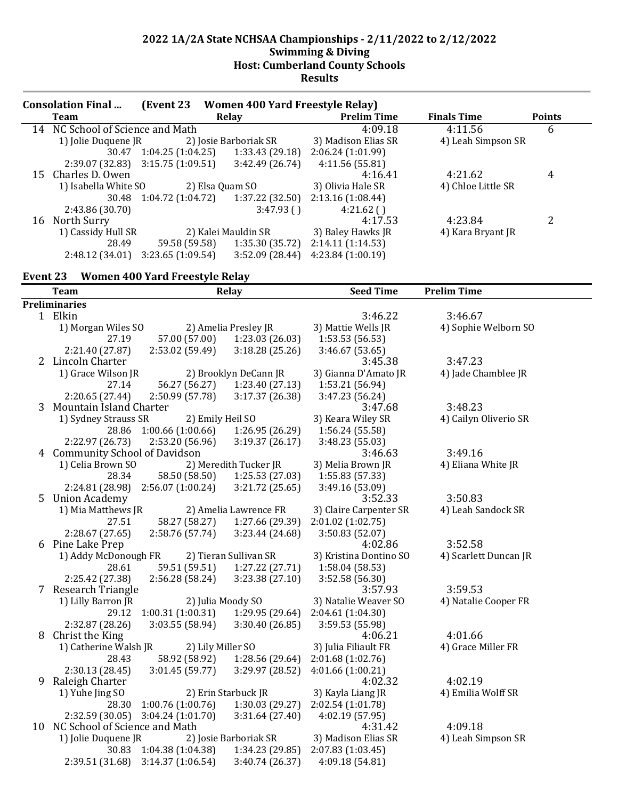| <b>Consolation Final</b> |                                     | (Event 23                           |                       |                 | <b>Women 400 Yard Freestyle Relay)</b> |                    |               |
|--------------------------|-------------------------------------|-------------------------------------|-----------------------|-----------------|----------------------------------------|--------------------|---------------|
| Team                     |                                     | Relay                               |                       |                 | <b>Prelim Time</b>                     | <b>Finals Time</b> | <b>Points</b> |
| 14                       | NC School of Science and Math       |                                     | 4:09.18               | 4:11.56         | 6                                      |                    |               |
|                          | 1) Jolie Duquene JR                 |                                     | 2) Josie Barboriak SR |                 | 3) Madison Elias SR                    | 4) Leah Simpson SR |               |
|                          |                                     | $30.47 \quad 1:04.25 \ (1:04.25)$   |                       | 1:33.43 (29.18) | 2:06.24(1:01.99)                       |                    |               |
|                          | $2:39.07(32.83)$ $3:15.75(1:09.51)$ |                                     |                       | 3:42.49(26.74)  | 4:11.56(55.81)                         |                    |               |
| 15                       | Charles D. Owen                     |                                     |                       |                 | 4:16.41                                | 4:21.62            | 4             |
|                          | 1) Isabella White SO                |                                     | 2) Elsa Quam SO       |                 | 3) Olivia Hale SR                      | 4) Chloe Little SR |               |
|                          | 30.48                               | $1:04.72(1:04.72)$ $1:37.22(32.50)$ |                       |                 | 2:13.16(1:08.44)                       |                    |               |
|                          | 2:43.86 (30.70)                     |                                     |                       | 3:47.93()       | 4:21.62()                              |                    |               |
|                          | 16 North Surry                      |                                     |                       |                 | 4:17.53                                | 4:23.84            | 2             |
|                          | 1) Cassidy Hull SR                  |                                     | 2) Kalei Mauldin SR   |                 | 3) Baley Hawks JR                      | 4) Kara Bryant JR  |               |
|                          | 28.49                               | 59.58 (59.58)                       |                       | 1:35.30 (35.72) | 2:14.11(1:14.53)                       |                    |               |
|                          | 2:48.12(34.01)                      | 3:23.65(1:09.54)                    |                       | 3:52.09(28.44)  | 4:23.84(1:00.19)                       |                    |               |

## **Event 23 Women 400 Yard Freestyle Relay**

| <b>Team</b>                      |                         | <b>Relay</b>          | <b>Seed Time</b>       | <b>Prelim Time</b>    |  |  |
|----------------------------------|-------------------------|-----------------------|------------------------|-----------------------|--|--|
| <b>Preliminaries</b>             |                         |                       |                        |                       |  |  |
| 1 Elkin                          |                         |                       | 3:46.22                | 3:46.67               |  |  |
| 1) Morgan Wiles SO               |                         | 2) Amelia Presley JR  | 3) Mattie Wells JR     | 4) Sophie Welborn SO  |  |  |
| 27.19                            | 57.00 (57.00)           | 1:23.03 (26.03)       | 1:53.53(56.53)         |                       |  |  |
| 2:21.40 (27.87)                  | 2:53.02 (59.49)         | 3:18.28(25.26)        | 3:46.67(53.65)         |                       |  |  |
| 2 Lincoln Charter                |                         |                       | 3:45.38                | 3:47.23               |  |  |
| 1) Grace Wilson JR               |                         | 2) Brooklyn DeCann JR | 3) Gianna D'Amato JR   | 4) Jade Chamblee JR   |  |  |
| 27.14                            | 56.27 (56.27)           | 1:23.40 (27.13)       | 1:53.21 (56.94)        |                       |  |  |
| 2:20.65(27.44)                   | 2:50.99(57.78)          | 3:17.37 (26.38)       | 3:47.23 (56.24)        |                       |  |  |
| 3 Mountain Island Charter        |                         |                       | 3:47.68                | 3:48.23               |  |  |
| 1) Sydney Strauss SR             | 2) Emily Heil SO        |                       | 3) Keara Wiley SR      | 4) Cailyn Oliverio SR |  |  |
| 28.86                            | 1:00.66(1:00.66)        | 1:26.95 (26.29)       | 1:56.24 (55.58)        |                       |  |  |
| 2:22.97 (26.73)                  | 2:53.20 (56.96)         | 3:19.37 (26.17)       | 3:48.23 (55.03)        |                       |  |  |
| 4 Community School of Davidson   |                         |                       | 3:46.63                | 3:49.16               |  |  |
| 1) Celia Brown SO                |                         | 2) Meredith Tucker JR | 3) Melia Brown JR      | 4) Eliana White JR    |  |  |
| 28.34                            | 58.50 (58.50)           | 1:25.53 (27.03)       | 1:55.83 (57.33)        |                       |  |  |
| 2:24.81 (28.98)                  | 2:56.07(1:00.24)        | 3:21.72(25.65)        | 3:49.16 (53.09)        |                       |  |  |
| 5 Union Academy                  |                         |                       | 3:52.33                | 3:50.83               |  |  |
| 1) Mia Matthews JR               |                         | 2) Amelia Lawrence FR | 3) Claire Carpenter SR | 4) Leah Sandock SR    |  |  |
| 27.51                            | 58.27 (58.27)           | 1:27.66 (29.39)       | 2:01.02 (1:02.75)      |                       |  |  |
| 2:28.67(27.65)                   | 2:58.76(57.74)          | 3:23.44 (24.68)       | 3:50.83 (52.07)        |                       |  |  |
| 6 Pine Lake Prep                 |                         |                       | 4:02.86                | 3:52.58               |  |  |
| 1) Addy McDonough FR             |                         | 2) Tieran Sullivan SR | 3) Kristina Dontino SO | 4) Scarlett Duncan JR |  |  |
| 28.61                            | 59.51 (59.51)           | 1:27.22(27.71)        | 1:58.04 (58.53)        |                       |  |  |
| 2:25.42 (27.38)                  | 2:56.28 (58.24)         | 3:23.38 (27.10)       | 3:52.58 (56.30)        |                       |  |  |
| 7 Research Triangle              |                         |                       | 3:57.93                | 3:59.53               |  |  |
| 1) Lilly Barron JR               | 2) Julia Moody SO       |                       | 3) Natalie Weaver SO   | 4) Natalie Cooper FR  |  |  |
| 29.12                            | 1:00.31(1:00.31)        | 1:29.95 (29.64)       | 2:04.61 (1:04.30)      |                       |  |  |
| 2:32.87 (28.26)                  | 3:03.55(58.94)          | 3:30.40(26.85)        | 3:59.53 (55.98)        |                       |  |  |
| 8 Christ the King                |                         |                       | 4:06.21                | 4:01.66               |  |  |
| 1) Catherine Walsh JR            | 2) Lily Miller SO       |                       | 3) Julia Filiault FR   | 4) Grace Miller FR    |  |  |
| 28.43                            | 58.92 (58.92)           | 1:28.56 (29.64)       | 2:01.68 (1:02.76)      |                       |  |  |
| 2:30.13 (28.45)                  | 3:01.45(59.77)          | 3:29.97 (28.52)       | 4:01.66(1:00.21)       |                       |  |  |
| 9 Raleigh Charter                |                         |                       | 4:02.32                | 4:02.19               |  |  |
| 1) Yuhe Jing SO                  |                         | 2) Erin Starbuck JR   | 3) Kayla Liang JR      | 4) Emilia Wolff SR    |  |  |
| 28.30                            | 1:00.76(1:00.76)        | 1:30.03(29.27)        | 2:02.54 (1:01.78)      |                       |  |  |
| 2:32.59 (30.05)                  | 3:04.24(1:01.70)        | 3:31.64 (27.40)       | 4:02.19 (57.95)        |                       |  |  |
| 10 NC School of Science and Math |                         |                       | 4:31.42                | 4:09.18               |  |  |
| 1) Jolie Duquene JR              |                         | 2) Josie Barboriak SR | 3) Madison Elias SR    | 4) Leah Simpson SR    |  |  |
|                                  | 30.83 1:04.38 (1:04.38) | 1:34.23 (29.85)       | 2:07.83 (1:03.45)      |                       |  |  |
| 2:39.51 (31.68)                  | 3:14.37(1:06.54)        | 3:40.74 (26.37)       | 4:09.18 (54.81)        |                       |  |  |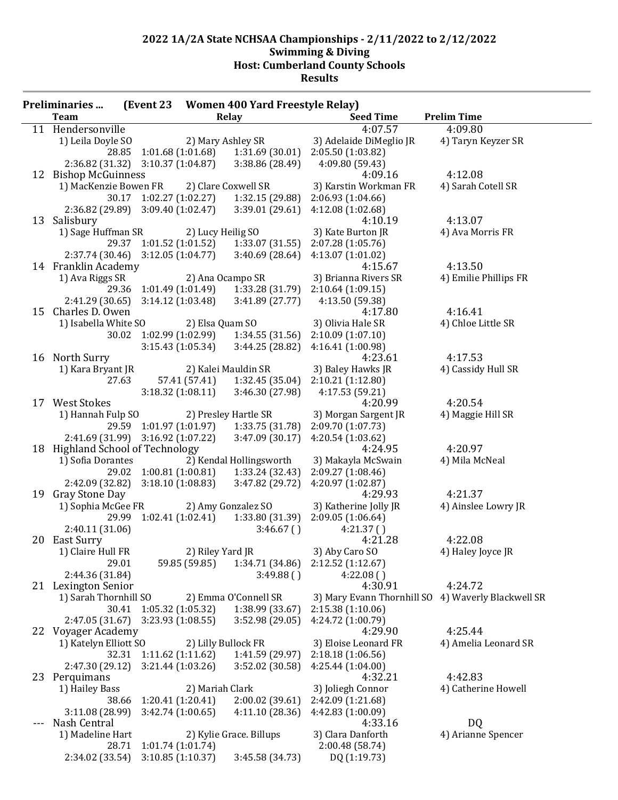| (Event 23 Women 400 Yard Freestyle Relay)<br><b>Preliminaries</b> |                         |                                                |                                                      |                                                    |                       |  |
|-------------------------------------------------------------------|-------------------------|------------------------------------------------|------------------------------------------------------|----------------------------------------------------|-----------------------|--|
| <b>Team</b>                                                       |                         |                                                | <b>Relay</b>                                         | <b>Seed Time</b>                                   | <b>Prelim Time</b>    |  |
| 11 Hendersonville                                                 |                         |                                                |                                                      | 4:07.57                                            | 4:09.80               |  |
| 1) Leila Doyle SO                                                 |                         |                                                | 2) Mary Ashley SR                                    | 3) Adelaide DiMeglio JR                            | 4) Taryn Keyzer SR    |  |
|                                                                   |                         |                                                | 28.85 1:01.68 (1:01.68) 1:31.69 (30.01)              | 2:05.50 (1:03.82)                                  |                       |  |
| 2:36.82 (31.32) 3:10.37 (1:04.87)                                 |                         |                                                | 3:38.86 (28.49)                                      | 4:09.80 (59.43)                                    |                       |  |
| 12 Bishop McGuinness                                              |                         |                                                |                                                      | 4:09.16                                            | 4:12.08               |  |
| 1) MacKenzie Bowen FR                                             |                         |                                                | 2) Clare Coxwell SR                                  | 3) Karstin Workman FR                              | 4) Sarah Cotell SR    |  |
|                                                                   |                         | 30.17 1:02.27 (1:02.27)                        | 1:32.15 (29.88)                                      | 2:06.93 (1:04.66)                                  |                       |  |
| $2:36.82(29.89)$ $3:09.40(1:02.47)$                               |                         |                                                | 3:39.01(29.61)                                       | 4:12.08(1:02.68)                                   |                       |  |
| 13 Salisbury                                                      |                         |                                                |                                                      | 4:10.19                                            | 4:13.07               |  |
| 1) Sage Huffman SR                                                |                         | 2) Lucy Heilig SO                              |                                                      | 3) Kate Burton JR                                  | 4) Ava Morris FR      |  |
|                                                                   |                         |                                                | 29.37 1:01.52 (1:01.52) 1:33.07 (31.55)              | 2:07.28 (1:05.76)                                  |                       |  |
|                                                                   |                         |                                                | $2:37.74(30.46)$ $3:12.05(1:04.77)$ $3:40.69(28.64)$ | 4:13.07 (1:01.02)                                  |                       |  |
| 14 Franklin Academy                                               |                         |                                                |                                                      | 4:15.67                                            | 4:13.50               |  |
| 1) Ava Riggs SR                                                   |                         |                                                | 2) Ana Ocampo SR                                     | 3) Brianna Rivers SR                               | 4) Emilie Phillips FR |  |
|                                                                   |                         | 29.36 1:01.49 (1:01.49)                        |                                                      | $1:33.28(31.79)$ $2:10.64(1:09.15)$                |                       |  |
| $2:41.29(30.65)$ $3:14.12(1:03.48)$                               |                         |                                                | 3:41.89(27.77)                                       | 4:13.50 (59.38)                                    |                       |  |
| 15 Charles D. Owen                                                |                         |                                                |                                                      | 4:17.80                                            | 4:16.41               |  |
| 1) Isabella White SO                                              |                         | 2) Elsa Quam SO                                |                                                      | 3) Olivia Hale SR                                  | 4) Chloe Little SR    |  |
|                                                                   |                         | 30.02 1:02.99 (1:02.99)                        | 1:34.55 (31.56)                                      | 2:10.09 (1:07.10)                                  |                       |  |
|                                                                   |                         | 3:15.43 (1:05.34)                              | 3:44.25(28.82)                                       | 4:16.41(1:00.98)                                   |                       |  |
| 16 North Surry                                                    |                         |                                                |                                                      | 4:23.61                                            | 4:17.53               |  |
| 1) Kara Bryant JR                                                 |                         |                                                | 2) Kalei Mauldin SR                                  | 3) Baley Hawks JR                                  | 4) Cassidy Hull SR    |  |
| 27.63                                                             |                         |                                                | 57.41 (57.41) 1:32.45 (35.04)                        | 2:10.21 (1:12.80)                                  |                       |  |
|                                                                   |                         | 3:18.32(1:08.11)                               | 3:46.30(27.98)                                       | 4:17.53 (59.21)                                    |                       |  |
| 17 West Stokes                                                    |                         |                                                |                                                      | 4:20.99                                            | 4:20.54               |  |
| 1) Hannah Fulp SO                                                 |                         |                                                | 2) Presley Hartle SR                                 | 3) Morgan Sargent JR                               | 4) Maggie Hill SR     |  |
|                                                                   |                         | 29.59 1:01.97 (1:01.97)                        | 1:33.75(31.78)                                       | 2:09.70 (1:07.73)                                  |                       |  |
| 2:41.69 (31.99) 3:16.92 (1:07.22)                                 |                         |                                                | 3:47.09(30.17)                                       | 4:20.54 (1:03.62)                                  |                       |  |
| 18 Highland School of Technology                                  |                         |                                                |                                                      | 4:24.95                                            | 4:20.97               |  |
| 1) Sofia Dorantes                                                 |                         |                                                | 2) Kendal Hollingsworth                              | 3) Makayla McSwain                                 | 4) Mila McNeal        |  |
|                                                                   |                         | 29.02 1:00.81 (1:00.81)                        | 1:33.24 (32.43)                                      | 2:09.27 (1:08.46)                                  |                       |  |
| 2:42.09 (32.82) 3:18.10 (1:08.83)                                 |                         |                                                | 3:47.82 (29.72)                                      | 4:20.97 (1:02.87)                                  |                       |  |
| 19 Gray Stone Day                                                 |                         |                                                |                                                      | 4:29.93                                            | 4:21.37               |  |
| 1) Sophia McGee FR                                                |                         |                                                | 2) Amy Gonzalez SO                                   | 3) Katherine Jolly JR                              | 4) Ainslee Lowry JR   |  |
|                                                                   |                         | 29.99 1:02.41 (1:02.41)                        | 1:33.80 (31.39)                                      | 2:09.05 (1:06.64)                                  |                       |  |
| 2:40.11 (31.06)                                                   |                         |                                                | 3:46.67()                                            | 4:21.37()                                          |                       |  |
| 20 East Surry                                                     |                         |                                                |                                                      | 4:21.28                                            | 4:22.08               |  |
| 1) Claire Hull FR                                                 |                         |                                                | 2) Riley Yard JR                                     | 3) Aby Caro SO                                     | 4) Haley Joyce JR     |  |
| 29.01                                                             |                         | 59.85 (59.85)                                  | 1:34.71 (34.86)                                      | 2:12.52 (1:12.67)                                  |                       |  |
| 2:44.36 (31.84)                                                   |                         |                                                | 3:49.88()                                            | 4:22.08()                                          |                       |  |
| 21 Lexington Senior                                               |                         |                                                |                                                      | 4:30.91                                            | 4:24.72               |  |
| 1) Sarah Thornhill SO                                             |                         |                                                | 2) Emma O'Connell SR                                 | 3) Mary Evann Thornhill SO 4) Waverly Blackwell SR |                       |  |
| 30.41                                                             |                         | 1:05.32 (1:05.32)                              | 1:38.99 (33.67)                                      | 2:15.38(1:10.06)                                   |                       |  |
| 2:47.05(31.67)                                                    |                         | 3:23.93(1:08.55)                               | 3:52.98 (29.05)                                      | 4:24.72 (1:00.79)                                  |                       |  |
| 22 Voyager Academy                                                |                         |                                                |                                                      | 4:29.90                                            | 4:25.44               |  |
| 1) Katelyn Elliott SO                                             |                         | 2) Lilly Bullock FR<br>32.31 1:11.62 (1:11.62) |                                                      | 3) Eloise Leonard FR                               | 4) Amelia Leonard SR  |  |
|                                                                   |                         |                                                | 1:41.59 (29.97)                                      | 2:18.18(1:06.56)                                   |                       |  |
| 2:47.30(29.12)                                                    |                         | 3:21.44(1:03.26)                               | 3:52.02(30.58)                                       | 4:25.44(1:04.00)                                   | 4:42.83               |  |
| 23 Perquimans<br>1) Hailey Bass                                   |                         | 2) Mariah Clark                                |                                                      | 4:32.21                                            |                       |  |
|                                                                   |                         |                                                |                                                      | 3) Joliegh Connor                                  | 4) Catherine Howell   |  |
| 38.66                                                             |                         | 1:20.41(1:20.41)                               | 2:00.02(39.61)                                       | 2:42.09 (1:21.68)                                  |                       |  |
| 3:11.08 (28.99)<br>Nash Central                                   |                         | 3:42.74(1:00.65)                               | 4:11.10(28.36)                                       | 4:42.83 (1:00.09)<br>4:33.16                       | <b>DQ</b>             |  |
| 1) Madeline Hart                                                  |                         |                                                | 2) Kylie Grace. Billups                              | 3) Clara Danforth                                  | 4) Arianne Spencer    |  |
|                                                                   | 28.71 1:01.74 (1:01.74) |                                                |                                                      | 2:00.48 (58.74)                                    |                       |  |
| 2:34.02 (33.54) 3:10.85 (1:10.37)                                 |                         |                                                | 3:45.58 (34.73)                                      | DQ (1:19.73)                                       |                       |  |
|                                                                   |                         |                                                |                                                      |                                                    |                       |  |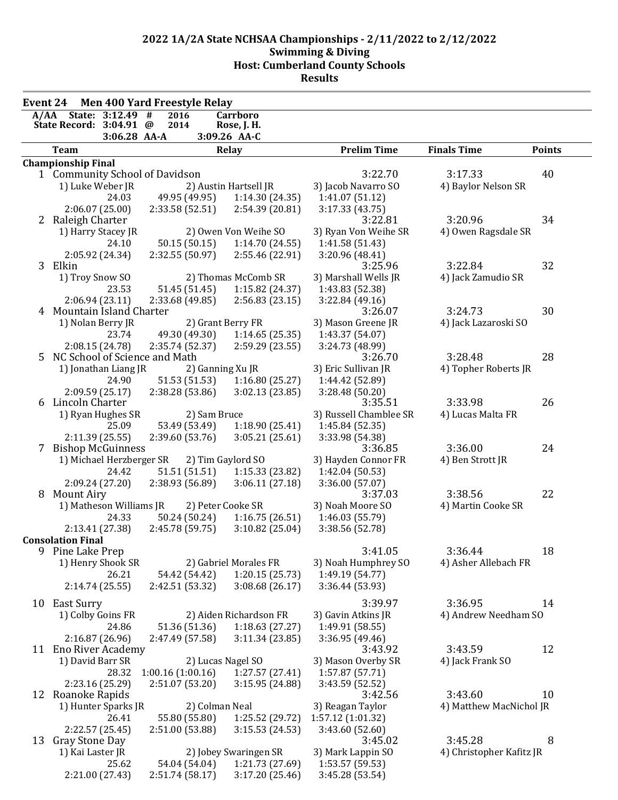| <b>Men 400 Yard Freestyle Relay</b><br><b>Event 24</b> |                                 |                          |                  |               |                        |                            |                          |               |
|--------------------------------------------------------|---------------------------------|--------------------------|------------------|---------------|------------------------|----------------------------|--------------------------|---------------|
|                                                        | A/AA State: 3:12.49 #           |                          | 2016             |               | Carrboro               |                            |                          |               |
|                                                        | State Record: 3:04.91 @         |                          | 2014             |               | Rose, J. H.            |                            |                          |               |
|                                                        |                                 | 3:06.28 AA-A             |                  |               | 3:09.26 AA-C           |                            |                          |               |
|                                                        | <b>Team</b>                     |                          |                  |               | Relay                  | <b>Prelim Time</b>         | <b>Finals Time</b>       | <b>Points</b> |
|                                                        | <b>Championship Final</b>       |                          |                  |               |                        |                            |                          |               |
|                                                        | 1 Community School of Davidson  |                          |                  |               |                        | 3:22.70                    | 3:17.33                  | 40            |
|                                                        | 1) Luke Weber JR                |                          |                  |               | 2) Austin Hartsell JR  | 3) Jacob Navarro SO        | 4) Baylor Nelson SR      |               |
|                                                        |                                 | 24.03                    |                  | 49.95 (49.95) | 1:14.30(24.35)         | 1:41.07 (51.12)            |                          |               |
|                                                        |                                 | 2:06.07(25.00)           | 2:33.58 (52.51)  |               | 2:54.39 (20.81)        | 3:17.33(43.75)             |                          |               |
|                                                        | 2 Raleigh Charter               |                          |                  |               |                        | 3:22.81                    | 3:20.96                  | 34            |
|                                                        |                                 | 1) Harry Stacey JR       |                  |               | 2) Owen Von Weihe SO   | 3) Ryan Von Weihe SR       | 4) Owen Ragsdale SR      |               |
|                                                        |                                 | 24.10                    |                  | 50.15 (50.15) | 1:14.70 (24.55)        | 1:41.58(51.43)             |                          |               |
|                                                        | 3 Elkin                         | 2:05.92 (24.34)          | 2:32.55(50.97)   |               | 2:55.46 (22.91)        | 3:20.96 (48.41)<br>3:25.96 | 3:22.84                  | 32            |
|                                                        | 1) Troy Snow SO                 |                          |                  |               | 2) Thomas McComb SR    | 3) Marshall Wells JR       | 4) Jack Zamudio SR       |               |
|                                                        |                                 | 23.53                    |                  | 51.45 (51.45) | 1:15.82 (24.37)        | 1:43.83 (52.38)            |                          |               |
|                                                        |                                 | 2:06.94(23.11)           | 2:33.68(49.85)   |               | 2:56.83(23.15)         | 3:22.84(49.16)             |                          |               |
|                                                        | 4 Mountain Island Charter       |                          |                  |               |                        | 3:26.07                    | 3:24.73                  | 30            |
|                                                        | 1) Nolan Berry JR               |                          |                  |               | 2) Grant Berry FR      | 3) Mason Greene JR         | 4) Jack Lazaroski SO     |               |
|                                                        |                                 | 23.74                    |                  | 49.30 (49.30) | 1:14.65(25.35)         | 1:43.37 (54.07)            |                          |               |
|                                                        |                                 | 2:08.15 (24.78)          | 2:35.74 (52.37)  |               | 2:59.29(23.55)         | 3:24.73 (48.99)            |                          |               |
|                                                        | 5 NC School of Science and Math |                          |                  |               |                        | 3:26.70                    | 3:28.48                  | 28            |
|                                                        |                                 | 1) Jonathan Liang JR     |                  |               | 2) Ganning Xu JR       | 3) Eric Sullivan JR        | 4) Topher Roberts JR     |               |
|                                                        |                                 | 24.90                    |                  | 51.53 (51.53) | 1:16.80(25.27)         | 1:44.42 (52.89)            |                          |               |
|                                                        |                                 | 2:09.59(25.17)           | 2:38.28 (53.86)  |               | 3:02.13(23.85)         | 3:28.48 (50.20)            |                          |               |
| 6                                                      | Lincoln Charter                 |                          |                  |               |                        | 3:35.51                    | 3:33.98                  | 26            |
|                                                        |                                 | 1) Ryan Hughes SR        |                  | 2) Sam Bruce  |                        | 3) Russell Chamblee SR     | 4) Lucas Malta FR        |               |
|                                                        |                                 | 25.09                    |                  | 53.49 (53.49) | 1:18.90(25.41)         | 1:45.84 (52.35)            |                          |               |
|                                                        |                                 | 2:11.39(25.55)           | 2:39.60(53.76)   |               | 3:05.21(25.61)         | 3:33.98 (54.38)            |                          |               |
|                                                        | 7 Bishop McGuinness             |                          |                  |               |                        | 3:36.85                    | 3:36.00                  | 24            |
|                                                        |                                 | 1) Michael Herzberger SR |                  |               | 2) Tim Gaylord SO      | 3) Hayden Connor FR        | 4) Ben Strott JR         |               |
|                                                        |                                 | 24.42                    |                  | 51.51 (51.51) | 1:15.33(23.82)         | 1:42.04 (50.53)            |                          |               |
|                                                        |                                 | 2:09.24 (27.20)          | 2:38.93(56.89)   |               | 3:06.11(27.18)         | 3:36.00 (57.07)            |                          |               |
| 8                                                      | <b>Mount Airy</b>               |                          |                  |               |                        | 3:37.03                    | 3:38.56                  | 22            |
|                                                        |                                 | 1) Matheson Williams JR  |                  |               | 2) Peter Cooke SR      | 3) Noah Moore SO           | 4) Martin Cooke SR       |               |
|                                                        |                                 | 24.33                    |                  | 50.24 (50.24) | 1:16.75(26.51)         | 1:46.03 (55.79)            |                          |               |
|                                                        |                                 | 2:13.41 (27.38)          | 2:45.78 (59.75)  |               | 3:10.82(25.04)         | 3:38.56 (52.78)            |                          |               |
|                                                        | <b>Consolation Final</b>        |                          |                  |               |                        |                            |                          |               |
|                                                        | 9 Pine Lake Prep                |                          |                  |               |                        | 3:41.05                    | 3:36.44                  | 18            |
|                                                        |                                 | 1) Henry Shook SR        |                  |               | 2) Gabriel Morales FR  | 3) Noah Humphrey SO        | 4) Asher Allebach FR     |               |
|                                                        |                                 | 26.21                    |                  | 54.42 (54.42) | 1:20.15(25.73)         | 1:49.19 (54.77)            |                          |               |
|                                                        |                                 | 2:14.74(25.55)           | 2:42.51 (53.32)  |               | 3:08.68(26.17)         | 3:36.44 (53.93)            |                          |               |
| 10                                                     | East Surry                      |                          |                  |               |                        | 3:39.97                    | 3:36.95                  | 14            |
|                                                        | 1) Colby Goins FR               |                          |                  |               | 2) Aiden Richardson FR | 3) Gavin Atkins JR         | 4) Andrew Needham SO     |               |
|                                                        |                                 | 24.86                    |                  | 51.36 (51.36) | 1:18.63(27.27)         | 1:49.91 (58.55)            |                          |               |
|                                                        |                                 | 2:16.87(26.96)           | 2:47.49 (57.58)  |               | 3:11.34(23.85)         | 3:36.95(49.46)             |                          |               |
|                                                        | 11 Eno River Academy            |                          |                  |               |                        | 3:43.92                    | 3:43.59                  | 12            |
|                                                        | 1) David Barr SR                |                          |                  |               | 2) Lucas Nagel SO      | 3) Mason Overby SR         | 4) Jack Frank SO         |               |
|                                                        |                                 | 28.32                    | 1:00.16(1:00.16) |               | 1:27.57(27.41)         | 1:57.87 (57.71)            |                          |               |
|                                                        |                                 | 2:23.16 (25.29)          | 2:51.07 (53.20)  |               | 3:15.95 (24.88)        | 3:43.59 (52.52)            |                          |               |
|                                                        | 12 Roanoke Rapids               |                          |                  |               |                        | 3:42.56                    | 3:43.60                  | 10            |
|                                                        |                                 | 1) Hunter Sparks JR      |                  |               | 2) Colman Neal         | 3) Reagan Taylor           | 4) Matthew MacNichol JR  |               |
|                                                        |                                 | 26.41                    |                  | 55.80 (55.80) | 1:25.52 (29.72)        | 1:57.12 (1:01.32)          |                          |               |
|                                                        |                                 | 2:22.57 (25.45)          | 2:51.00 (53.88)  |               | 3:15.53(24.53)         | 3:43.60 (52.60)            |                          |               |
| 13                                                     | Gray Stone Day                  |                          |                  |               |                        | 3:45.02                    | 3:45.28                  | 8             |
|                                                        | 1) Kai Laster JR                |                          |                  |               | 2) Jobey Swaringen SR  | 3) Mark Lappin SO          | 4) Christopher Kafitz JR |               |
|                                                        |                                 | 25.62                    |                  | 54.04 (54.04) | 1:21.73 (27.69)        | 1:53.57 (59.53)            |                          |               |
|                                                        |                                 | 2:21.00 (27.43)          | 2:51.74 (58.17)  |               | 3:17.20(25.46)         | 3:45.28 (53.54)            |                          |               |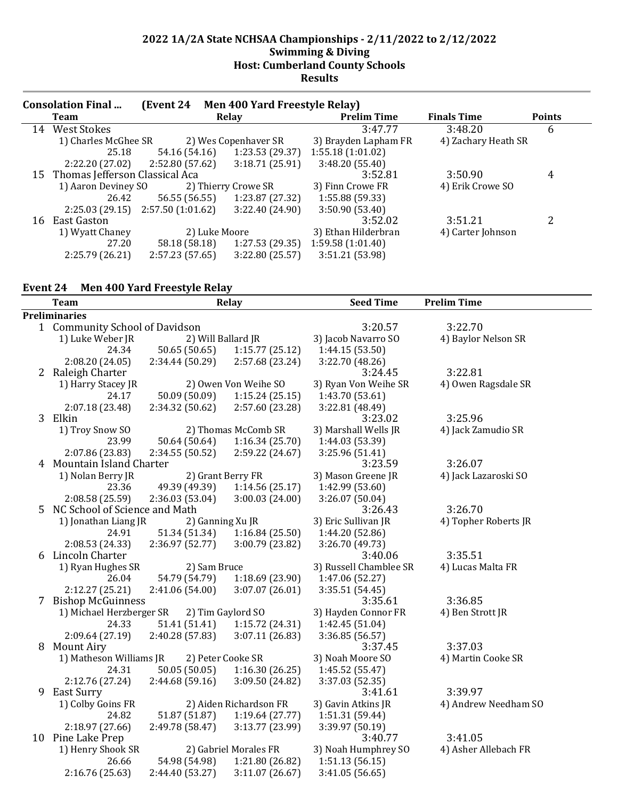|    | <b>Consolation Final</b>            | (Event 24       |       | Men 400 Yard Freestyle Relay) |                      |                     |               |
|----|-------------------------------------|-----------------|-------|-------------------------------|----------------------|---------------------|---------------|
|    | <b>Team</b>                         |                 | Relay |                               | <b>Prelim Time</b>   | <b>Finals Time</b>  | <b>Points</b> |
| 14 | <b>West Stokes</b>                  |                 |       |                               | 3:47.77              | 3:48.20             | 6             |
|    | 1) Charles McGhee SR                |                 |       | 2) Wes Copenhaver SR          | 3) Brayden Lapham FR | 4) Zachary Heath SR |               |
|    | 25.18                               | 54.16 (54.16)   |       | 1:23.53 (29.37)               | 1:55.18(1:01.02)     |                     |               |
|    | 2:22.20(27.02)                      | 2:52.80 (57.62) |       | 3:18.71(25.91)                | 3:48.20(55.40)       |                     |               |
|    | 15 Thomas Jefferson Classical Aca   |                 |       |                               | 3:52.81              | 3:50.90             | 4             |
|    | 1) Aaron Deviney SO                 |                 |       | 2) Thierry Crowe SR           | 3) Finn Crowe FR     | 4) Erik Crowe SO    |               |
|    | 26.42                               |                 |       | 56.55 (56.55) 1:23.87 (27.32) | 1:55.88 (59.33)      |                     |               |
|    | $2:25.03(29.15)$ $2:57.50(1:01.62)$ |                 |       | 3:22.40 (24.90)               | 3:50.90(53.40)       |                     |               |
| 16 | East Gaston                         |                 |       |                               | 3:52.02              | 3:51.21             | 2             |
|    | 1) Wyatt Chaney                     | 2) Luke Moore   |       | 3) Ethan Hilderbran           | 4) Carter Johnson    |                     |               |
|    | 27.20                               | 58.18 (58.18)   |       | 1:27.53(29.35)                | 1:59.58(1:01.40)     |                     |               |
|    | 2:25.79 (26.21)                     | 2:57.23(57.65)  |       | 3:22.80 (25.57)               | 3:51.21 (53.98)      |                     |               |

## **Event 24 Men 400 Yard Freestyle Relay**

|                                | <b>Team</b>                   |                    | <b>Relay</b>           | <b>Seed Time</b>       | <b>Prelim Time</b>   |  |  |
|--------------------------------|-------------------------------|--------------------|------------------------|------------------------|----------------------|--|--|
|                                | <b>Preliminaries</b>          |                    |                        |                        |                      |  |  |
| 1 Community School of Davidson |                               |                    |                        | 3:20.57                | 3:22.70              |  |  |
|                                | 1) Luke Weber JR              | 2) Will Ballard JR |                        | 3) Jacob Navarro SO    | 4) Baylor Nelson SR  |  |  |
|                                | 24.34                         | 50.65 (50.65)      | 1:15.77(25.12)         | 1:44.15 (53.50)        |                      |  |  |
|                                | 2:08.20 (24.05)               | 2:34.44 (50.29)    | 2:57.68 (23.24)        | 3:22.70 (48.26)        |                      |  |  |
|                                | 2 Raleigh Charter             |                    |                        | 3:24.45                | 3:22.81              |  |  |
|                                | 1) Harry Stacey JR            |                    | 2) Owen Von Weihe SO   | 3) Ryan Von Weihe SR   | 4) Owen Ragsdale SR  |  |  |
|                                | 24.17                         | 50.09 (50.09)      | 1:15.24(25.15)         | 1:43.70 (53.61)        |                      |  |  |
|                                | 2:07.18 (23.48)               | 2:34.32 (50.62)    | 2:57.60 (23.28)        | 3:22.81 (48.49)        |                      |  |  |
|                                | 3 Elkin                       |                    |                        | 3:23.02                | 3:25.96              |  |  |
|                                | 1) Troy Snow SO               |                    | 2) Thomas McComb SR    | 3) Marshall Wells JR   | 4) Jack Zamudio SR   |  |  |
|                                | 23.99                         | 50.64 (50.64)      | 1:16.34(25.70)         | 1:44.03 (53.39)        |                      |  |  |
|                                | 2:07.86 (23.83)               | 2:34.55 (50.52)    | 2:59.22 (24.67)        | 3:25.96 (51.41)        |                      |  |  |
| 4                              | Mountain Island Charter       |                    |                        | 3:23.59                | 3:26.07              |  |  |
|                                | 1) Nolan Berry JR             | 2) Grant Berry FR  |                        | 3) Mason Greene JR     | 4) Jack Lazaroski SO |  |  |
|                                | 23.36                         | 49.39 (49.39)      | 1:14.56(25.17)         | 1:42.99 (53.60)        |                      |  |  |
|                                | 2:08.58 (25.59)               | 2:36.03 (53.04)    | 3:00.03 (24.00)        | 3:26.07 (50.04)        |                      |  |  |
| 5                              | NC School of Science and Math |                    |                        | 3:26.43                | 3:26.70              |  |  |
|                                | 1) Jonathan Liang JR          | 2) Ganning Xu JR   |                        | 3) Eric Sullivan JR    | 4) Topher Roberts JR |  |  |
|                                | 24.91                         | 51.34 (51.34)      | 1:16.84(25.50)         | 1:44.20 (52.86)        |                      |  |  |
|                                | 2:08.53 (24.33)               | 2:36.97(52.77)     | 3:00.79 (23.82)        | 3:26.70 (49.73)        |                      |  |  |
|                                | 6 Lincoln Charter             |                    |                        | 3:40.06                | 3:35.51              |  |  |
|                                | 1) Ryan Hughes SR             | 2) Sam Bruce       |                        | 3) Russell Chamblee SR | 4) Lucas Malta FR    |  |  |
|                                | 26.04                         | 54.79 (54.79)      | 1:18.69 (23.90)        | 1:47.06 (52.27)        |                      |  |  |
|                                | 2:12.27 (25.21)               | 2:41.06 (54.00)    | 3:07.07 (26.01)        | 3:35.51 (54.45)        |                      |  |  |
|                                | 7 Bishop McGuinness           |                    |                        | 3:35.61                | 3:36.85              |  |  |
|                                | 1) Michael Herzberger SR      |                    | 2) Tim Gaylord SO      | 3) Hayden Connor FR    | 4) Ben Strott JR     |  |  |
|                                | 24.33                         | 51.41 (51.41)      | 1:15.72 (24.31)        | 1:42.45 (51.04)        |                      |  |  |
|                                | 2:09.64 (27.19)               | 2:40.28 (57.83)    | 3:07.11(26.83)         | 3:36.85 (56.57)        |                      |  |  |
| 8                              | Mount Airy                    |                    |                        | 3:37.45                | 3:37.03              |  |  |
|                                | 1) Matheson Williams JR       | 2) Peter Cooke SR  |                        | 3) Noah Moore SO       | 4) Martin Cooke SR   |  |  |
|                                | 24.31                         | 50.05 (50.05)      | 1:16.30(26.25)         | 1:45.52(55.47)         |                      |  |  |
|                                | 2:12.76 (27.24)               | 2:44.68 (59.16)    | 3:09.50 (24.82)        | 3:37.03 (52.35)        |                      |  |  |
| 9                              | East Surry                    |                    |                        | 3:41.61                | 3:39.97              |  |  |
|                                | 1) Colby Goins FR             |                    | 2) Aiden Richardson FR | 3) Gavin Atkins JR     | 4) Andrew Needham SO |  |  |
|                                | 24.82                         | 51.87 (51.87)      | 1:19.64(27.77)         | 1:51.31 (59.44)        |                      |  |  |
|                                | 2:18.97 (27.66)               | 2:49.78 (58.47)    | 3:13.77 (23.99)        | 3:39.97 (50.19)        |                      |  |  |
|                                | 10 Pine Lake Prep             |                    |                        | 3:40.77                | 3:41.05              |  |  |
|                                | 1) Henry Shook SR             |                    | 2) Gabriel Morales FR  | 3) Noah Humphrey SO    | 4) Asher Allebach FR |  |  |
|                                | 26.66                         | 54.98 (54.98)      | 1:21.80 (26.82)        | 1:51.13(56.15)         |                      |  |  |
|                                | 2:16.76 (25.63)               | 2:44.40 (53.27)    | 3:11.07(26.67)         | 3:41.05 (56.65)        |                      |  |  |